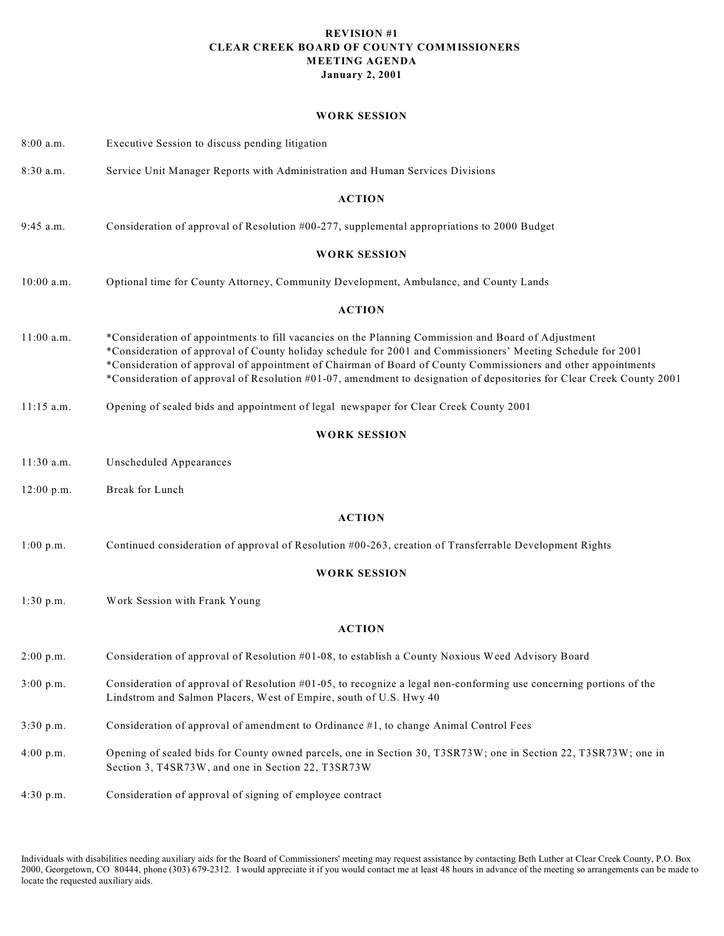#### **REVISION #1 CLEAR CREEK BOARD OF COUNTY COMMISSIONERS MEETING AGENDA January 2, 2001**

#### **WORK SESSION**

| 8:00 a.m.    | Executive Session to discuss pending litigation                                                                                                                                                                                                                                                                                                                                                                                                              |
|--------------|--------------------------------------------------------------------------------------------------------------------------------------------------------------------------------------------------------------------------------------------------------------------------------------------------------------------------------------------------------------------------------------------------------------------------------------------------------------|
| 8:30 a.m.    | Service Unit Manager Reports with Administration and Human Services Divisions                                                                                                                                                                                                                                                                                                                                                                                |
|              | <b>ACTION</b>                                                                                                                                                                                                                                                                                                                                                                                                                                                |
| $9:45$ a.m.  | Consideration of approval of Resolution #00-277, supplemental appropriations to 2000 Budget                                                                                                                                                                                                                                                                                                                                                                  |
|              | <b>WORK SESSION</b>                                                                                                                                                                                                                                                                                                                                                                                                                                          |
| 10:00 a.m.   | Optional time for County Attorney, Community Development, Ambulance, and County Lands                                                                                                                                                                                                                                                                                                                                                                        |
|              | <b>ACTION</b>                                                                                                                                                                                                                                                                                                                                                                                                                                                |
| $11:00$ a.m. | *Consideration of appointments to fill vacancies on the Planning Commission and Board of Adjustment<br>*Consideration of approval of County holiday schedule for 2001 and Commissioners' Meeting Schedule for 2001<br>*Consideration of approval of appointment of Chairman of Board of County Commissioners and other appointments<br>*Consideration of approval of Resolution #01-07, amendment to designation of depositories for Clear Creek County 2001 |
| $11:15$ a.m. | Opening of sealed bids and appointment of legal newspaper for Clear Creek County 2001                                                                                                                                                                                                                                                                                                                                                                        |
|              | <b>WORK SESSION</b>                                                                                                                                                                                                                                                                                                                                                                                                                                          |
| 11:30 a.m.   | Unscheduled Appearances                                                                                                                                                                                                                                                                                                                                                                                                                                      |
| 12:00 p.m.   | Break for Lunch                                                                                                                                                                                                                                                                                                                                                                                                                                              |
|              | <b>ACTION</b>                                                                                                                                                                                                                                                                                                                                                                                                                                                |
| 1:00 p.m.    | Continued consideration of approval of Resolution #00-263, creation of Transferrable Development Rights                                                                                                                                                                                                                                                                                                                                                      |
|              | <b>WORK SESSION</b>                                                                                                                                                                                                                                                                                                                                                                                                                                          |
| 1:30 p.m.    | Work Session with Frank Young                                                                                                                                                                                                                                                                                                                                                                                                                                |
|              | <b>ACTION</b>                                                                                                                                                                                                                                                                                                                                                                                                                                                |
| 2:00 p.m.    | Consideration of approval of Resolution #01-08, to establish a County Noxious Weed Advisory Board                                                                                                                                                                                                                                                                                                                                                            |
| 3:00 p.m.    | Consideration of approval of Resolution $#01-05$ , to recognize a legal non-conforming use concerning portions of the<br>Lindstrom and Salmon Placers, West of Empire, south of U.S. Hwy 40                                                                                                                                                                                                                                                                  |
| 3:30 p.m.    | Consideration of approval of amendment to Ordinance #1, to change Animal Control Fees                                                                                                                                                                                                                                                                                                                                                                        |
| 4:00 p.m.    | Opening of sealed bids for County owned parcels, one in Section 30, T3SR73W; one in Section 22, T3SR73W; one in<br>Section 3, T4SR73W, and one in Section 22, T3SR73W                                                                                                                                                                                                                                                                                        |
| 4:30 p.m.    | Consideration of approval of signing of employee contract                                                                                                                                                                                                                                                                                                                                                                                                    |

Individuals with disabilities needing auxiliary aids for the Board of Commissioners' meeting may request assistance by contacting Beth Luther at Clear Creek County, P.O. Box 2000, Georgetown, CO 80444, phone (303) 679-2312. I would appreciate it if you would contact me at least 48 hours in advance of the meeting so arrangements can be made to locate the requested auxiliary aids.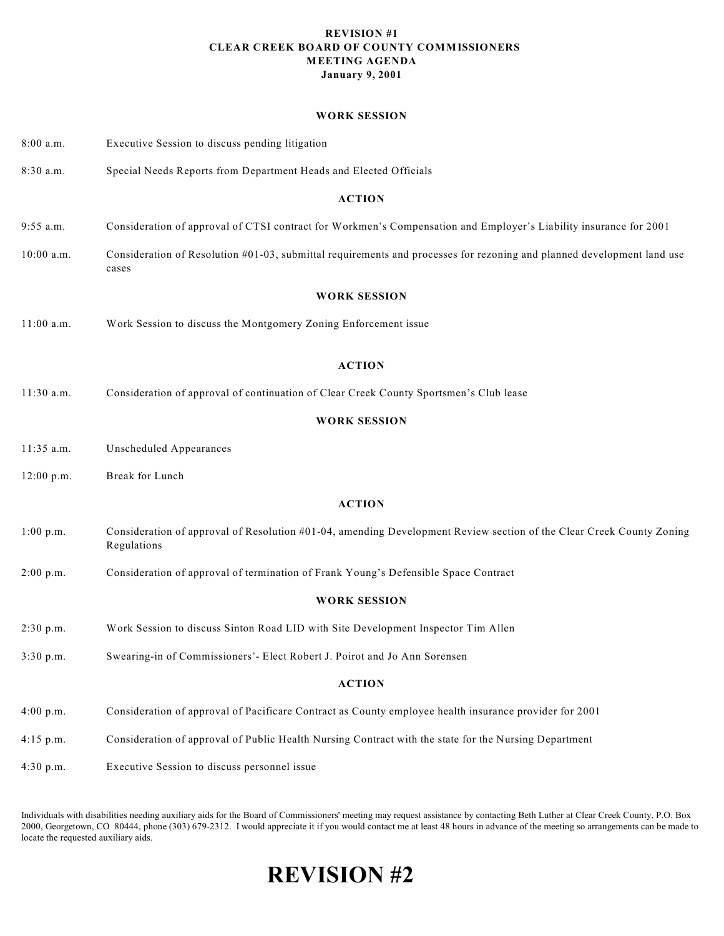#### **REVISION #1 CLEAR CREEK BOARD OF COUNTY COMMISSIONERS MEETING AGENDA January 9, 2001**

#### **WORK SESSION**

| 8:00 a.m.     | Executive Session to discuss pending litigation                                                                                     |  |  |
|---------------|-------------------------------------------------------------------------------------------------------------------------------------|--|--|
| 8:30 a.m.     | Special Needs Reports from Department Heads and Elected Officials                                                                   |  |  |
|               | <b>ACTION</b>                                                                                                                       |  |  |
| 9:55 a.m.     | Consideration of approval of CTSI contract for Workmen's Compensation and Employer's Liability insurance for 2001                   |  |  |
| $10:00$ a.m.  | Consideration of Resolution #01-03, submittal requirements and processes for rezoning and planned development land use<br>cases     |  |  |
|               | <b>WORK SESSION</b>                                                                                                                 |  |  |
| $11:00$ a.m.  | Work Session to discuss the Montgomery Zoning Enforcement issue                                                                     |  |  |
|               | <b>ACTION</b>                                                                                                                       |  |  |
| 11:30 a.m.    | Consideration of approval of continuation of Clear Creek County Sportsmen's Club lease                                              |  |  |
|               | <b>WORK SESSION</b>                                                                                                                 |  |  |
| $11:35$ a.m.  | Unscheduled Appearances                                                                                                             |  |  |
| $12:00$ p.m.  | Break for Lunch                                                                                                                     |  |  |
|               | <b>ACTION</b>                                                                                                                       |  |  |
| $1:00$ p.m.   | Consideration of approval of Resolution #01-04, amending Development Review section of the Clear Creek County Zoning<br>Regulations |  |  |
| 2:00 p.m.     | Consideration of approval of termination of Frank Young's Defensible Space Contract                                                 |  |  |
|               | <b>WORK SESSION</b>                                                                                                                 |  |  |
| 2:30 p.m.     | Work Session to discuss Sinton Road LID with Site Development Inspector Tim Allen                                                   |  |  |
| 3:30 p.m.     | Swearing-in of Commissioners'- Elect Robert J. Poirot and Jo Ann Sorensen                                                           |  |  |
| <b>ACTION</b> |                                                                                                                                     |  |  |
| 4:00 p.m.     | Consideration of approval of Pacificare Contract as County employee health insurance provider for 2001                              |  |  |
| $4:15$ p.m.   | Consideration of approval of Public Health Nursing Contract with the state for the Nursing Department                               |  |  |
| 4:30 p.m.     | Executive Session to discuss personnel issue                                                                                        |  |  |

Individuals with disabilities needing auxiliary aids for the Board of Commissioners' meeting may request assistance by contacting Beth Luther at Clear Creek County, P.O. Box 2000, Georgetown, CO 80444, phone (303) 679-2312. I would appreciate it if you would contact me at least 48 hours in advance of the meeting so arrangements can be made to locate the requested auxiliary aids.

# **REVISION #2**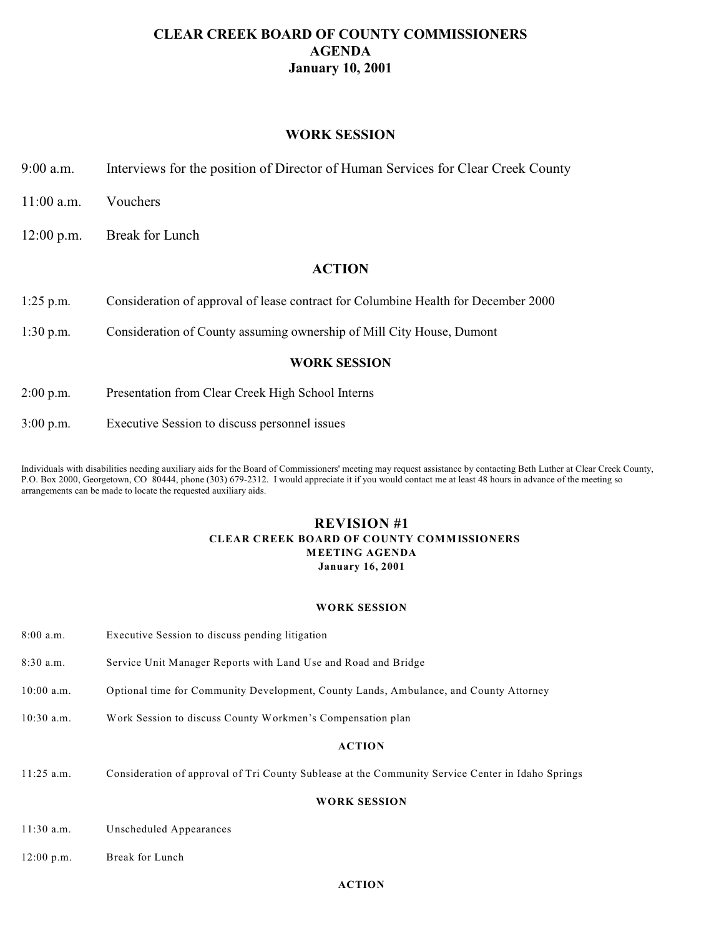### **CLEAR CREEK BOARD OF COUNTY COMMISSIONERS AGENDA January 10, 2001**

### **WORK SESSION**

- 9:00 a.m. Interviews for the position of Director of Human Services for Clear Creek County
- 11:00 a.m. Vouchers
- 12:00 p.m. Break for Lunch

### **ACTION**

- 1:25 p.m. Consideration of approval of lease contract for Columbine Health for December 2000
- 1:30 p.m. Consideration of County assuming ownership of Mill City House, Dumont

#### **WORK SESSION**

- 2:00 p.m. Presentation from Clear Creek High School Interns
- 3:00 p.m. Executive Session to discuss personnel issues

Individuals with disabilities needing auxiliary aids for the Board of Commissioners' meeting may request assistance by contacting Beth Luther at Clear Creek County, P.O. Box 2000, Georgetown, CO 80444, phone (303) 679-2312. I would appreciate it if you would contact me at least 48 hours in advance of the meeting so arrangements can be made to locate the requested auxiliary aids.

### **REVISION #1 CLEAR CREEK BOARD OF COUNTY COMMISSIONERS MEETING AGENDA January 16, 2001**

#### **WORK SESSION**

- 8:00 a.m. Executive Session to discuss pending litigation
- 8:30 a.m. Service Unit Manager Reports with Land Use and Road and Bridge
- 10:00 a.m. Optional time for Community Development, County Lands, Ambulance, and County Attorney
- 10:30 a.m. Work Session to discuss County Workmen's Compensation plan

#### **ACTION**

11:25 a.m. Consideration of approval of Tri County Sublease at the Community Service Center in Idaho Springs

#### **WORK SESSION**

- 11:30 a.m. Unscheduled Appearances
- 12:00 p.m. Break for Lunch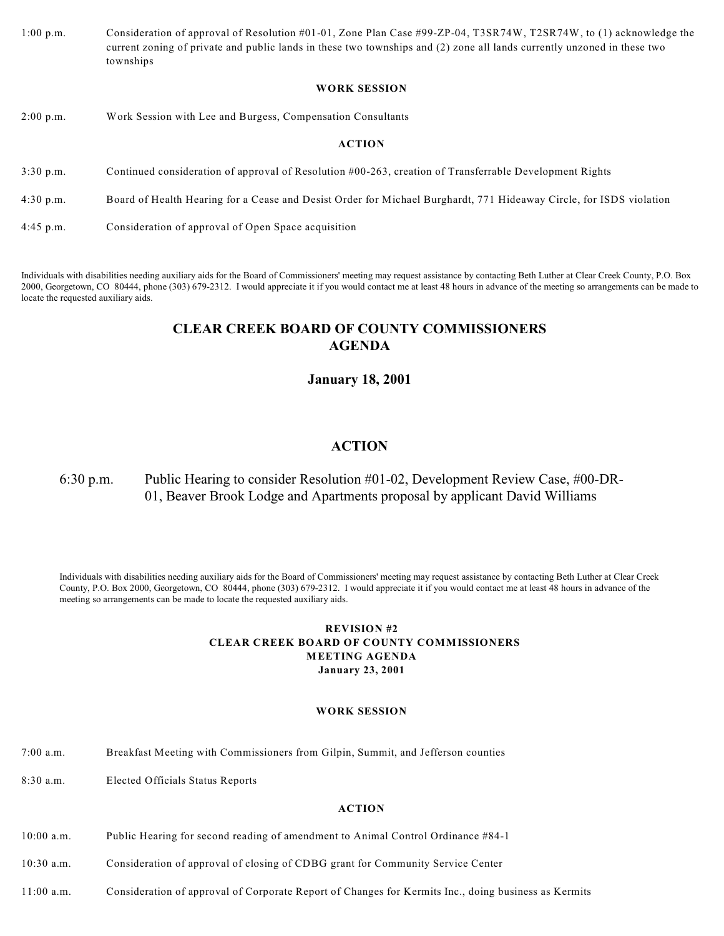1:00 p.m. Consideration of approval of Resolution #01-01, Zone Plan Case #99-ZP-04, T3SR74W, T2SR74W, to (1) acknowledge the current zoning of private and public lands in these two townships and (2) zone all lands currently unzoned in these two townships

#### **WORK SESSION**

2:00 p.m. Work Session with Lee and Burgess, Compensation Consultants

#### **ACTION**

- 3:30 p.m. Continued consideration of approval of Resolution #00-263, creation of Transferrable Development Rights
- 4:30 p.m. Board of Health Hearing for a Cease and Desist Order for Michael Burghardt, 771 Hideaway Circle, for ISDS violation
- 4:45 p.m. Consideration of approval of Open Space acquisition

Individuals with disabilities needing auxiliary aids for the Board of Commissioners' meeting may request assistance by contacting Beth Luther at Clear Creek County, P.O. Box 2000, Georgetown, CO 80444, phone (303) 679-2312. I would appreciate it if you would contact me at least 48 hours in advance of the meeting so arrangements can be made to locate the requested auxiliary aids.

### **CLEAR CREEK BOARD OF COUNTY COMMISSIONERS AGENDA**

### **January 18, 2001**

### **ACTION**

### 6:30 p.m. Public Hearing to consider Resolution #01-02, Development Review Case, #00-DR-01, Beaver Brook Lodge and Apartments proposal by applicant David Williams

Individuals with disabilities needing auxiliary aids for the Board of Commissioners' meeting may request assistance by contacting Beth Luther at Clear Creek County, P.O. Box 2000, Georgetown, CO 80444, phone (303) 679-2312. I would appreciate it if you would contact me at least 48 hours in advance of the meeting so arrangements can be made to locate the requested auxiliary aids.

#### **REVISION #2 CLEAR CREEK BOARD OF COUNTY COMMISSIONERS MEETING AGENDA January 23, 2001**

#### **WORK SESSION**

- 7:00 a.m. Breakfast Meeting with Commissioners from Gilpin, Summit, and Jefferson counties
- 8:30 a.m. Elected Officials Status Reports

- 10:00 a.m. Public Hearing for second reading of amendment to Animal Control Ordinance #84-1
- 10:30 a.m. Consideration of approval of closing of CDBG grant for Community Service Center
- 11:00 a.m. Consideration of approval of Corporate Report of Changes for Kermits Inc., doing business as Kermits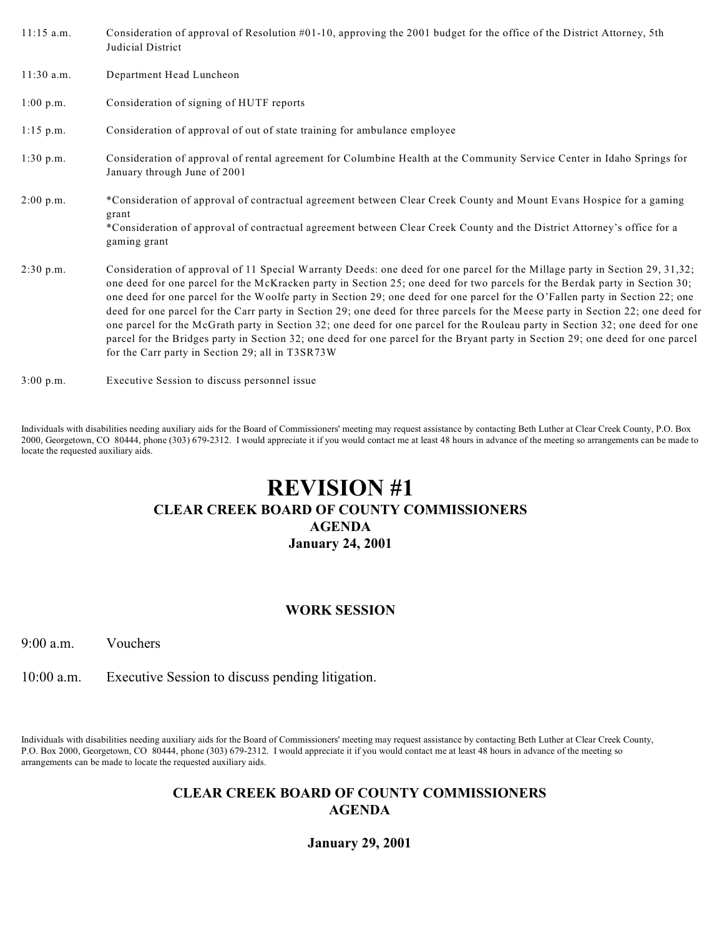| $11:15$ a.m.        | Consideration of approval of Resolution $#01-10$ , approving the 2001 budget for the office of the District Attorney, 5th<br>Judicial District                                                                                                                                                                                                                                                                                                                                                                                                                                                                                                                                                                                                                                                                                                          |
|---------------------|---------------------------------------------------------------------------------------------------------------------------------------------------------------------------------------------------------------------------------------------------------------------------------------------------------------------------------------------------------------------------------------------------------------------------------------------------------------------------------------------------------------------------------------------------------------------------------------------------------------------------------------------------------------------------------------------------------------------------------------------------------------------------------------------------------------------------------------------------------|
| $11:30$ a.m.        | Department Head Luncheon                                                                                                                                                                                                                                                                                                                                                                                                                                                                                                                                                                                                                                                                                                                                                                                                                                |
| $1:00 \text{ p.m.}$ | Consideration of signing of HUTF reports                                                                                                                                                                                                                                                                                                                                                                                                                                                                                                                                                                                                                                                                                                                                                                                                                |
| $1:15$ p.m.         | Consideration of approval of out of state training for ambulance employee                                                                                                                                                                                                                                                                                                                                                                                                                                                                                                                                                                                                                                                                                                                                                                               |
| $1:30$ p.m.         | Consideration of approval of rental agreement for Columbine Health at the Community Service Center in Idaho Springs for<br>January through June of 2001                                                                                                                                                                                                                                                                                                                                                                                                                                                                                                                                                                                                                                                                                                 |
| $2:00$ p.m.         | *Consideration of approval of contractual agreement between Clear Creek County and Mount Evans Hospice for a gaming<br>grant<br>*Consideration of approval of contractual agreement between Clear Creek County and the District Attorney's office for a<br>gaming grant                                                                                                                                                                                                                                                                                                                                                                                                                                                                                                                                                                                 |
| $2:30$ p.m.         | Consideration of approval of 11 Special Warranty Deeds: one deed for one parcel for the Millage party in Section 29, 31,32;<br>one deed for one parcel for the McKracken party in Section 25; one deed for two parcels for the Berdak party in Section 30;<br>one deed for one parcel for the Woolfe party in Section 29; one deed for one parcel for the O'Fallen party in Section 22; one<br>deed for one parcel for the Carr party in Section 29; one deed for three parcels for the Meese party in Section 22; one deed for<br>one parcel for the McGrath party in Section 32; one deed for one parcel for the Rouleau party in Section 32; one deed for one<br>parcel for the Bridges party in Section 32; one deed for one parcel for the Bryant party in Section 29; one deed for one parcel<br>for the Carr party in Section 29; all in T3SR73W |

3:00 p.m. Executive Session to discuss personnel issue

Individuals with disabilities needing auxiliary aids for the Board of Commissioners' meeting may request assistance by contacting Beth Luther at Clear Creek County, P.O. Box 2000, Georgetown, CO 80444, phone (303) 679-2312. I would appreciate it if you would contact me at least 48 hours in advance of the meeting so arrangements can be made to locate the requested auxiliary aids.

# **REVISION #1 CLEAR CREEK BOARD OF COUNTY COMMISSIONERS AGENDA January 24, 2001**

### **WORK SESSION**

9:00 a.m. Vouchers

10:00 a.m. Executive Session to discuss pending litigation.

Individuals with disabilities needing auxiliary aids for the Board of Commissioners' meeting may request assistance by contacting Beth Luther at Clear Creek County, P.O. Box 2000, Georgetown, CO 80444, phone (303) 679-2312. I would appreciate it if you would contact me at least 48 hours in advance of the meeting so arrangements can be made to locate the requested auxiliary aids.

### **CLEAR CREEK BOARD OF COUNTY COMMISSIONERS AGENDA**

**January 29, 2001**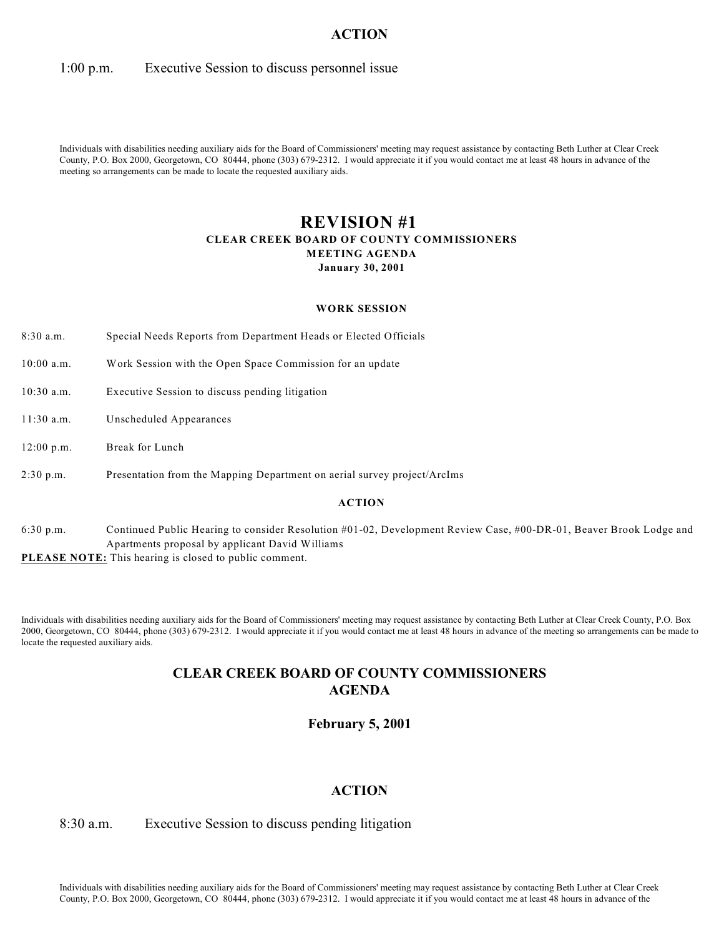### 1:00 p.m. Executive Session to discuss personnel issue

Individuals with disabilities needing auxiliary aids for the Board of Commissioners' meeting may request assistance by contacting Beth Luther at Clear Creek County, P.O. Box 2000, Georgetown, CO 80444, phone (303) 679-2312. I would appreciate it if you would contact me at least 48 hours in advance of the meeting so arrangements can be made to locate the requested auxiliary aids.

### **REVISION #1 CLEAR CREEK BOARD OF COUNTY COMMISSIONERS MEETING AGENDA January 30, 2001**

#### **WORK SESSION**

- 8:30 a.m. Special Needs Reports from Department Heads or Elected Officials
- 10:00 a.m. Work Session with the Open Space Commission for an update
- 10:30 a.m. Executive Session to discuss pending litigation
- 11:30 a.m. Unscheduled Appearances
- 12:00 p.m. Break for Lunch
- 2:30 p.m. Presentation from the Mapping Department on aerial survey project/ArcIms

#### **ACTION**

6:30 p.m. Continued Public Hearing to consider Resolution #01-02, Development Review Case, #00-DR-01, Beaver Brook Lodge and Apartments proposal by applicant David Williams

**PLEASE NOTE:** This hearing is closed to public comment.

Individuals with disabilities needing auxiliary aids for the Board of Commissioners' meeting may request assistance by contacting Beth Luther at Clear Creek County, P.O. Box 2000, Georgetown, CO 80444, phone (303) 679-2312. I would appreciate it if you would contact me at least 48 hours in advance of the meeting so arrangements can be made to locate the requested auxiliary aids.

# **CLEAR CREEK BOARD OF COUNTY COMMISSIONERS AGENDA**

#### **February 5, 2001**

### **ACTION**

#### 8:30 a.m. Executive Session to discuss pending litigation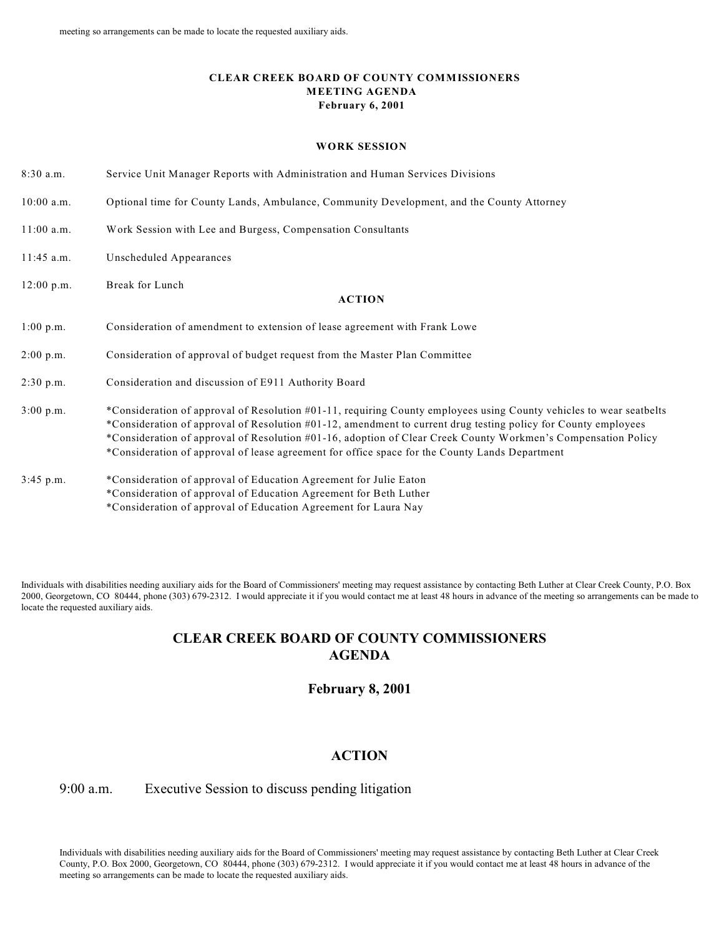#### **CLEAR CREEK BOARD OF COUNTY COMMISSIONERS MEETING AGENDA February 6, 2001**

#### **WORK SESSION**

- 8:30 a.m. Service Unit Manager Reports with Administration and Human Services Divisions
- 10:00 a.m. Optional time for County Lands, Ambulance, Community Development, and the County Attorney
- 11:00 a.m. Work Session with Lee and Burgess, Compensation Consultants
- 11:45 a.m. Unscheduled Appearances
- 12:00 p.m. Break for Lunch

#### **ACTION**

- 1:00 p.m. Consideration of amendment to extension of lease agreement with Frank Lowe
- 2:00 p.m. Consideration of approval of budget request from the Master Plan Committee
- 2:30 p.m. Consideration and discussion of E911 Authority Board
- 3:00 p.m. \*Consideration of approval of Resolution #01-11, requiring County employees using County vehicles to wear seatbelts \*Consideration of approval of Resolution #01-12, amendment to current drug testing policy for County employees \*Consideration of approval of Resolution #01-16, adoption of Clear Creek County Workmen's Compensation Policy \*Consideration of approval of lease agreement for office space for the County Lands Department
- 3:45 p.m. \*Consideration of approval of Education Agreement for Julie Eaton \*Consideration of approval of Education Agreement for Beth Luther \*Consideration of approval of Education Agreement for Laura Nay

Individuals with disabilities needing auxiliary aids for the Board of Commissioners' meeting may request assistance by contacting Beth Luther at Clear Creek County, P.O. Box 2000, Georgetown, CO 80444, phone (303) 679-2312. I would appreciate it if you would contact me at least 48 hours in advance of the meeting so arrangements can be made to locate the requested auxiliary aids.

## **CLEAR CREEK BOARD OF COUNTY COMMISSIONERS AGENDA**

### **February 8, 2001**

### **ACTION**

### 9:00 a.m. Executive Session to discuss pending litigation

Individuals with disabilities needing auxiliary aids for the Board of Commissioners' meeting may request assistance by contacting Beth Luther at Clear Creek County, P.O. Box 2000, Georgetown, CO 80444, phone (303) 679-2312. I would appreciate it if you would contact me at least 48 hours in advance of the meeting so arrangements can be made to locate the requested auxiliary aids.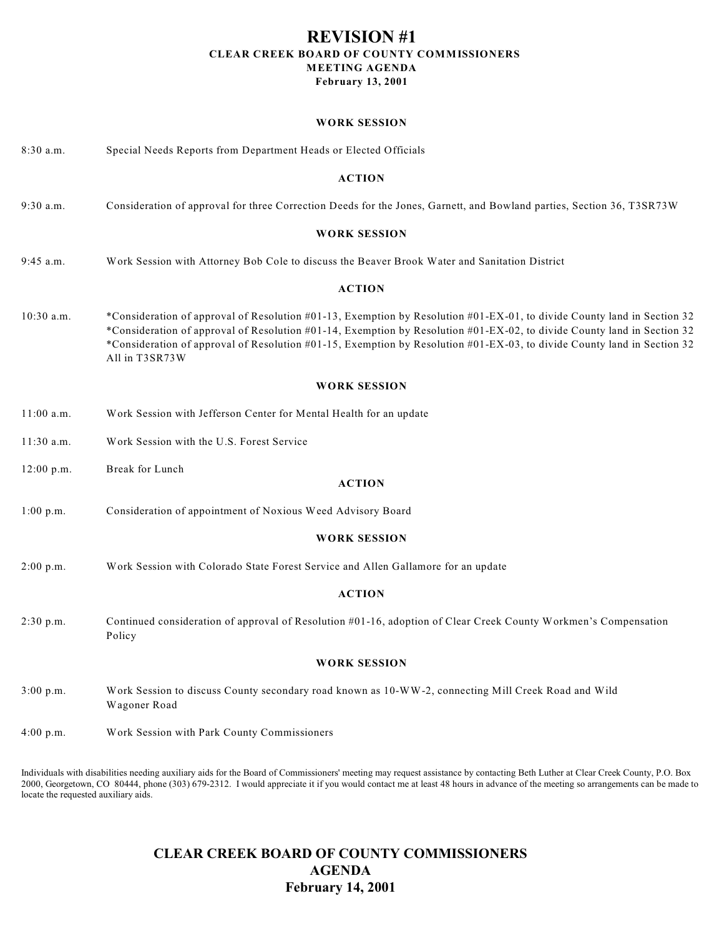### **REVISION #1 CLEAR CREEK BOARD OF COUNTY COMMISSIONERS MEETING AGENDA February 13, 2001**

#### **WORK SESSION**

| 8:30 a.m.           | Special Needs Reports from Department Heads or Elected Officials                                                                                                                                                                                                                                                                                                                                |  |
|---------------------|-------------------------------------------------------------------------------------------------------------------------------------------------------------------------------------------------------------------------------------------------------------------------------------------------------------------------------------------------------------------------------------------------|--|
|                     | <b>ACTION</b>                                                                                                                                                                                                                                                                                                                                                                                   |  |
| $9:30$ a.m.         | Consideration of approval for three Correction Deeds for the Jones, Garnett, and Bowland parties, Section 36, T3SR73W                                                                                                                                                                                                                                                                           |  |
|                     | <b>WORK SESSION</b>                                                                                                                                                                                                                                                                                                                                                                             |  |
| $9:45$ a.m.         | Work Session with Attorney Bob Cole to discuss the Beaver Brook Water and Sanitation District                                                                                                                                                                                                                                                                                                   |  |
|                     | <b>ACTION</b>                                                                                                                                                                                                                                                                                                                                                                                   |  |
| $10:30$ a.m.        | *Consideration of approval of Resolution #01-13, Exemption by Resolution #01-EX-01, to divide County land in Section 32<br>*Consideration of approval of Resolution #01-14, Exemption by Resolution #01-EX-02, to divide County land in Section 32<br>*Consideration of approval of Resolution #01-15, Exemption by Resolution #01-EX-03, to divide County land in Section 32<br>All in T3SR73W |  |
|                     | <b>WORK SESSION</b>                                                                                                                                                                                                                                                                                                                                                                             |  |
| $11:00$ a.m.        | Work Session with Jefferson Center for Mental Health for an update                                                                                                                                                                                                                                                                                                                              |  |
| $11:30$ a.m.        | Work Session with the U.S. Forest Service                                                                                                                                                                                                                                                                                                                                                       |  |
| 12:00 p.m.          | Break for Lunch<br><b>ACTION</b>                                                                                                                                                                                                                                                                                                                                                                |  |
| $1:00$ p.m.         | Consideration of appointment of Noxious Weed Advisory Board                                                                                                                                                                                                                                                                                                                                     |  |
|                     | <b>WORK SESSION</b>                                                                                                                                                                                                                                                                                                                                                                             |  |
| 2:00 p.m.           | Work Session with Colorado State Forest Service and Allen Gallamore for an update                                                                                                                                                                                                                                                                                                               |  |
| <b>ACTION</b>       |                                                                                                                                                                                                                                                                                                                                                                                                 |  |
| 2:30 p.m.           | Continued consideration of approval of Resolution #01-16, adoption of Clear Creek County Workmen's Compensation<br>Policy                                                                                                                                                                                                                                                                       |  |
| <b>WORK SESSION</b> |                                                                                                                                                                                                                                                                                                                                                                                                 |  |
| 3:00 p.m.           | Work Session to discuss County secondary road known as 10-WW-2, connecting Mill Creek Road and Wild<br>Wagoner Road                                                                                                                                                                                                                                                                             |  |
| 4:00 p.m.           | Work Session with Park County Commissioners                                                                                                                                                                                                                                                                                                                                                     |  |

Individuals with disabilities needing auxiliary aids for the Board of Commissioners' meeting may request assistance by contacting Beth Luther at Clear Creek County, P.O. Box 2000, Georgetown, CO 80444, phone (303) 679-2312. I would appreciate it if you would contact me at least 48 hours in advance of the meeting so arrangements can be made to locate the requested auxiliary aids.

> **CLEAR CREEK BOARD OF COUNTY COMMISSIONERS AGENDA February 14, 2001**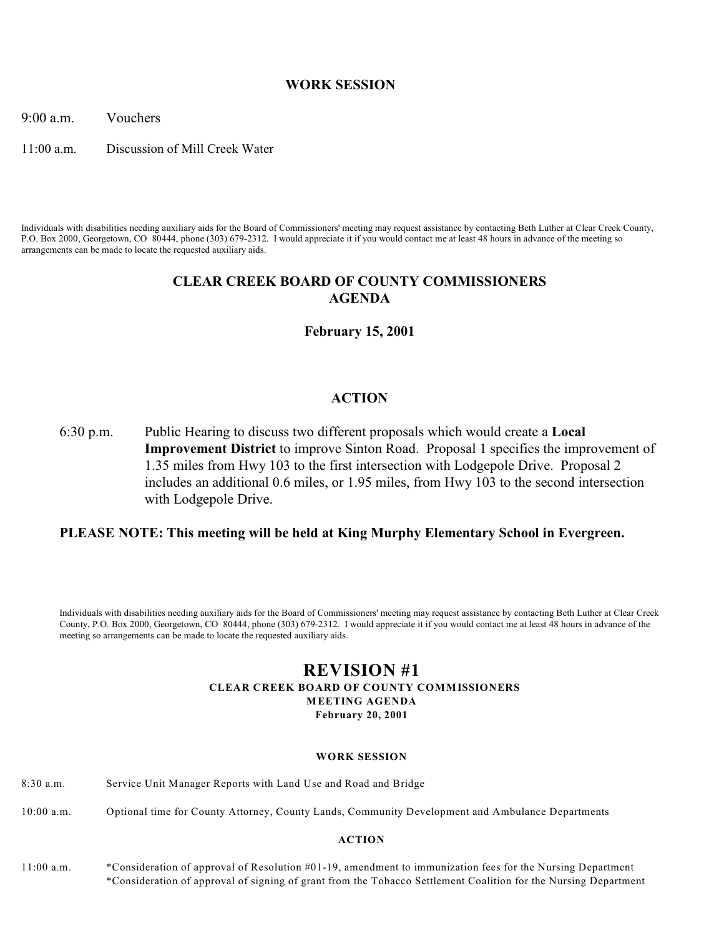### **WORK SESSION**

9:00 a.m. Vouchers

11:00 a.m. Discussion of Mill Creek Water

Individuals with disabilities needing auxiliary aids for the Board of Commissioners' meeting may request assistance by contacting Beth Luther at Clear Creek County, P.O. Box 2000, Georgetown, CO 80444, phone (303) 679-2312. I would appreciate it if you would contact me at least 48 hours in advance of the meeting so arrangements can be made to locate the requested auxiliary aids.

### **CLEAR CREEK BOARD OF COUNTY COMMISSIONERS AGENDA**

**February 15, 2001**

### **ACTION**

6:30 p.m. Public Hearing to discuss two different proposals which would create a **Local Improvement District** to improve Sinton Road. Proposal 1 specifies the improvement of 1.35 miles from Hwy 103 to the first intersection with Lodgepole Drive. Proposal 2 includes an additional 0.6 miles, or 1.95 miles, from Hwy 103 to the second intersection with Lodgepole Drive.

### **PLEASE NOTE: This meeting will be held at King Murphy Elementary School in Evergreen.**

Individuals with disabilities needing auxiliary aids for the Board of Commissioners' meeting may request assistance by contacting Beth Luther at Clear Creek County, P.O. Box 2000, Georgetown, CO 80444, phone (303) 679-2312. I would appreciate it if you would contact me at least 48 hours in advance of the meeting so arrangements can be made to locate the requested auxiliary aids.

### **REVISION #1 CLEAR CREEK BOARD OF COUNTY COMMISSIONERS MEETING AGENDA February 20, 2001**

#### **WORK SESSION**

- 8:30 a.m. Service Unit Manager Reports with Land Use and Road and Bridge
- 10:00 a.m. Optional time for County Attorney, County Lands, Community Development and Ambulance Departments

### **ACTION**

11:00 a.m. \*Consideration of approval of Resolution #01-19, amendment to immunization fees for the Nursing Department \*Consideration of approval of signing of grant from the Tobacco Settlement Coalition for the Nursing Department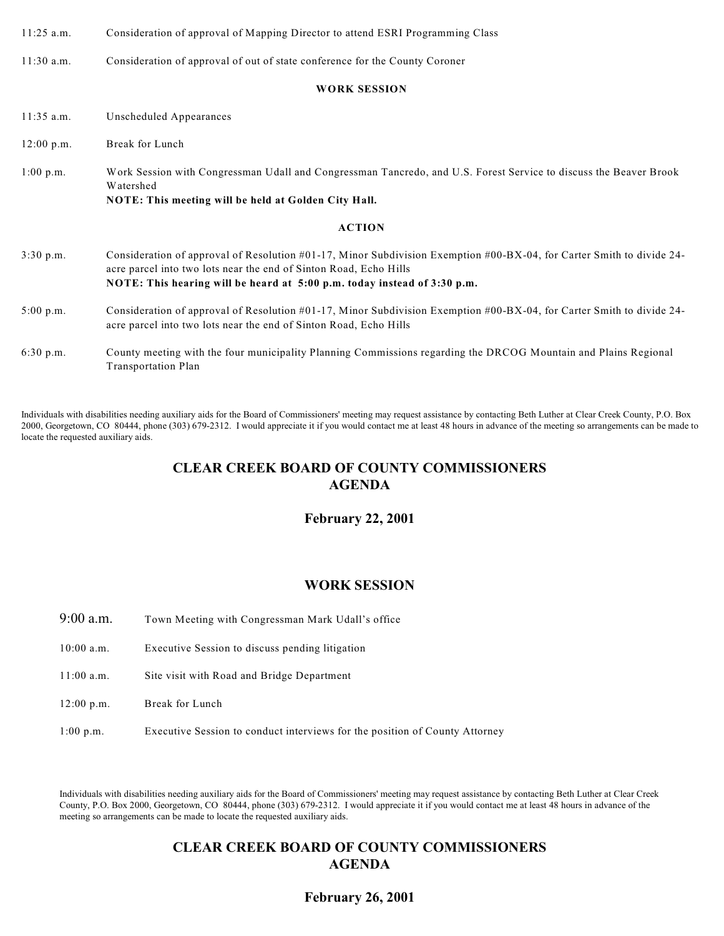| $11:25$ a.m. | Consideration of approval of Mapping Director to attend ESRI Programming Class |  |
|--------------|--------------------------------------------------------------------------------|--|
|--------------|--------------------------------------------------------------------------------|--|

11:30 a.m. Consideration of approval of out of state conference for the County Coroner

#### **WORK SESSION**

11:35 a.m. Unscheduled Appearances 12:00 p.m. Break for Lunch 1:00 p.m. Work Session with Congressman Udall and Congressman Tancredo, and U.S. Forest Service to discuss the Beaver Brook Watershed **NOTE: This meeting will be held at Golden City Hall. ACTION** 3:30 p.m. Consideration of approval of Resolution #01-17, Minor Subdivision Exemption #00-BX-04, for Carter Smith to divide 24 acre parcel into two lots near the end of Sinton Road, Echo Hills **NOTE: This hearing will be heard at 5:00 p.m. today instead of 3:30 p.m.** 5:00 p.m. Consideration of approval of Resolution #01-17, Minor Subdivision Exemption #00-BX-04, for Carter Smith to divide 24 acre parcel into two lots near the end of Sinton Road, Echo Hills 6:30 p.m. County meeting with the four municipality Planning Commissions regarding the DRCOG Mountain and Plains Regional Transportation Plan

Individuals with disabilities needing auxiliary aids for the Board of Commissioners' meeting may request assistance by contacting Beth Luther at Clear Creek County, P.O. Box 2000, Georgetown, CO 80444, phone (303) 679-2312. I would appreciate it if you would contact me at least 48 hours in advance of the meeting so arrangements can be made to locate the requested auxiliary aids.

### **CLEAR CREEK BOARD OF COUNTY COMMISSIONERS AGENDA**

### **February 22, 2001**

### **WORK SESSION**

- 9:00 a.m. Town Meeting with Congressman Mark Udall's office
- 10:00 a.m. Executive Session to discuss pending litigation
- 11:00 a.m. Site visit with Road and Bridge Department
- 12:00 p.m. Break for Lunch
- 1:00 p.m. Executive Session to conduct interviews for the position of County Attorney

Individuals with disabilities needing auxiliary aids for the Board of Commissioners' meeting may request assistance by contacting Beth Luther at Clear Creek County, P.O. Box 2000, Georgetown, CO 80444, phone (303) 679-2312. I would appreciate it if you would contact me at least 48 hours in advance of the meeting so arrangements can be made to locate the requested auxiliary aids.

### **CLEAR CREEK BOARD OF COUNTY COMMISSIONERS AGENDA**

### **February 26, 2001**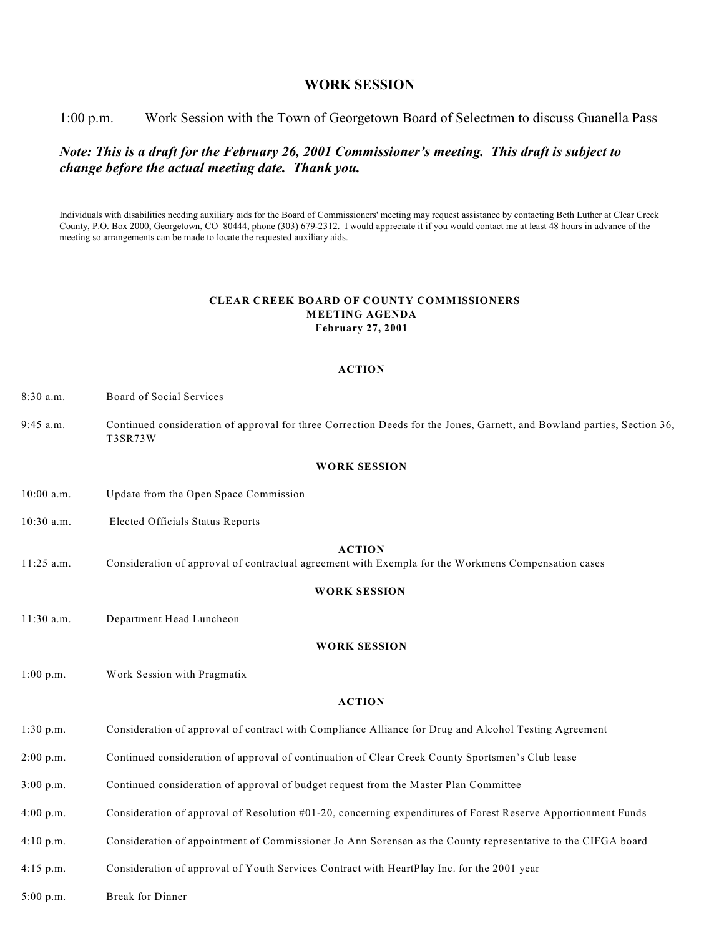### **WORK SESSION**

1:00 p.m. Work Session with the Town of Georgetown Board of Selectmen to discuss Guanella Pass

### *Note: This is a draft for the February 26, 2001 Commissioner's meeting. This draft is subject to change before the actual meeting date. Thank you.*

Individuals with disabilities needing auxiliary aids for the Board of Commissioners' meeting may request assistance by contacting Beth Luther at Clear Creek County, P.O. Box 2000, Georgetown, CO 80444, phone (303) 679-2312. I would appreciate it if you would contact me at least 48 hours in advance of the meeting so arrangements can be made to locate the requested auxiliary aids.

#### **CLEAR CREEK BOARD OF COUNTY COMMISSIONERS MEETING AGENDA February 27, 2001**

#### **ACTION**

8:30 a.m. Board of Social Services

9:45 a.m. Continued consideration of approval for three Correction Deeds for the Jones, Garnett, and Bowland parties, Section 36, T3SR73W

#### **WORK SESSION**

- 10:00 a.m. Update from the Open Space Commission
- 10:30 a.m. Elected Officials Status Reports

#### **ACTION**

11:25 a.m. Consideration of approval of contractual agreement with Exempla for the Workmens Compensation cases

#### **WORK SESSION**

11:30 a.m. Department Head Luncheon

#### **WORK SESSION**

1:00 p.m. Work Session with Pragmatix

#### **ACTION**

- 1:30 p.m. Consideration of approval of contract with Compliance Alliance for Drug and Alcohol Testing Agreement
- 2:00 p.m. Continued consideration of approval of continuation of Clear Creek County Sportsmen's Club lease
- 3:00 p.m. Continued consideration of approval of budget request from the Master Plan Committee
- 4:00 p.m. Consideration of approval of Resolution #01-20, concerning expenditures of Forest Reserve Apportionment Funds
- 4:10 p.m. Consideration of appointment of Commissioner Jo Ann Sorensen as the County representative to the CIFGA board
- 4:15 p.m. Consideration of approval of Youth Services Contract with HeartPlay Inc. for the 2001 year

5:00 p.m. Break for Dinner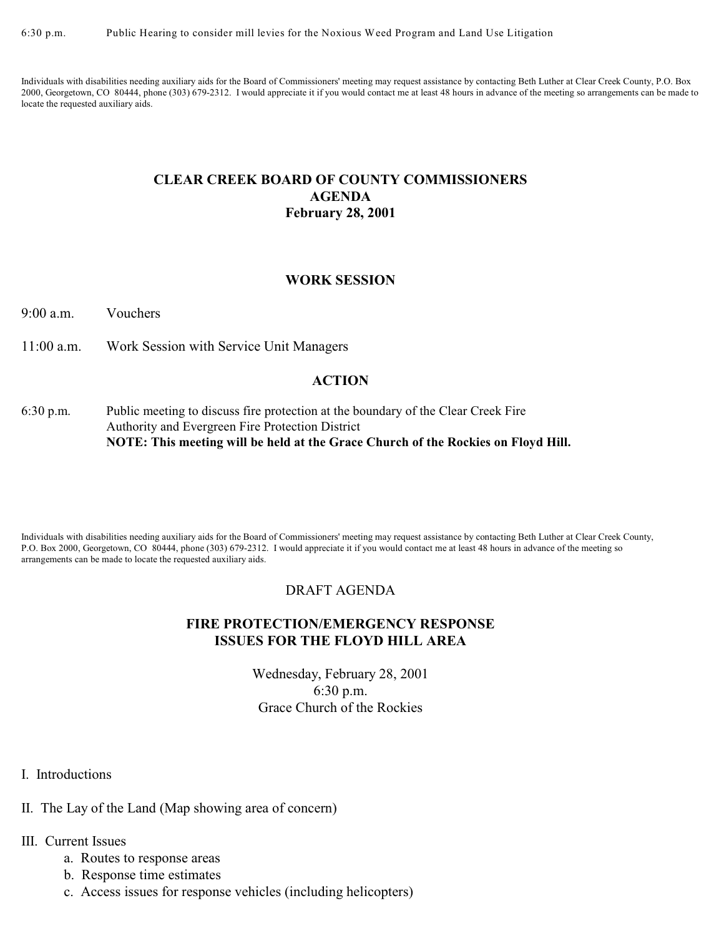Individuals with disabilities needing auxiliary aids for the Board of Commissioners' meeting may request assistance by contacting Beth Luther at Clear Creek County, P.O. Box 2000, Georgetown, CO 80444, phone (303) 679-2312. I would appreciate it if you would contact me at least 48 hours in advance of the meeting so arrangements can be made to locate the requested auxiliary aids.

### **CLEAR CREEK BOARD OF COUNTY COMMISSIONERS AGENDA February 28, 2001**

### **WORK SESSION**

9:00 a.m. Vouchers

11:00 a.m. Work Session with Service Unit Managers

### **ACTION**

6:30 p.m. Public meeting to discuss fire protection at the boundary of the Clear Creek Fire Authority and Evergreen Fire Protection District **NOTE: This meeting will be held at the Grace Church of the Rockies on Floyd Hill.**

Individuals with disabilities needing auxiliary aids for the Board of Commissioners' meeting may request assistance by contacting Beth Luther at Clear Creek County, P.O. Box 2000, Georgetown, CO 80444, phone (303) 679-2312. I would appreciate it if you would contact me at least 48 hours in advance of the meeting so arrangements can be made to locate the requested auxiliary aids.

### DRAFT AGENDA

### **FIRE PROTECTION/EMERGENCY RESPONSE ISSUES FOR THE FLOYD HILL AREA**

Wednesday, February 28, 2001 6:30 p.m. Grace Church of the Rockies

I. Introductions

II. The Lay of the Land (Map showing area of concern)

### III. Current Issues

- a. Routes to response areas
- b. Response time estimates
- c. Access issues for response vehicles (including helicopters)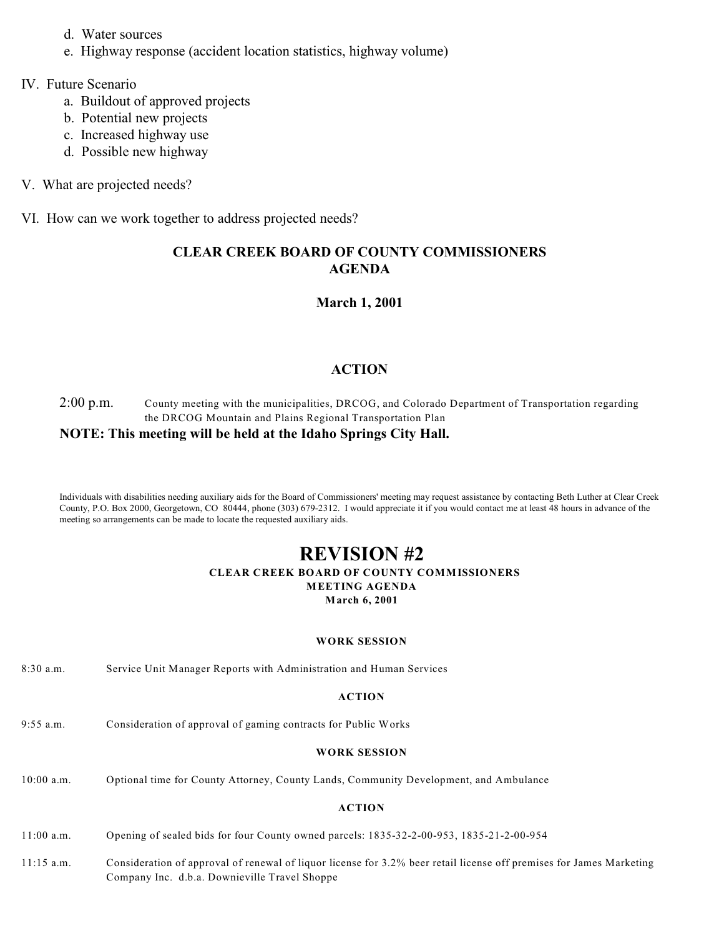- d. Water sources
- e. Highway response (accident location statistics, highway volume)

### IV. Future Scenario

- a. Buildout of approved projects
- b. Potential new projects
- c. Increased highway use
- d. Possible new highway
- V. What are projected needs?
- VI. How can we work together to address projected needs?

# **CLEAR CREEK BOARD OF COUNTY COMMISSIONERS AGENDA**

## **March 1, 2001**

## **ACTION**

### 2:00 p.m. County meeting with the municipalities, DRCOG, and Colorado Department of Transportation regarding the DRCOG Mountain and Plains Regional Transportation Plan **NOTE: This meeting will be held at the Idaho Springs City Hall.**

Individuals with disabilities needing auxiliary aids for the Board of Commissioners' meeting may request assistance by contacting Beth Luther at Clear Creek County, P.O. Box 2000, Georgetown, CO 80444, phone (303) 679-2312. I would appreciate it if you would contact me at least 48 hours in advance of the meeting so arrangements can be made to locate the requested auxiliary aids.

### **REVISION #2 CLEAR CREEK BOARD OF COUNTY COMMISSIONERS MEETING AGENDA March 6, 2001**

#### **WORK SESSION**

8:30 a.m. Service Unit Manager Reports with Administration and Human Services

### **ACTION**

9:55 a.m. Consideration of approval of gaming contracts for Public Works

#### **WORK SESSION**

10:00 a.m. Optional time for County Attorney, County Lands, Community Development, and Ambulance

- 11:00 a.m. Opening of sealed bids for four County owned parcels: 1835-32-2-00-953, 1835-21-2-00-954
- 11:15 a.m. Consideration of approval of renewal of liquor license for 3.2% beer retail license off premises for James Marketing Company Inc. d.b.a. Downieville Travel Shoppe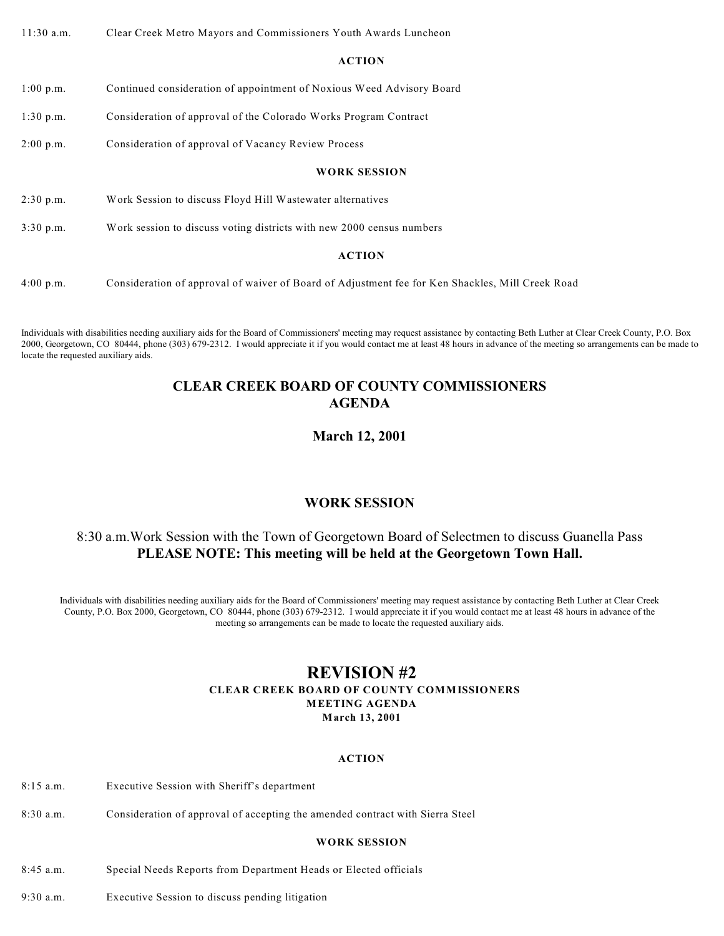11:30 a.m. Clear Creek Metro Mayors and Commissioners Youth Awards Luncheon

#### **ACTION**

1:00 p.m. Continued consideration of appointment of Noxious Weed Advisory Board

1:30 p.m. Consideration of approval of the Colorado Works Program Contract

2:00 p.m. Consideration of approval of Vacancy Review Process

### **WORK SESSION**

2:30 p.m. Work Session to discuss Floyd Hill Wastewater alternatives

3:30 p.m. Work session to discuss voting districts with new 2000 census numbers

### **ACTION**

4:00 p.m. Consideration of approval of waiver of Board of Adjustment fee for Ken Shackles, Mill Creek Road

Individuals with disabilities needing auxiliary aids for the Board of Commissioners' meeting may request assistance by contacting Beth Luther at Clear Creek County, P.O. Box 2000, Georgetown, CO 80444, phone (303) 679-2312. I would appreciate it if you would contact me at least 48 hours in advance of the meeting so arrangements can be made to locate the requested auxiliary aids.

# **CLEAR CREEK BOARD OF COUNTY COMMISSIONERS AGENDA**

# **March 12, 2001**

# **WORK SESSION**

# 8:30 a.m.Work Session with the Town of Georgetown Board of Selectmen to discuss Guanella Pass **PLEASE NOTE: This meeting will be held at the Georgetown Town Hall.**

Individuals with disabilities needing auxiliary aids for the Board of Commissioners' meeting may request assistance by contacting Beth Luther at Clear Creek County, P.O. Box 2000, Georgetown, CO 80444, phone (303) 679-2312. I would appreciate it if you would contact me at least 48 hours in advance of the meeting so arrangements can be made to locate the requested auxiliary aids.

### **REVISION #2 CLEAR CREEK BOARD OF COUNTY COMMISSIONERS MEETING AGENDA March 13, 2001**

### **ACTION**

- 8:15 a.m. Executive Session with Sheriff's department
- 8:30 a.m. Consideration of approval of accepting the amended contract with Sierra Steel

### **WORK SESSION**

- 8:45 a.m. Special Needs Reports from Department Heads or Elected officials
- 9:30 a.m. Executive Session to discuss pending litigation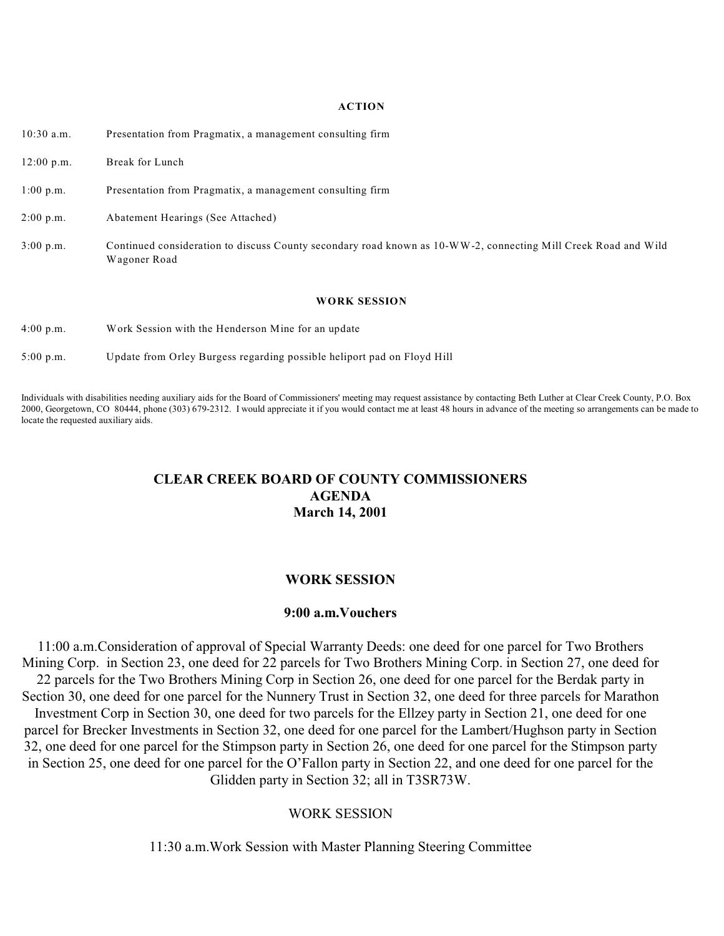| $10:30$ a.m.        | Presentation from Pragmatix, a management consulting firm                                                                      |
|---------------------|--------------------------------------------------------------------------------------------------------------------------------|
| $12:00$ p.m.        | Break for Lunch                                                                                                                |
| $1:00$ p.m.         | Presentation from Pragmatix, a management consulting firm                                                                      |
| $2:00$ p.m.         | Abatement Hearings (See Attached)                                                                                              |
| $3:00 \text{ p.m.}$ | Continued consideration to discuss County secondary road known as 10-WW-2, connecting Mill Creek Road and Wild<br>Wagoner Road |
|                     | <b>WORK SESSION</b>                                                                                                            |
| $4:00 \text{ p.m.}$ | Work Session with the Henderson Mine for an update                                                                             |

5:00 p.m. Update from Orley Burgess regarding possible heliport pad on Floyd Hill

Individuals with disabilities needing auxiliary aids for the Board of Commissioners' meeting may request assistance by contacting Beth Luther at Clear Creek County, P.O. Box 2000, Georgetown, CO 80444, phone (303) 679-2312. I would appreciate it if you would contact me at least 48 hours in advance of the meeting so arrangements can be made to locate the requested auxiliary aids.

### **CLEAR CREEK BOARD OF COUNTY COMMISSIONERS AGENDA March 14, 2001**

### **WORK SESSION**

### **9:00 a.m.Vouchers**

11:00 a.m.Consideration of approval of Special Warranty Deeds: one deed for one parcel for Two Brothers Mining Corp. in Section 23, one deed for 22 parcels for Two Brothers Mining Corp. in Section 27, one deed for 22 parcels for the Two Brothers Mining Corp in Section 26, one deed for one parcel for the Berdak party in Section 30, one deed for one parcel for the Nunnery Trust in Section 32, one deed for three parcels for Marathon Investment Corp in Section 30, one deed for two parcels for the Ellzey party in Section 21, one deed for one parcel for Brecker Investments in Section 32, one deed for one parcel for the Lambert/Hughson party in Section 32, one deed for one parcel for the Stimpson party in Section 26, one deed for one parcel for the Stimpson party in Section 25, one deed for one parcel for the O'Fallon party in Section 22, and one deed for one parcel for the Glidden party in Section 32; all in T3SR73W.

### WORK SESSION

11:30 a.m.Work Session with Master Planning Steering Committee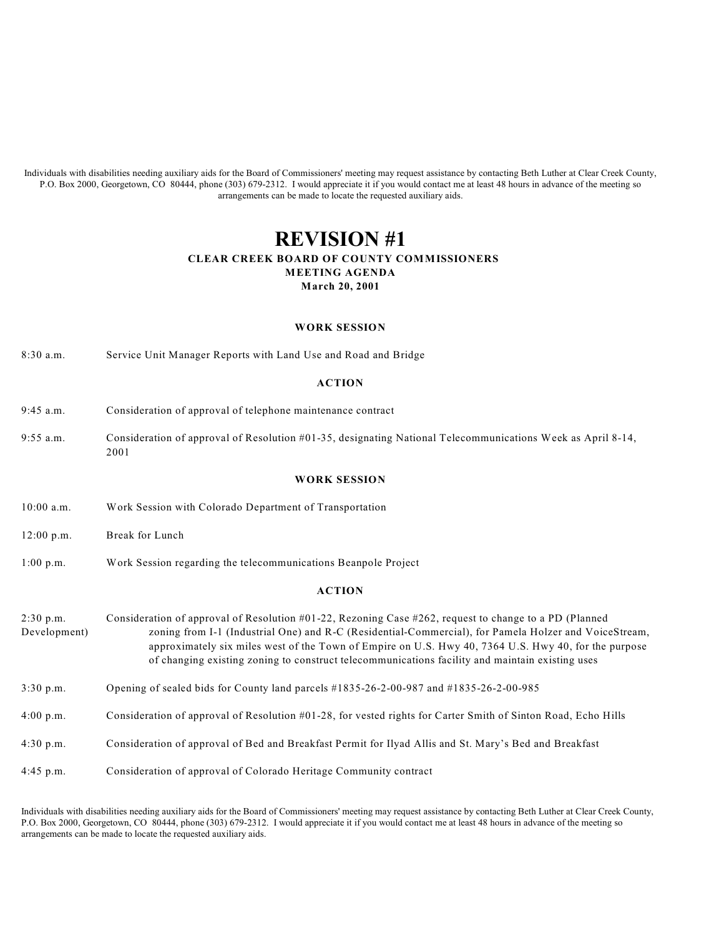Individuals with disabilities needing auxiliary aids for the Board of Commissioners' meeting may request assistance by contacting Beth Luther at Clear Creek County, P.O. Box 2000, Georgetown, CO 80444, phone (303) 679-2312. I would appreciate it if you would contact me at least 48 hours in advance of the meeting so arrangements can be made to locate the requested auxiliary aids.

### **REVISION #1 CLEAR CREEK BOARD OF COUNTY COMMISSIONERS MEETING AGENDA March 20, 2001**

#### **WORK SESSION**

8:30 a.m. Service Unit Manager Reports with Land Use and Road and Bridge

#### **ACTION**

- 9:45 a.m. Consideration of approval of telephone maintenance contract
- 9:55 a.m. Consideration of approval of Resolution #01-35, designating National Telecommunications Week as April 8-14, 2001

#### **WORK SESSION**

- 10:00 a.m. Work Session with Colorado Department of Transportation
- 12:00 p.m. Break for Lunch
- 1:00 p.m. Work Session regarding the telecommunications Beanpole Project

#### **ACTION**

- 2:30 p.m. Consideration of approval of Resolution #01-22, Rezoning Case #262, request to change to a PD (Planned Development) zoning from I-1 (Industrial One) and R-C (Residential-Commercial), for Pamela Holzer and VoiceStream, approximately six miles west of the Town of Empire on U.S. Hwy 40, 7364 U.S. Hwy 40, for the purpose of changing existing zoning to construct telecommunications facility and maintain existing uses
- 3:30 p.m. Opening of sealed bids for County land parcels #1835-26-2-00-987 and #1835-26-2-00-985
- 4:00 p.m. Consideration of approval of Resolution #01-28, for vested rights for Carter Smith of Sinton Road, Echo Hills
- 4:30 p.m. Consideration of approval of Bed and Breakfast Permit for Ilyad Allis and St. Mary's Bed and Breakfast
- 4:45 p.m. Consideration of approval of Colorado Heritage Community contract

Individuals with disabilities needing auxiliary aids for the Board of Commissioners' meeting may request assistance by contacting Beth Luther at Clear Creek County, P.O. Box 2000, Georgetown, CO 80444, phone (303) 679-2312. I would appreciate it if you would contact me at least 48 hours in advance of the meeting so arrangements can be made to locate the requested auxiliary aids.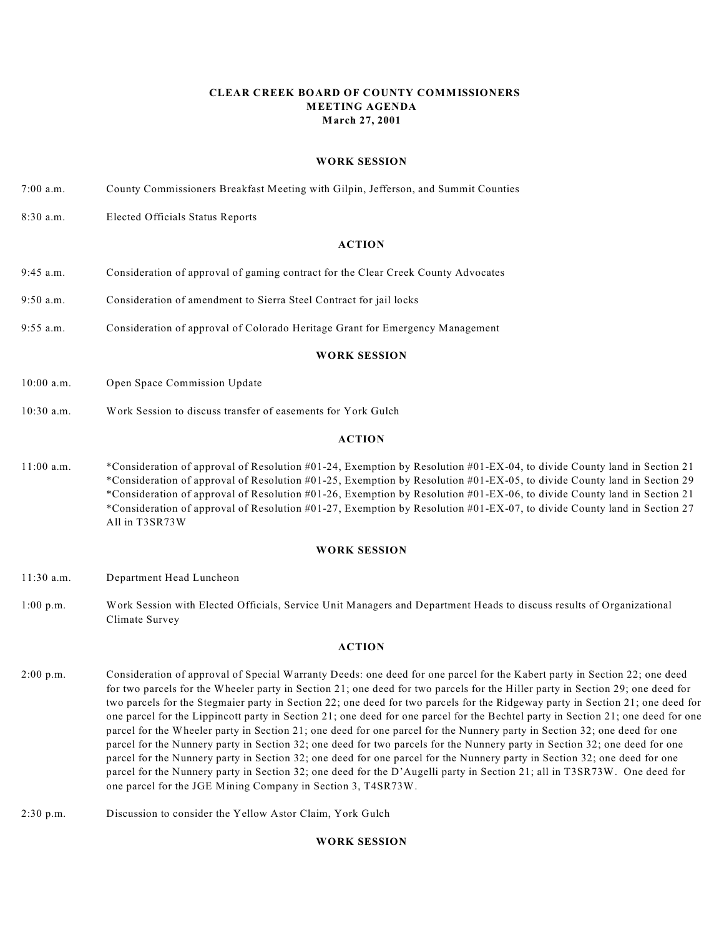#### **CLEAR CREEK BOARD OF COUNTY COMMISSIONERS MEETING AGENDA March 27, 2001**

#### **WORK SESSION**

- 7:00 a.m. County Commissioners Breakfast Meeting with Gilpin, Jefferson, and Summit Counties
- 8:30 a.m. Elected Officials Status Reports

#### **ACTION**

- 9:45 a.m. Consideration of approval of gaming contract for the Clear Creek County Advocates
- 9:50 a.m. Consideration of amendment to Sierra Steel Contract for jail locks
- 9:55 a.m. Consideration of approval of Colorado Heritage Grant for Emergency Management

#### **WORK SESSION**

- 10:00 a.m. Open Space Commission Update
- 10:30 a.m. Work Session to discuss transfer of easements for York Gulch

#### **ACTION**

11:00 a.m. \*Consideration of approval of Resolution #01-24, Exemption by Resolution #01-EX-04, to divide County land in Section 21 \*Consideration of approval of Resolution #01-25, Exemption by Resolution #01-EX-05, to divide County land in Section 29 \*Consideration of approval of Resolution #01-26, Exemption by Resolution #01-EX-06, to divide County land in Section 21 \*Consideration of approval of Resolution #01-27, Exemption by Resolution #01-EX-07, to divide County land in Section 27 All in T3SR73W

#### **WORK SESSION**

- 11:30 a.m. Department Head Luncheon
- 1:00 p.m. Work Session with Elected Officials, Service Unit Managers and Department Heads to discuss results of Organizational Climate Survey

#### **ACTION**

- 2:00 p.m. Consideration of approval of Special Warranty Deeds: one deed for one parcel for the Kabert party in Section 22; one deed for two parcels for the Wheeler party in Section 21; one deed for two parcels for the Hiller party in Section 29; one deed for two parcels for the Stegmaier party in Section 22; one deed for two parcels for the Ridgeway party in Section 21; one deed for one parcel for the Lippincott party in Section 21; one deed for one parcel for the Bechtel party in Section 21; one deed for one parcel for the Wheeler party in Section 21; one deed for one parcel for the Nunnery party in Section 32; one deed for one parcel for the Nunnery party in Section 32; one deed for two parcels for the Nunnery party in Section 32; one deed for one parcel for the Nunnery party in Section 32; one deed for one parcel for the Nunnery party in Section 32; one deed for one parcel for the Nunnery party in Section 32; one deed for the D'Augelli party in Section 21; all in T3SR73W. One deed for one parcel for the JGE Mining Company in Section 3, T4SR73W.
- 2:30 p.m. Discussion to consider the Yellow Astor Claim, York Gulch

#### **WORK SESSION**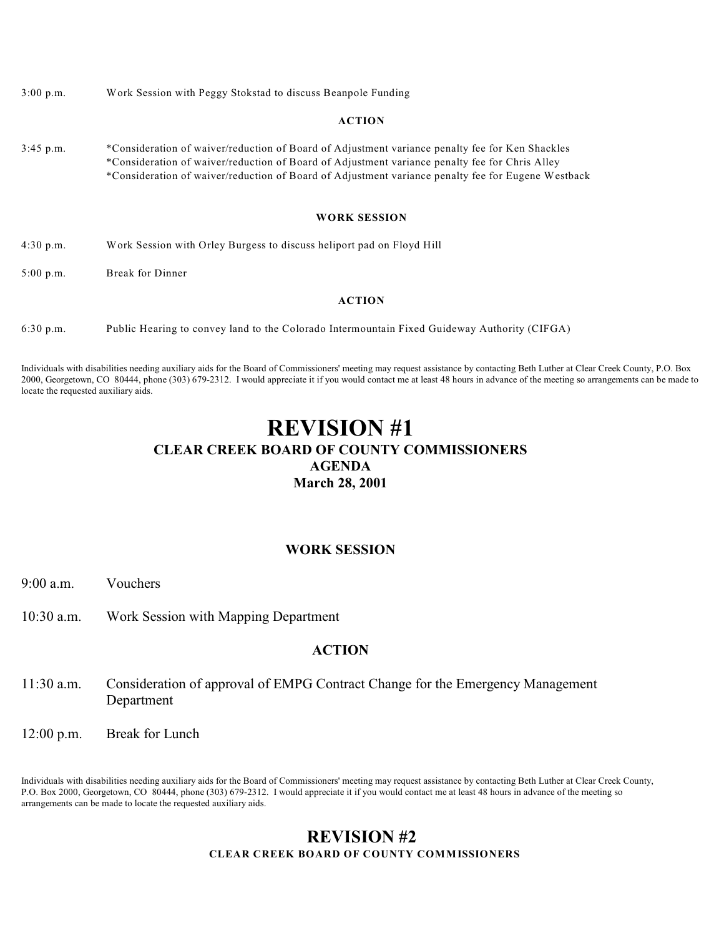3:00 p.m. Work Session with Peggy Stokstad to discuss Beanpole Funding

#### **ACTION**

3:45 p.m. \*Consideration of waiver/reduction of Board of Adjustment variance penalty fee for Ken Shackles \*Consideration of waiver/reduction of Board of Adjustment variance penalty fee for Chris Alley \*Consideration of waiver/reduction of Board of Adjustment variance penalty fee for Eugene Westback

#### **WORK SESSION**

- 4:30 p.m. Work Session with Orley Burgess to discuss heliport pad on Floyd Hill
- 5:00 p.m. Break for Dinner

#### **ACTION**

6:30 p.m. Public Hearing to convey land to the Colorado Intermountain Fixed Guideway Authority (CIFGA)

Individuals with disabilities needing auxiliary aids for the Board of Commissioners' meeting may request assistance by contacting Beth Luther at Clear Creek County, P.O. Box 2000, Georgetown, CO 80444, phone (303) 679-2312. I would appreciate it if you would contact me at least 48 hours in advance of the meeting so arrangements can be made to locate the requested auxiliary aids.

# **REVISION #1 CLEAR CREEK BOARD OF COUNTY COMMISSIONERS AGENDA March 28, 2001**

#### **WORK SESSION**

- 9:00 a.m. Vouchers
- 10:30 a.m. Work Session with Mapping Department

### **ACTION**

- 11:30 a.m. Consideration of approval of EMPG Contract Change for the Emergency Management Department
- 12:00 p.m. Break for Lunch

Individuals with disabilities needing auxiliary aids for the Board of Commissioners' meeting may request assistance by contacting Beth Luther at Clear Creek County, P.O. Box 2000, Georgetown, CO 80444, phone (303) 679-2312. I would appreciate it if you would contact me at least 48 hours in advance of the meeting so arrangements can be made to locate the requested auxiliary aids.

### **REVISION #2 CLEAR CREEK BOARD OF COUNTY COMMISSIONERS**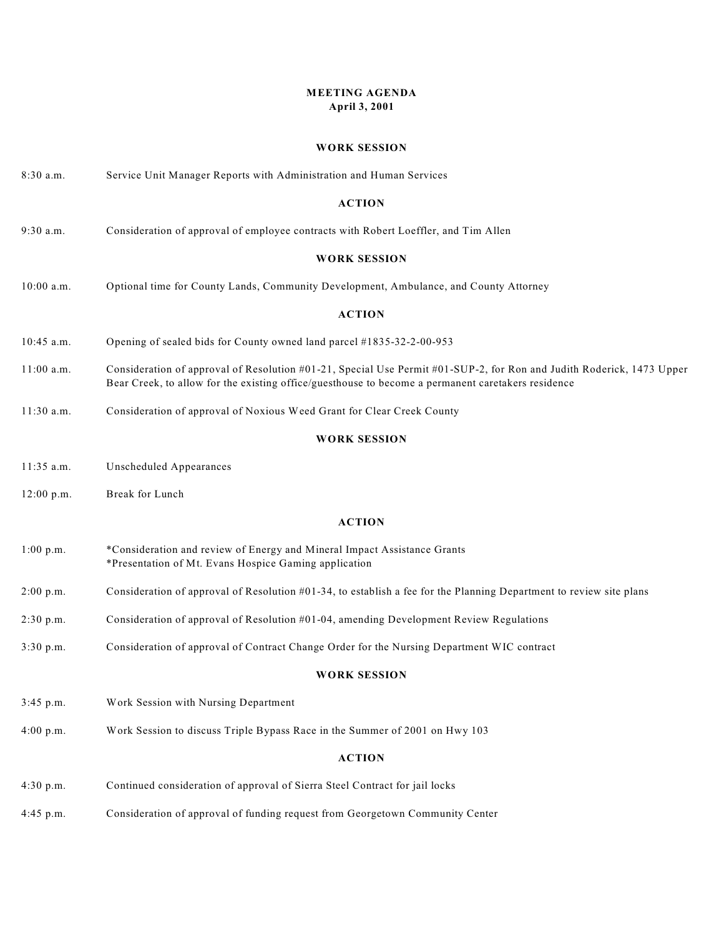### **MEETING AGENDA April 3, 2001**

#### **WORK SESSION**

| 8:30 a.m.           | Service Unit Manager Reports with Administration and Human Services                                                                                                                                                         |  |
|---------------------|-----------------------------------------------------------------------------------------------------------------------------------------------------------------------------------------------------------------------------|--|
|                     | <b>ACTION</b>                                                                                                                                                                                                               |  |
| 9:30 a.m.           | Consideration of approval of employee contracts with Robert Loeffler, and Tim Allen                                                                                                                                         |  |
|                     | <b>WORK SESSION</b>                                                                                                                                                                                                         |  |
| $10:00$ a.m.        | Optional time for County Lands, Community Development, Ambulance, and County Attorney                                                                                                                                       |  |
|                     | <b>ACTION</b>                                                                                                                                                                                                               |  |
| $10:45$ a.m.        | Opening of sealed bids for County owned land parcel #1835-32-2-00-953                                                                                                                                                       |  |
| $11:00$ a.m.        | Consideration of approval of Resolution #01-21, Special Use Permit #01-SUP-2, for Ron and Judith Roderick, 1473 Upper<br>Bear Creek, to allow for the existing office/guesthouse to become a permanent caretakers residence |  |
| $11:30$ a.m.        | Consideration of approval of Noxious Weed Grant for Clear Creek County                                                                                                                                                      |  |
|                     | <b>WORK SESSION</b>                                                                                                                                                                                                         |  |
| $11:35$ a.m.        | Unscheduled Appearances                                                                                                                                                                                                     |  |
| 12:00 p.m.          | Break for Lunch                                                                                                                                                                                                             |  |
|                     | <b>ACTION</b>                                                                                                                                                                                                               |  |
| 1:00 p.m.           | *Consideration and review of Energy and Mineral Impact Assistance Grants<br>*Presentation of Mt. Evans Hospice Gaming application                                                                                           |  |
| $2:00$ p.m.         | Consideration of approval of Resolution $#01-34$ , to establish a fee for the Planning Department to review site plans                                                                                                      |  |
| 2:30 p.m.           | Consideration of approval of Resolution #01-04, amending Development Review Regulations                                                                                                                                     |  |
| 3:30 p.m.           | Consideration of approval of Contract Change Order for the Nursing Department WIC contract                                                                                                                                  |  |
| <b>WORK SESSION</b> |                                                                                                                                                                                                                             |  |
| 3:45 p.m.           | Work Session with Nursing Department                                                                                                                                                                                        |  |
| 4:00 p.m.           | Work Session to discuss Triple Bypass Race in the Summer of 2001 on Hwy 103                                                                                                                                                 |  |
| <b>ACTION</b>       |                                                                                                                                                                                                                             |  |
| 4:30 p.m.           | Continued consideration of approval of Sierra Steel Contract for jail locks                                                                                                                                                 |  |
| 4:45 p.m.           | Consideration of approval of funding request from Georgetown Community Center                                                                                                                                               |  |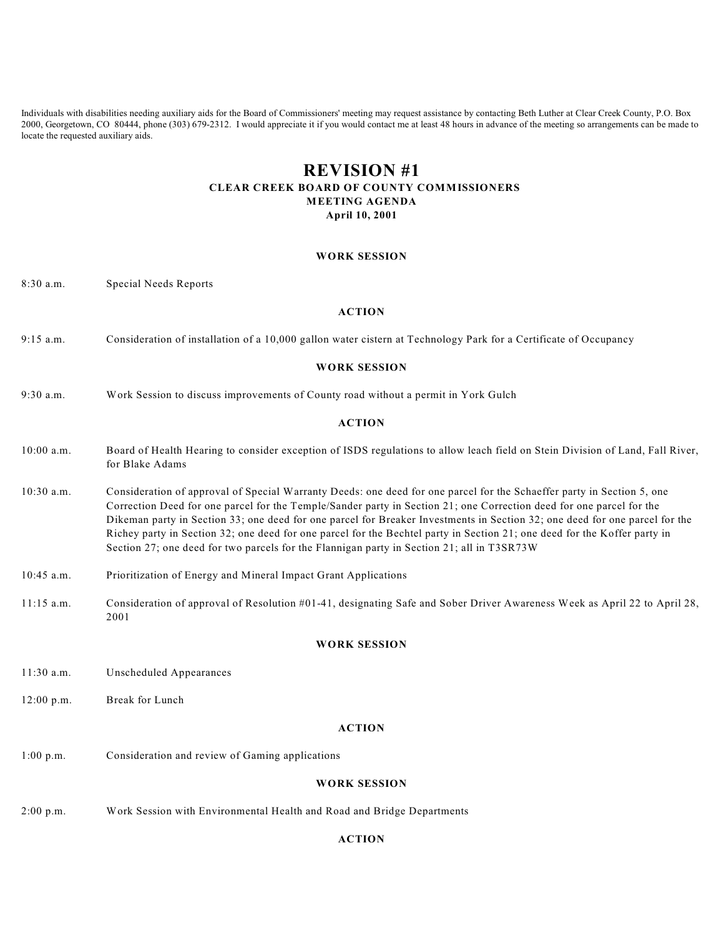Individuals with disabilities needing auxiliary aids for the Board of Commissioners' meeting may request assistance by contacting Beth Luther at Clear Creek County, P.O. Box 2000, Georgetown, CO 80444, phone (303) 679-2312. I would appreciate it if you would contact me at least 48 hours in advance of the meeting so arrangements can be made to locate the requested auxiliary aids.

# **REVISION #1 CLEAR CREEK BOARD OF COUNTY COMMISSIONERS MEETING AGENDA**

**April 10, 2001**

#### **WORK SESSION**

8:30 a.m. Special Needs Reports

#### **ACTION**

9:15 a.m. Consideration of installation of a 10,000 gallon water cistern at Technology Park for a Certificate of Occupancy

#### **WORK SESSION**

9:30 a.m. Work Session to discuss improvements of County road without a permit in York Gulch

#### **ACTION**

- 10:00 a.m. Board of Health Hearing to consider exception of ISDS regulations to allow leach field on Stein Division of Land, Fall River, for Blake Adams
- 10:30 a.m. Consideration of approval of Special Warranty Deeds: one deed for one parcel for the Schaeffer party in Section 5, one Correction Deed for one parcel for the Temple/Sander party in Section 21; one Correction deed for one parcel for the Dikeman party in Section 33; one deed for one parcel for Breaker Investments in Section 32; one deed for one parcel for the Richey party in Section 32; one deed for one parcel for the Bechtel party in Section 21; one deed for the Koffer party in Section 27; one deed for two parcels for the Flannigan party in Section 21; all in T3SR73W
- 10:45 a.m. Prioritization of Energy and Mineral Impact Grant Applications
- 11:15 a.m. Consideration of approval of Resolution #01-41, designating Safe and Sober Driver Awareness Week as April 22 to April 28, 2001

#### **WORK SESSION**

- 11:30 a.m. Unscheduled Appearances
- 12:00 p.m. Break for Lunch

#### **ACTION**

1:00 p.m. Consideration and review of Gaming applications

#### **WORK SESSION**

2:00 p.m. Work Session with Environmental Health and Road and Bridge Departments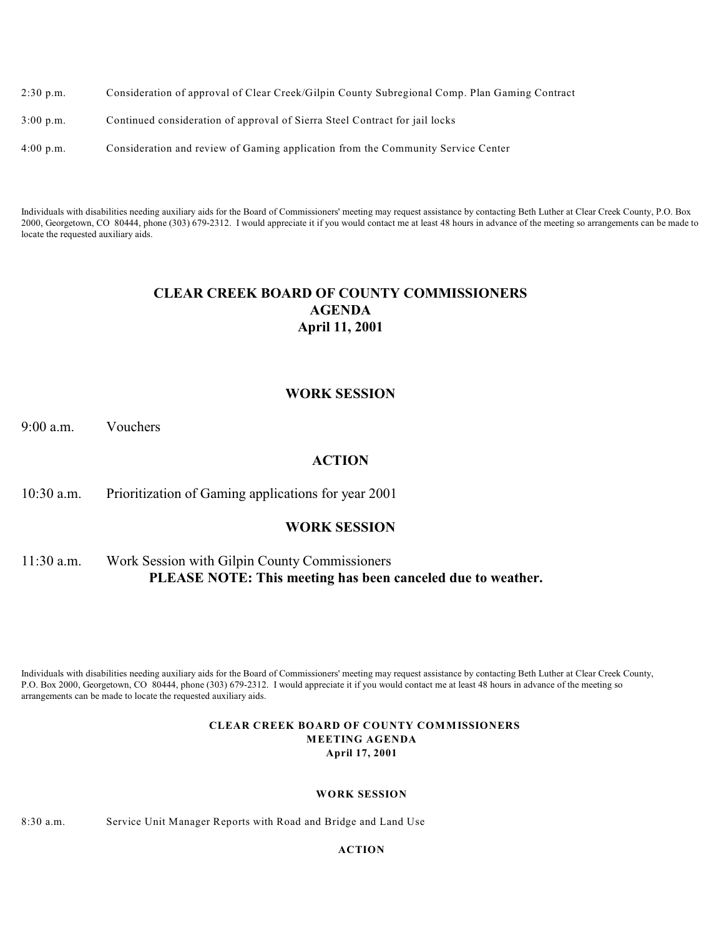| $2:30$ p.m. | Consideration of approval of Clear Creek/Gilpin County Subregional Comp. Plan Gaming Contract |
|-------------|-----------------------------------------------------------------------------------------------|
| $3:00$ p.m. | Continued consideration of approval of Sierra Steel Contract for jail locks                   |

4:00 p.m. Consideration and review of Gaming application from the Community Service Center

Individuals with disabilities needing auxiliary aids for the Board of Commissioners' meeting may request assistance by contacting Beth Luther at Clear Creek County, P.O. Box 2000, Georgetown, CO 80444, phone (303) 679-2312. I would appreciate it if you would contact me at least 48 hours in advance of the meeting so arrangements can be made to locate the requested auxiliary aids.

## **CLEAR CREEK BOARD OF COUNTY COMMISSIONERS AGENDA April 11, 2001**

### **WORK SESSION**

9:00 a.m. Vouchers

### **ACTION**

10:30 a.m. Prioritization of Gaming applications for year 2001

### **WORK SESSION**

# 11:30 a.m. Work Session with Gilpin County Commissioners **PLEASE NOTE: This meeting has been canceled due to weather.**

Individuals with disabilities needing auxiliary aids for the Board of Commissioners' meeting may request assistance by contacting Beth Luther at Clear Creek County, P.O. Box 2000, Georgetown, CO 80444, phone (303) 679-2312. I would appreciate it if you would contact me at least 48 hours in advance of the meeting so arrangements can be made to locate the requested auxiliary aids.

#### **CLEAR CREEK BOARD OF COUNTY COMMISSIONERS MEETING AGENDA April 17, 2001**

#### **WORK SESSION**

8:30 a.m. Service Unit Manager Reports with Road and Bridge and Land Use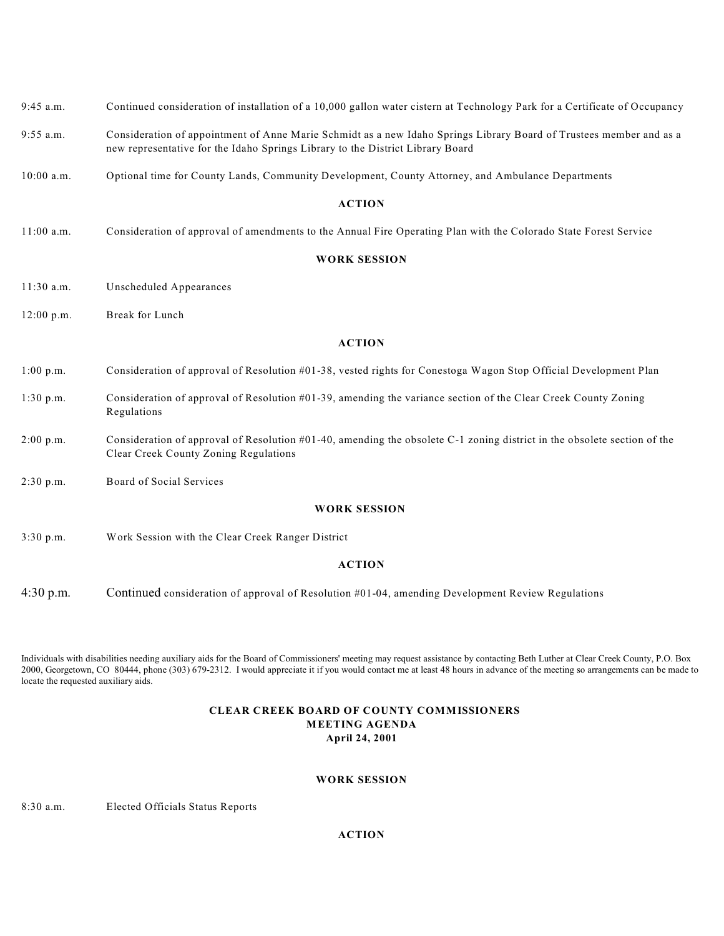- 9:45 a.m. Continued consideration of installation of a 10,000 gallon water cistern at Technology Park for a Certificate of Occupancy
- 9:55 a.m. Consideration of appointment of Anne Marie Schmidt as a new Idaho Springs Library Board of Trustees member and as a new representative for the Idaho Springs Library to the District Library Board
- 10:00 a.m. Optional time for County Lands, Community Development, County Attorney, and Ambulance Departments

11:00 a.m. Consideration of approval of amendments to the Annual Fire Operating Plan with the Colorado State Forest Service

#### **WORK SESSION**

- 11:30 a.m. Unscheduled Appearances
- 12:00 p.m. Break for Lunch

#### **ACTION**

- 1:00 p.m. Consideration of approval of Resolution #01-38, vested rights for Conestoga Wagon Stop Official Development Plan
- 1:30 p.m. Consideration of approval of Resolution #01-39, amending the variance section of the Clear Creek County Zoning Regulations
- 2:00 p.m. Consideration of approval of Resolution #01-40, amending the obsolete C-1 zoning district in the obsolete section of the Clear Creek County Zoning Regulations
- 2:30 p.m. Board of Social Services

#### **WORK SESSION**

3:30 p.m. Work Session with the Clear Creek Ranger District

#### **ACTION**

4:30 p.m. Continued consideration of approval of Resolution #01-04, amending Development Review Regulations

Individuals with disabilities needing auxiliary aids for the Board of Commissioners' meeting may request assistance by contacting Beth Luther at Clear Creek County, P.O. Box 2000, Georgetown, CO 80444, phone (303) 679-2312. I would appreciate it if you would contact me at least 48 hours in advance of the meeting so arrangements can be made to locate the requested auxiliary aids.

#### **CLEAR CREEK BOARD OF COUNTY COMMISSIONERS MEETING AGENDA April 24, 2001**

#### **WORK SESSION**

8:30 a.m. Elected Officials Status Reports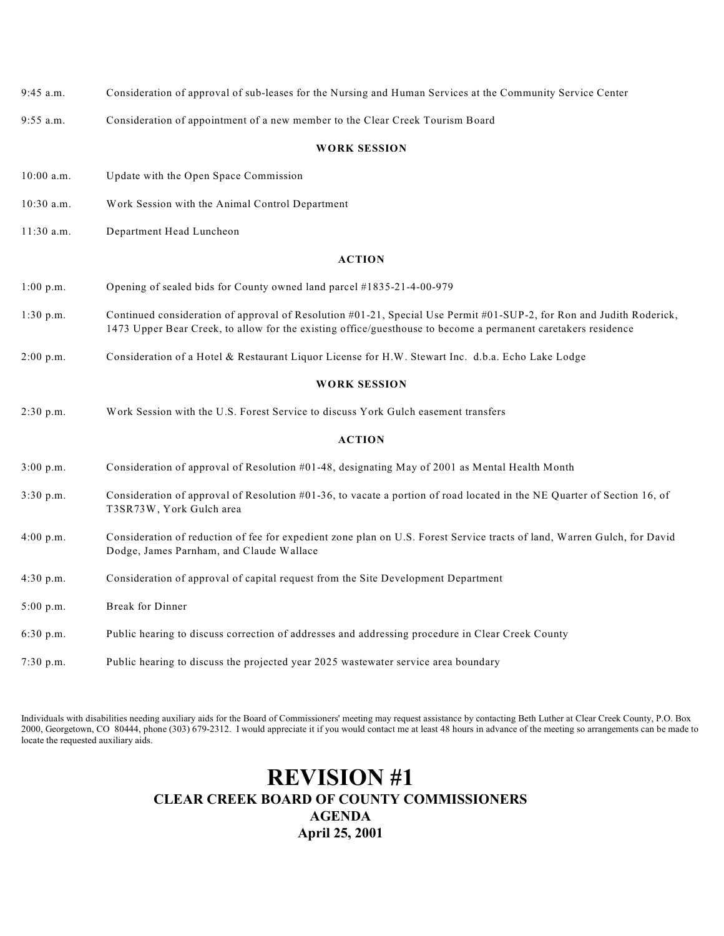| $9:45$ a.m.  | Consideration of approval of sub-leases for the Nursing and Human Services at the Community Service Center                                                                                                                            |
|--------------|---------------------------------------------------------------------------------------------------------------------------------------------------------------------------------------------------------------------------------------|
| $9:55$ a.m.  | Consideration of appointment of a new member to the Clear Creek Tourism Board                                                                                                                                                         |
|              | <b>WORK SESSION</b>                                                                                                                                                                                                                   |
| $10:00$ a.m. | Update with the Open Space Commission                                                                                                                                                                                                 |
| $10:30$ a.m. | Work Session with the Animal Control Department                                                                                                                                                                                       |
| 11:30 a.m.   | Department Head Luncheon                                                                                                                                                                                                              |
|              | <b>ACTION</b>                                                                                                                                                                                                                         |
| 1:00 p.m.    | Opening of sealed bids for County owned land parcel #1835-21-4-00-979                                                                                                                                                                 |
| $1:30$ p.m.  | Continued consideration of approval of Resolution #01-21, Special Use Permit #01-SUP-2, for Ron and Judith Roderick,<br>1473 Upper Bear Creek, to allow for the existing office/guesthouse to become a permanent caretakers residence |
| 2:00 p.m.    | Consideration of a Hotel & Restaurant Liquor License for H.W. Stewart Inc. d.b.a. Echo Lake Lodge                                                                                                                                     |
|              | <b>WORK SESSION</b>                                                                                                                                                                                                                   |
| 2:30 p.m.    | Work Session with the U.S. Forest Service to discuss York Gulch easement transfers                                                                                                                                                    |
|              | <b>ACTION</b>                                                                                                                                                                                                                         |
| 3:00 p.m.    | Consideration of approval of Resolution #01-48, designating May of 2001 as Mental Health Month                                                                                                                                        |
| 3:30 p.m.    | Consideration of approval of Resolution $#01-36$ , to vacate a portion of road located in the NE Quarter of Section 16, of<br>T3SR73W, York Gulch area                                                                                |
| 4:00 p.m.    | Consideration of reduction of fee for expedient zone plan on U.S. Forest Service tracts of land, Warren Gulch, for David<br>Dodge, James Parnham, and Claude Wallace                                                                  |
| 4:30 p.m.    | Consideration of approval of capital request from the Site Development Department                                                                                                                                                     |
| 5:00 p.m.    | <b>Break for Dinner</b>                                                                                                                                                                                                               |
| 6:30 p.m.    | Public hearing to discuss correction of addresses and addressing procedure in Clear Creek County                                                                                                                                      |
| 7:30 p.m.    | Public hearing to discuss the projected year 2025 wastewater service area boundary                                                                                                                                                    |

Individuals with disabilities needing auxiliary aids for the Board of Commissioners' meeting may request assistance by contacting Beth Luther at Clear Creek County, P.O. Box 2000, Georgetown, CO 80444, phone (303) 679-2312. I would appreciate it if you would contact me at least 48 hours in advance of the meeting so arrangements can be made to locate the requested auxiliary aids.

# **REVISION #1 CLEAR CREEK BOARD OF COUNTY COMMISSIONERS AGENDA April 25, 2001**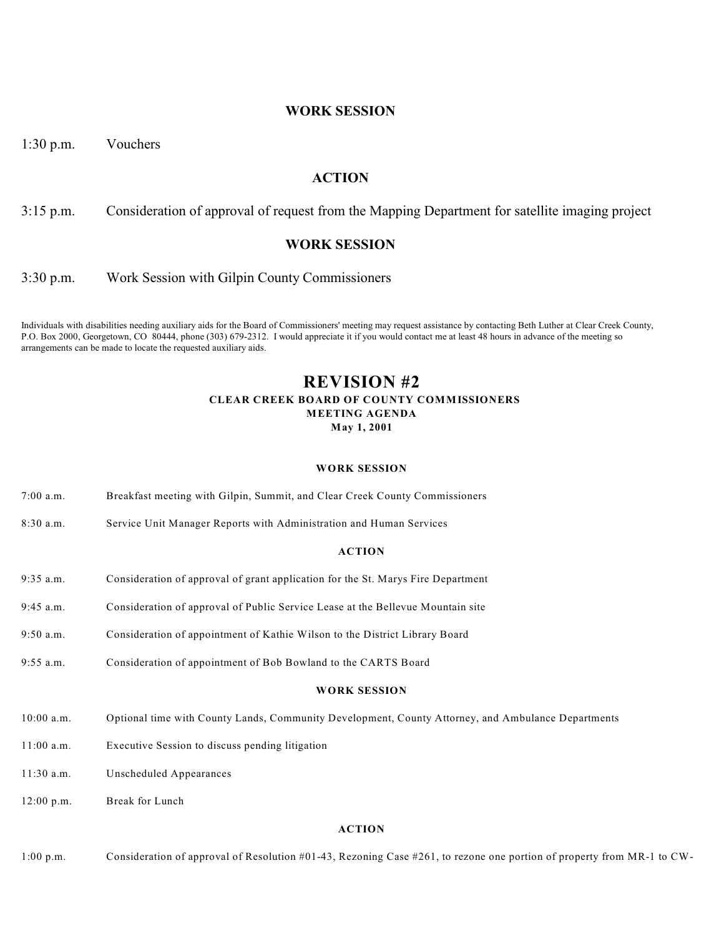### **WORK SESSION**

1:30 p.m. Vouchers

### **ACTION**

3:15 p.m. Consideration of approval of request from the Mapping Department for satellite imaging project

#### **WORK SESSION**

3:30 p.m. Work Session with Gilpin County Commissioners

Individuals with disabilities needing auxiliary aids for the Board of Commissioners' meeting may request assistance by contacting Beth Luther at Clear Creek County, P.O. Box 2000, Georgetown, CO 80444, phone (303) 679-2312. I would appreciate it if you would contact me at least 48 hours in advance of the meeting so arrangements can be made to locate the requested auxiliary aids.

### **REVISION #2 CLEAR CREEK BOARD OF COUNTY COMMISSIONERS MEETING AGENDA May 1, 2001**

#### **WORK SESSION**

- 7:00 a.m. Breakfast meeting with Gilpin, Summit, and Clear Creek County Commissioners
- 8:30 a.m. Service Unit Manager Reports with Administration and Human Services

#### **ACTION**

- 9:35 a.m. Consideration of approval of grant application for the St. Marys Fire Department
- 9:45 a.m. Consideration of approval of Public Service Lease at the Bellevue Mountain site
- 9:50 a.m. Consideration of appointment of Kathie Wilson to the District Library Board
- 9:55 a.m. Consideration of appointment of Bob Bowland to the CARTS Board

#### **WORK SESSION**

- 10:00 a.m. Optional time with County Lands, Community Development, County Attorney, and Ambulance Departments
- 11:00 a.m. Executive Session to discuss pending litigation
- 11:30 a.m. Unscheduled Appearances
- 12:00 p.m. Break for Lunch

#### **ACTION**

1:00 p.m. Consideration of approval of Resolution #01-43, Rezoning Case #261, to rezone one portion of property from MR-1 to CW-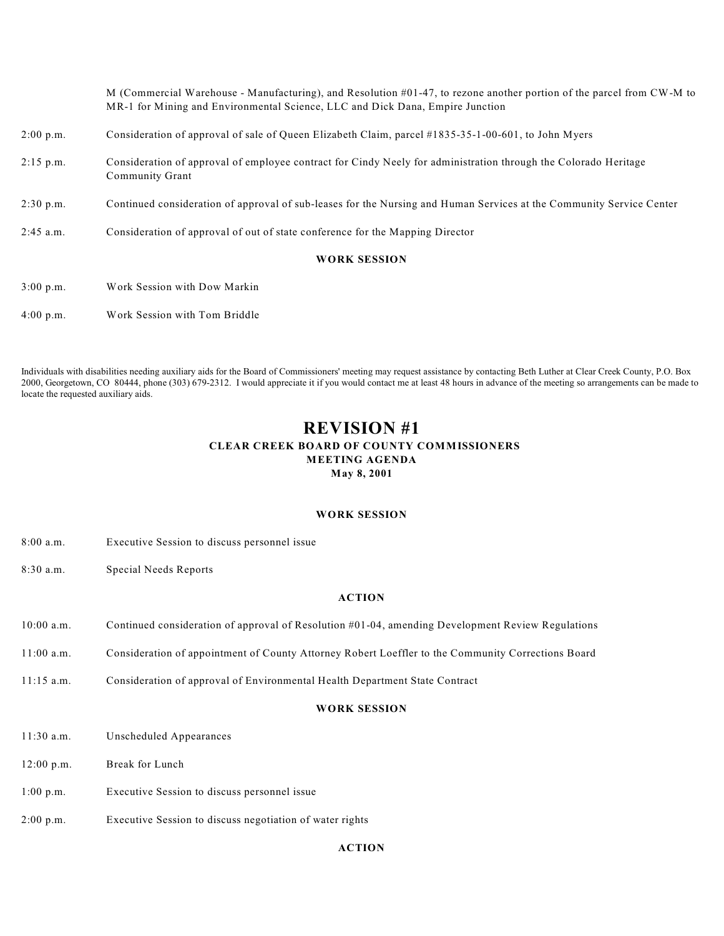M (Commercial Warehouse - Manufacturing), and Resolution #01-47, to rezone another portion of the parcel from CW-M to MR-1 for Mining and Environmental Science, LLC and Dick Dana, Empire Junction 2:00 p.m. Consideration of approval of sale of Queen Elizabeth Claim, parcel #1835-35-1-00-601, to John Myers 2:15 p.m. Consideration of approval of employee contract for Cindy Neely for administration through the Colorado Heritage Community Grant 2:30 p.m. Continued consideration of approval of sub-leases for the Nursing and Human Services at the Community Service Center 2:45 a.m. Consideration of approval of out of state conference for the Mapping Director **WORK SESSION** 3:00 p.m. Work Session with Dow Markin

Individuals with disabilities needing auxiliary aids for the Board of Commissioners' meeting may request assistance by contacting Beth Luther at Clear Creek County, P.O. Box 2000, Georgetown, CO 80444, phone (303) 679-2312. I would appreciate it if you would contact me at least 48 hours in advance of the meeting so arrangements can be made to locate the requested auxiliary aids.

### **REVISION #1 CLEAR CREEK BOARD OF COUNTY COMMISSIONERS MEETING AGENDA May 8, 2001**

#### **WORK SESSION**

8:00 a.m. Executive Session to discuss personnel issue

4:00 p.m. Work Session with Tom Briddle

8:30 a.m. Special Needs Reports

#### **ACTION**

- 10:00 a.m. Continued consideration of approval of Resolution #01-04, amending Development Review Regulations
- 11:00 a.m. Consideration of appointment of County Attorney Robert Loeffler to the Community Corrections Board
- 11:15 a.m. Consideration of approval of Environmental Health Department State Contract

#### **WORK SESSION**

- 11:30 a.m. Unscheduled Appearances
- 12:00 p.m. Break for Lunch
- 1:00 p.m. Executive Session to discuss personnel issue
- 2:00 p.m. Executive Session to discuss negotiation of water rights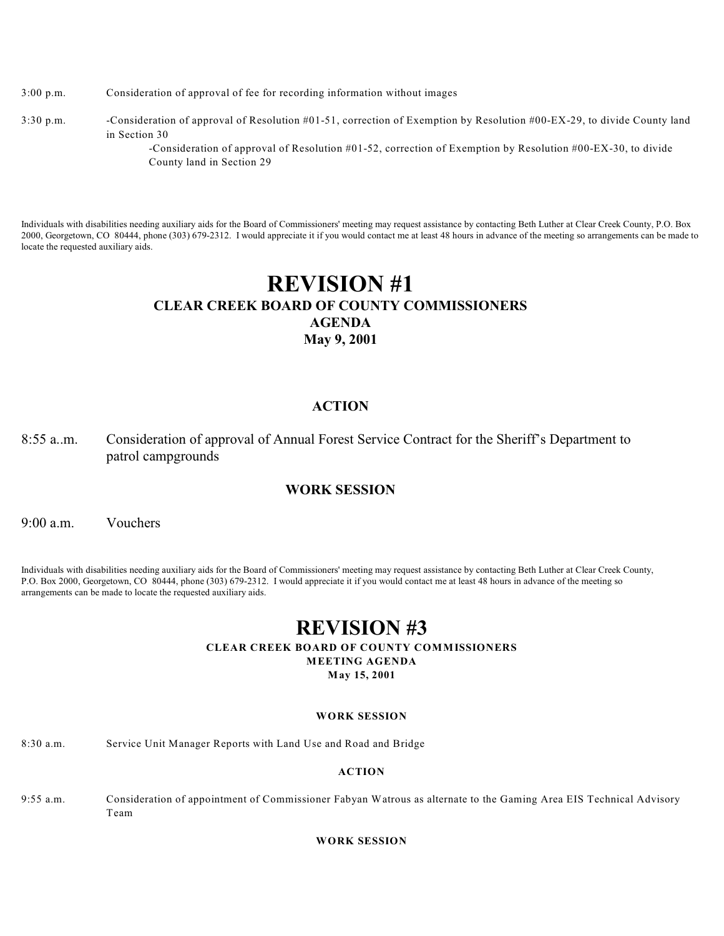- 3:00 p.m. Consideration of approval of fee for recording information without images
- 3:30 p.m. -Consideration of approval of Resolution #01-51, correction of Exemption by Resolution #00-EX-29, to divide County land in Section 30

-Consideration of approval of Resolution #01-52, correction of Exemption by Resolution #00-EX-30, to divide County land in Section 29

Individuals with disabilities needing auxiliary aids for the Board of Commissioners' meeting may request assistance by contacting Beth Luther at Clear Creek County, P.O. Box 2000, Georgetown, CO 80444, phone (303) 679-2312. I would appreciate it if you would contact me at least 48 hours in advance of the meeting so arrangements can be made to locate the requested auxiliary aids.

# **REVISION #1 CLEAR CREEK BOARD OF COUNTY COMMISSIONERS AGENDA May 9, 2001**

### **ACTION**

8:55 a..m. Consideration of approval of Annual Forest Service Contract for the Sheriff's Department to patrol campgrounds

### **WORK SESSION**

9:00 a.m. Vouchers

Individuals with disabilities needing auxiliary aids for the Board of Commissioners' meeting may request assistance by contacting Beth Luther at Clear Creek County, P.O. Box 2000, Georgetown, CO 80444, phone (303) 679-2312. I would appreciate it if you would contact me at least 48 hours in advance of the meeting so arrangements can be made to locate the requested auxiliary aids.

# **REVISION #3**

#### **CLEAR CREEK BOARD OF COUNTY COMMISSIONERS**

**MEETING AGENDA**

**May 15, 2001**

#### **WORK SESSION**

8:30 a.m. Service Unit Manager Reports with Land Use and Road and Bridge

#### **ACTION**

9:55 a.m. Consideration of appointment of Commissioner Fabyan Watrous as alternate to the Gaming Area EIS Technical Advisory Team

#### **WORK SESSION**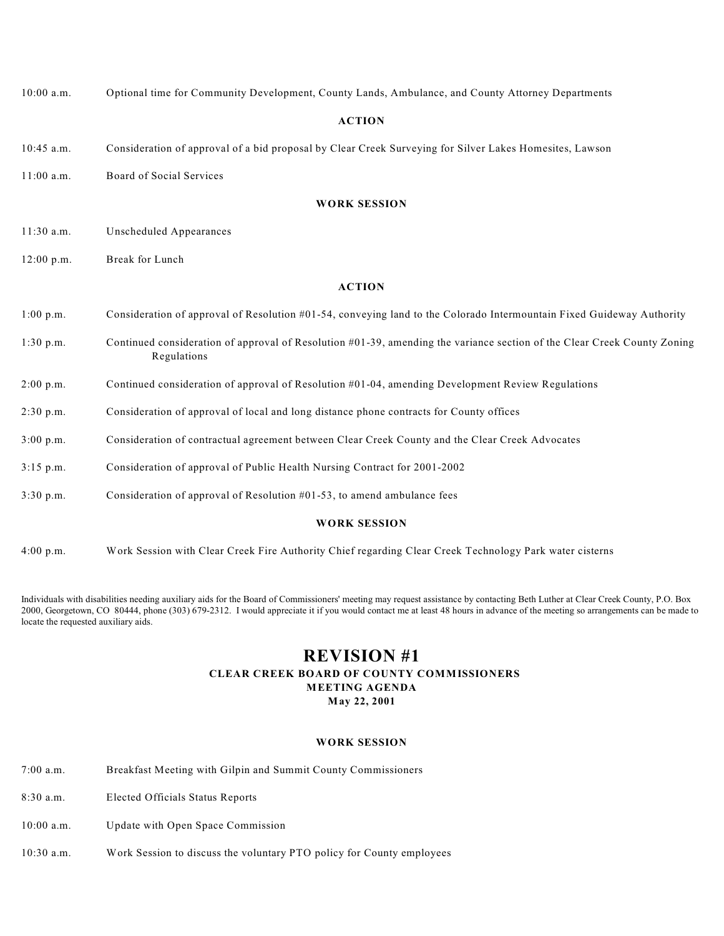| $10:00$ a.m.        | Optional time for Community Development, County Lands, Ambulance, and County Attorney Departments                                          |
|---------------------|--------------------------------------------------------------------------------------------------------------------------------------------|
| <b>ACTION</b>       |                                                                                                                                            |
| $10:45$ a.m.        | Consideration of approval of a bid proposal by Clear Creek Surveying for Silver Lakes Homesites, Lawson                                    |
| $11:00$ a.m.        | Board of Social Services                                                                                                                   |
|                     | <b>WORK SESSION</b>                                                                                                                        |
| $11:30$ a.m.        | Unscheduled Appearances                                                                                                                    |
| $12:00$ p.m.        | Break for Lunch                                                                                                                            |
|                     | <b>ACTION</b>                                                                                                                              |
| 1:00 p.m.           | Consideration of approval of Resolution #01-54, conveying land to the Colorado Intermountain Fixed Guideway Authority                      |
| $1:30$ p.m.         | Continued consideration of approval of Resolution $#01-39$ , amending the variance section of the Clear Creek County Zoning<br>Regulations |
| 2:00 p.m.           | Continued consideration of approval of Resolution #01-04, amending Development Review Regulations                                          |
| 2:30 p.m.           | Consideration of approval of local and long distance phone contracts for County offices                                                    |
| 3:00 p.m.           | Consideration of contractual agreement between Clear Creek County and the Clear Creek Advocates                                            |
| $3:15$ p.m.         | Consideration of approval of Public Health Nursing Contract for 2001-2002                                                                  |
| 3:30 p.m.           | Consideration of approval of Resolution $#01-53$ , to amend ambulance fees                                                                 |
| <b>WORK SESSION</b> |                                                                                                                                            |
| 4:00 p.m.           | Work Session with Clear Creek Fire Authority Chief regarding Clear Creek Technology Park water cisterns                                    |

Individuals with disabilities needing auxiliary aids for the Board of Commissioners' meeting may request assistance by contacting Beth Luther at Clear Creek County, P.O. Box 2000, Georgetown, CO 80444, phone (303) 679-2312. I would appreciate it if you would contact me at least 48 hours in advance of the meeting so arrangements can be made to locate the requested auxiliary aids.

### **REVISION #1**

#### **CLEAR CREEK BOARD OF COUNTY COMMISSIONERS MEETING AGENDA**

**May 22, 2001**

#### **WORK SESSION**

- 7:00 a.m. Breakfast Meeting with Gilpin and Summit County Commissioners
- 8:30 a.m. Elected Officials Status Reports
- 10:00 a.m. Update with Open Space Commission
- 10:30 a.m. Work Session to discuss the voluntary PTO policy for County employees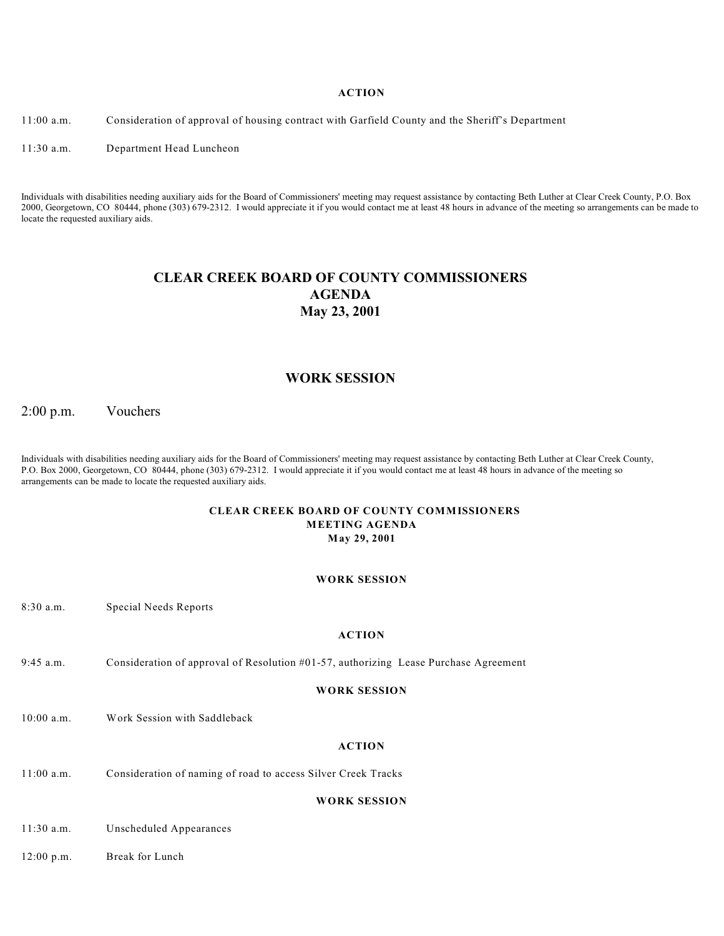11:00 a.m. Consideration of approval of housing contract with Garfield County and the Sheriff's Department

11:30 a.m. Department Head Luncheon

Individuals with disabilities needing auxiliary aids for the Board of Commissioners' meeting may request assistance by contacting Beth Luther at Clear Creek County, P.O. Box 2000, Georgetown, CO 80444, phone (303) 679-2312. I would appreciate it if you would contact me at least 48 hours in advance of the meeting so arrangements can be made to locate the requested auxiliary aids.

### **CLEAR CREEK BOARD OF COUNTY COMMISSIONERS AGENDA May 23, 2001**

### **WORK SESSION**

2:00 p.m. Vouchers

Individuals with disabilities needing auxiliary aids for the Board of Commissioners' meeting may request assistance by contacting Beth Luther at Clear Creek County, P.O. Box 2000, Georgetown, CO 80444, phone (303) 679-2312. I would appreciate it if you would contact me at least 48 hours in advance of the meeting so arrangements can be made to locate the requested auxiliary aids.

#### **CLEAR CREEK BOARD OF COUNTY COMMISSIONERS MEETING AGENDA May 29, 2001**

#### **WORK SESSION**

| $8:30$ a.m.  | Special Needs Reports                                                                |
|--------------|--------------------------------------------------------------------------------------|
|              | <b>ACTION</b>                                                                        |
| $9:45$ a.m.  | Consideration of approval of Resolution #01-57, authorizing Lease Purchase Agreement |
|              | <b>WORK SESSION</b>                                                                  |
| $10:00$ a.m. | Work Session with Saddleback                                                         |
|              | <b>ACTION</b>                                                                        |
| $11:00$ a.m. | Consideration of naming of road to access Silver Creek Tracks                        |

**WORK SESSION**

11:30 a.m. Unscheduled Appearances

12:00 p.m. Break for Lunch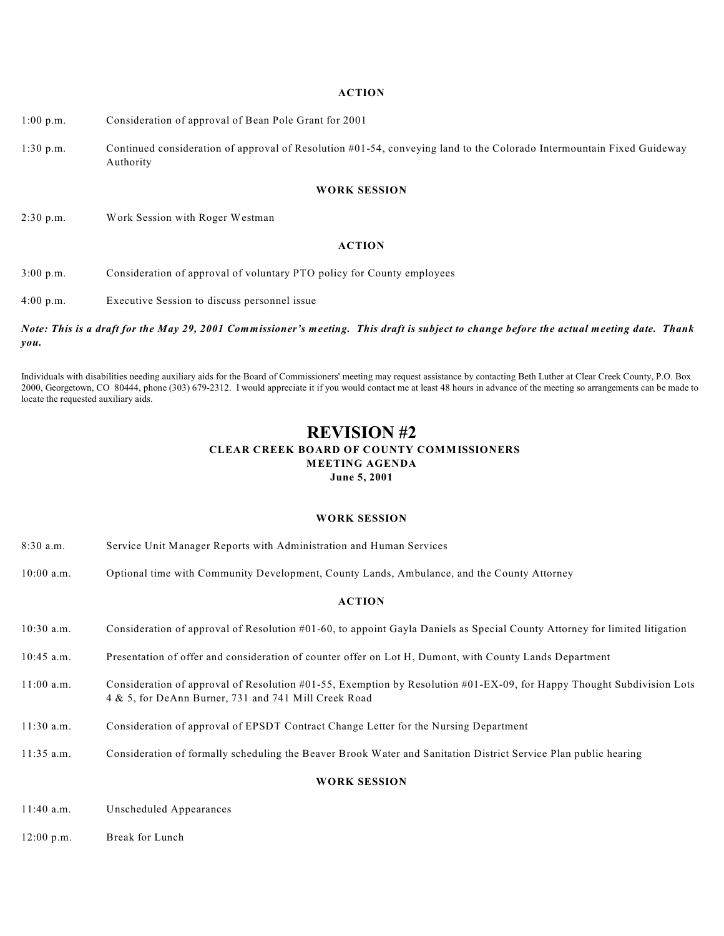- 1:00 p.m. Consideration of approval of Bean Pole Grant for 2001
- 1:30 p.m. Continued consideration of approval of Resolution #01-54, conveying land to the Colorado Intermountain Fixed Guideway Authority

#### **WORK SESSION**

2:30 p.m. Work Session with Roger Westman

#### **ACTION**

3:00 p.m. Consideration of approval of voluntary PTO policy for County employees

4:00 p.m. Executive Session to discuss personnel issue

#### *Note: This is a draft for the May 29, 2001 Commissioner's meeting. This draft is subject to change before the actual meeting date. Thank you.*

Individuals with disabilities needing auxiliary aids for the Board of Commissioners' meeting may request assistance by contacting Beth Luther at Clear Creek County, P.O. Box 2000, Georgetown, CO 80444, phone (303) 679-2312. I would appreciate it if you would contact me at least 48 hours in advance of the meeting so arrangements can be made to locate the requested auxiliary aids.

### **REVISION #2 CLEAR CREEK BOARD OF COUNTY COMMISSIONERS MEETING AGENDA June 5, 2001**

#### **WORK SESSION**

| $8:30$ a.m.         | Service Unit Manager Reports with Administration and Human Services                                                                                                           |
|---------------------|-------------------------------------------------------------------------------------------------------------------------------------------------------------------------------|
| $10:00$ a.m.        | Optional time with Community Development, County Lands, Ambulance, and the County Attorney                                                                                    |
| <b>ACTION</b>       |                                                                                                                                                                               |
| $10:30$ a.m.        | Consideration of approval of Resolution #01-60, to appoint Gayla Daniels as Special County Attorney for limited litigation                                                    |
| $10:45$ a.m.        | Presentation of offer and consideration of counter offer on Lot H, Dumont, with County Lands Department                                                                       |
| $11:00$ a.m.        | Consideration of approval of Resolution #01-55, Exemption by Resolution #01-EX-09, for Happy Thought Subdivision Lots<br>4 & 5, for DeAnn Burner, 731 and 741 Mill Creek Road |
| $11:30$ a.m.        | Consideration of approval of EPSDT Contract Change Letter for the Nursing Department                                                                                          |
| $11:35$ a.m.        | Consideration of formally scheduling the Beaver Brook Water and Sanitation District Service Plan public hearing                                                               |
| <b>WORK SESSION</b> |                                                                                                                                                                               |
| $11:40$ a.m.        | Unscheduled Appearances                                                                                                                                                       |

12:00 p.m. Break for Lunch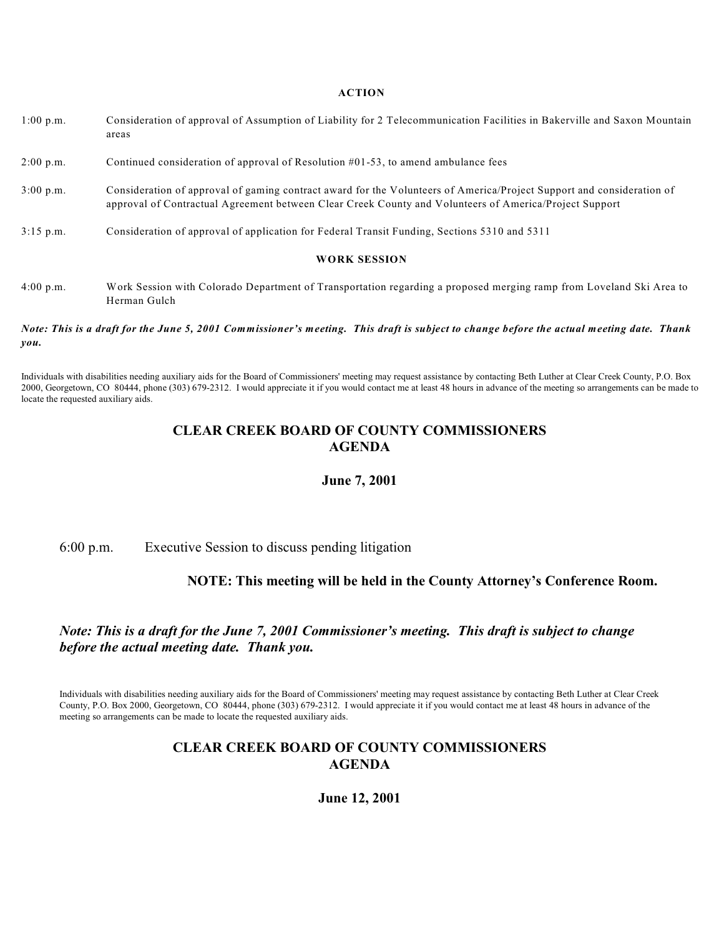- 1:00 p.m. Consideration of approval of Assumption of Liability for 2 Telecommunication Facilities in Bakerville and Saxon Mountain areas
- 2:00 p.m. Continued consideration of approval of Resolution #01-53, to amend ambulance fees
- 3:00 p.m. Consideration of approval of gaming contract award for the Volunteers of America/Project Support and consideration of approval of Contractual Agreement between Clear Creek County and Volunteers of America/Project Support
- 3:15 p.m. Consideration of approval of application for Federal Transit Funding, Sections 5310 and 5311

#### **WORK SESSION**

4:00 p.m. Work Session with Colorado Department of Transportation regarding a proposed merging ramp from Loveland Ski Area to Herman Gulch

#### *Note: This is a draft for the June 5, 2001 Commissioner's meeting. This draft is subject to change before the actual meeting date. Thank you.*

Individuals with disabilities needing auxiliary aids for the Board of Commissioners' meeting may request assistance by contacting Beth Luther at Clear Creek County, P.O. Box 2000, Georgetown, CO 80444, phone (303) 679-2312. I would appreciate it if you would contact me at least 48 hours in advance of the meeting so arrangements can be made to locate the requested auxiliary aids.

### **CLEAR CREEK BOARD OF COUNTY COMMISSIONERS AGENDA**

#### **June 7, 2001**

6:00 p.m. Executive Session to discuss pending litigation

### **NOTE: This meeting will be held in the County Attorney's Conference Room.**

### *Note: This is a draft for the June 7, 2001 Commissioner's meeting. This draft is subject to change before the actual meeting date. Thank you.*

Individuals with disabilities needing auxiliary aids for the Board of Commissioners' meeting may request assistance by contacting Beth Luther at Clear Creek County, P.O. Box 2000, Georgetown, CO 80444, phone (303) 679-2312. I would appreciate it if you would contact me at least 48 hours in advance of the meeting so arrangements can be made to locate the requested auxiliary aids.

### **CLEAR CREEK BOARD OF COUNTY COMMISSIONERS AGENDA**

**June 12, 2001**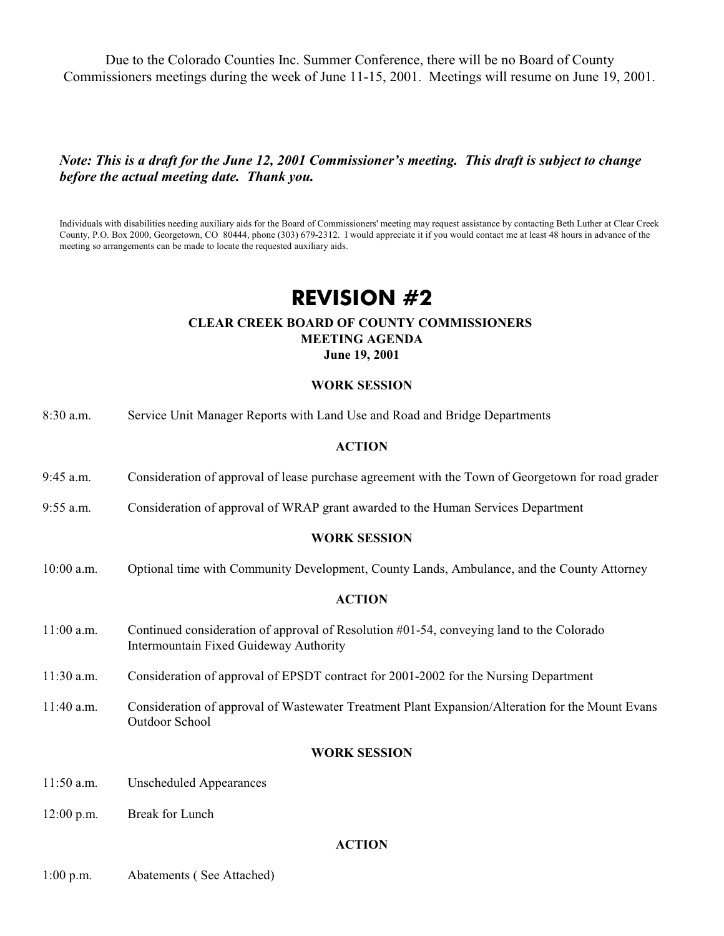Due to the Colorado Counties Inc. Summer Conference, there will be no Board of County Commissioners meetings during the week of June 11-15, 2001. Meetings will resume on June 19, 2001.

### *Note: This is a draft for the June 12, 2001 Commissioner's meeting. This draft is subject to change before the actual meeting date. Thank you.*

Individuals with disabilities needing auxiliary aids for the Board of Commissioners' meeting may request assistance by contacting Beth Luther at Clear Creek County, P.O. Box 2000, Georgetown, CO 80444, phone (303) 679-2312. I would appreciate it if you would contact me at least 48 hours in advance of the meeting so arrangements can be made to locate the requested auxiliary aids.

# **REVISION #2**

### **CLEAR CREEK BOARD OF COUNTY COMMISSIONERS MEETING AGENDA June 19, 2001**

### **WORK SESSION**

| 8:30 a.m.    | Service Unit Manager Reports with Land Use and Road and Bridge Departments                                                         |
|--------------|------------------------------------------------------------------------------------------------------------------------------------|
|              | <b>ACTION</b>                                                                                                                      |
| 9:45 a.m.    | Consideration of approval of lease purchase agreement with the Town of Georgetown for road grader                                  |
| $9:55$ a.m.  | Consideration of approval of WRAP grant awarded to the Human Services Department                                                   |
|              | <b>WORK SESSION</b>                                                                                                                |
| 10:00 a.m.   | Optional time with Community Development, County Lands, Ambulance, and the County Attorney                                         |
|              | <b>ACTION</b>                                                                                                                      |
| 11:00 a.m.   | Continued consideration of approval of Resolution #01-54, conveying land to the Colorado<br>Intermountain Fixed Guideway Authority |
| 11:30 a.m.   | Consideration of approval of EPSDT contract for 2001-2002 for the Nursing Department                                               |
| 11:40 a.m.   | Consideration of approval of Wastewater Treatment Plant Expansion/Alteration for the Mount Evans<br>Outdoor School                 |
|              | <b>WORK SESSION</b>                                                                                                                |
| $11:50$ a.m. | <b>Unscheduled Appearances</b>                                                                                                     |
| $12:00$ p.m. | Break for Lunch                                                                                                                    |
|              | <b>ACTION</b>                                                                                                                      |

1:00 p.m. Abatements ( See Attached)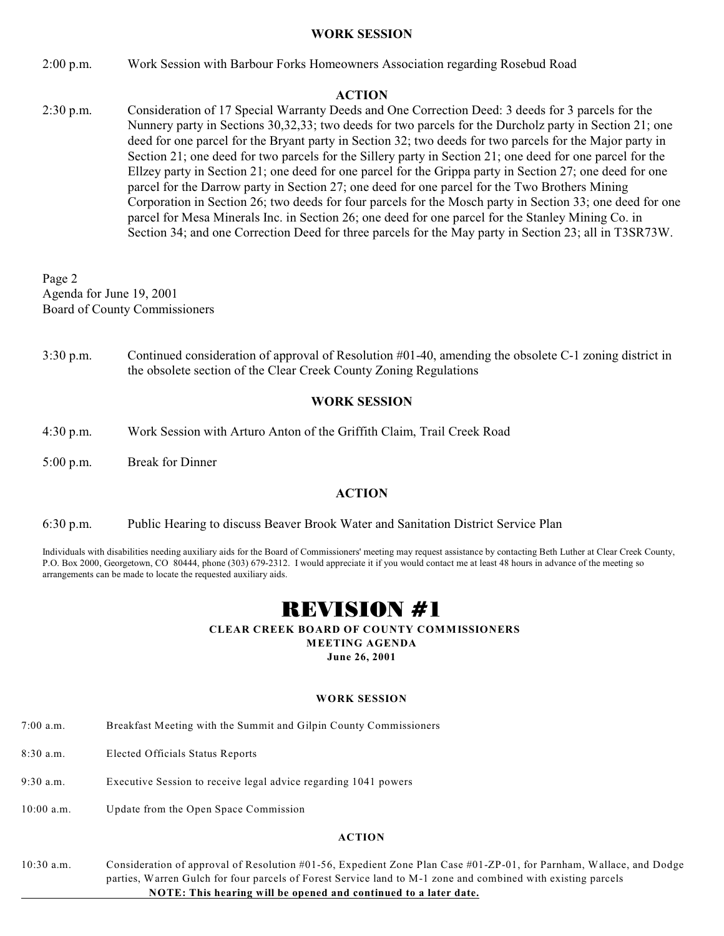### **WORK SESSION**

2:00 p.m. Work Session with Barbour Forks Homeowners Association regarding Rosebud Road

### **ACTION**

2:30 p.m. Consideration of 17 Special Warranty Deeds and One Correction Deed: 3 deeds for 3 parcels for the Nunnery party in Sections 30,32,33; two deeds for two parcels for the Durcholz party in Section 21; one deed for one parcel for the Bryant party in Section 32; two deeds for two parcels for the Major party in Section 21; one deed for two parcels for the Sillery party in Section 21; one deed for one parcel for the Ellzey party in Section 21; one deed for one parcel for the Grippa party in Section 27; one deed for one parcel for the Darrow party in Section 27; one deed for one parcel for the Two Brothers Mining Corporation in Section 26; two deeds for four parcels for the Mosch party in Section 33; one deed for one parcel for Mesa Minerals Inc. in Section 26; one deed for one parcel for the Stanley Mining Co. in Section 34; and one Correction Deed for three parcels for the May party in Section 23; all in T3SR73W.

Page 2 Agenda for June 19, 2001 Board of County Commissioners

3:30 p.m. Continued consideration of approval of Resolution #01-40, amending the obsolete C-1 zoning district in the obsolete section of the Clear Creek County Zoning Regulations

### **WORK SESSION**

- 4:30 p.m. Work Session with Arturo Anton of the Griffith Claim, Trail Creek Road
- 5:00 p.m. Break for Dinner

### **ACTION**

6:30 p.m. Public Hearing to discuss Beaver Brook Water and Sanitation District Service Plan

Individuals with disabilities needing auxiliary aids for the Board of Commissioners' meeting may request assistance by contacting Beth Luther at Clear Creek County, P.O. Box 2000, Georgetown, CO 80444, phone (303) 679-2312. I would appreciate it if you would contact me at least 48 hours in advance of the meeting so arrangements can be made to locate the requested auxiliary aids.

# REVISION #1

### **CLEAR CREEK BOARD OF COUNTY COMMISSIONERS**

**MEETING AGENDA**

**June 26, 2001**

### **WORK SESSION**

- 7:00 a.m. Breakfast Meeting with the Summit and Gilpin County Commissioners
- 8:30 a.m. Elected Officials Status Reports
- 9:30 a.m. Executive Session to receive legal advice regarding 1041 powers
- 10:00 a.m. Update from the Open Space Commission

### **ACTION**

10:30 a.m. Consideration of approval of Resolution #01-56, Expedient Zone Plan Case #01-ZP-01, for Parnham, Wallace, and Dodge parties, Warren Gulch for four parcels of Forest Service land to M-1 zone and combined with existing parcels **NOTE: This hearing will be opened and continued to a later date.**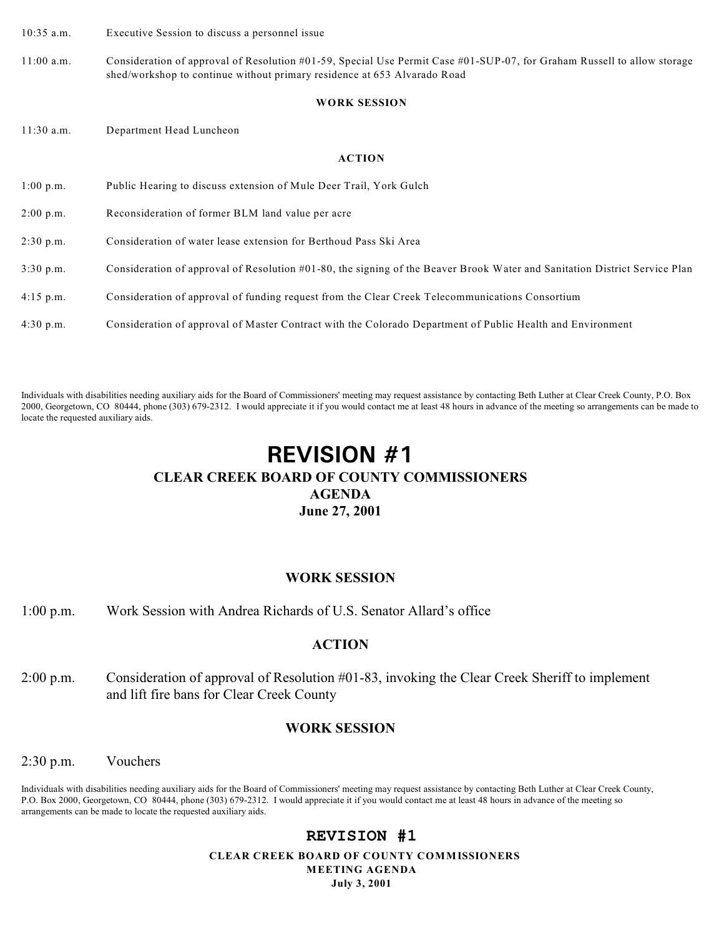10:35 a.m. Executive Session to discuss a personnel issue

11:00 a.m. Consideration of approval of Resolution #01-59, Special Use Permit Case #01-SUP-07, for Graham Russell to allow storage shed/workshop to continue without primary residence at 653 Alvarado Road

#### **WORK SESSION**

11:30 a.m. Department Head Luncheon

#### **ACTION**

| $1:00$ p.m. | Public Hearing to discuss extension of Mule Deer Trail, York Gulch                                                         |
|-------------|----------------------------------------------------------------------------------------------------------------------------|
| $2:00$ p.m. | Reconsideration of former BLM land value per acre                                                                          |
| $2:30$ p.m. | Consideration of water lease extension for Berthoud Pass Ski Area                                                          |
| $3:30$ p.m. | Consideration of approval of Resolution #01-80, the signing of the Beaver Brook Water and Sanitation District Service Plan |
| $4:15$ p.m. | Consideration of approval of funding request from the Clear Creek Telecommunications Consortium                            |
| $4:30$ p.m. | Consideration of approval of Master Contract with the Colorado Department of Public Health and Environment                 |

Individuals with disabilities needing auxiliary aids for the Board of Commissioners' meeting may request assistance by contacting Beth Luther at Clear Creek County, P.O. Box 2000, Georgetown, CO 80444, phone (303) 679-2312. I would appreciate it if you would contact me at least 48 hours in advance of the meeting so arrangements can be made to locate the requested auxiliary aids.

# **REVISION #1 CLEAR CREEK BOARD OF COUNTY COMMISSIONERS AGENDA June 27, 2001**

#### **WORK SESSION**

1:00 p.m. Work Session with Andrea Richards of U.S. Senator Allard's office

### **ACTION**

2:00 p.m. Consideration of approval of Resolution #01-83, invoking the Clear Creek Sheriff to implement and lift fire bans for Clear Creek County

### **WORK SESSION**

2:30 p.m. Vouchers

Individuals with disabilities needing auxiliary aids for the Board of Commissioners' meeting may request assistance by contacting Beth Luther at Clear Creek County, P.O. Box 2000, Georgetown, CO 80444, phone (303) 679-2312. I would appreciate it if you would contact me at least 48 hours in advance of the meeting so arrangements can be made to locate the requested auxiliary aids.

### **REVISION #1**

 **CLEAR CREEK BOARD OF COUNTY COMMISSIONERS MEETING AGENDA July 3, 2001**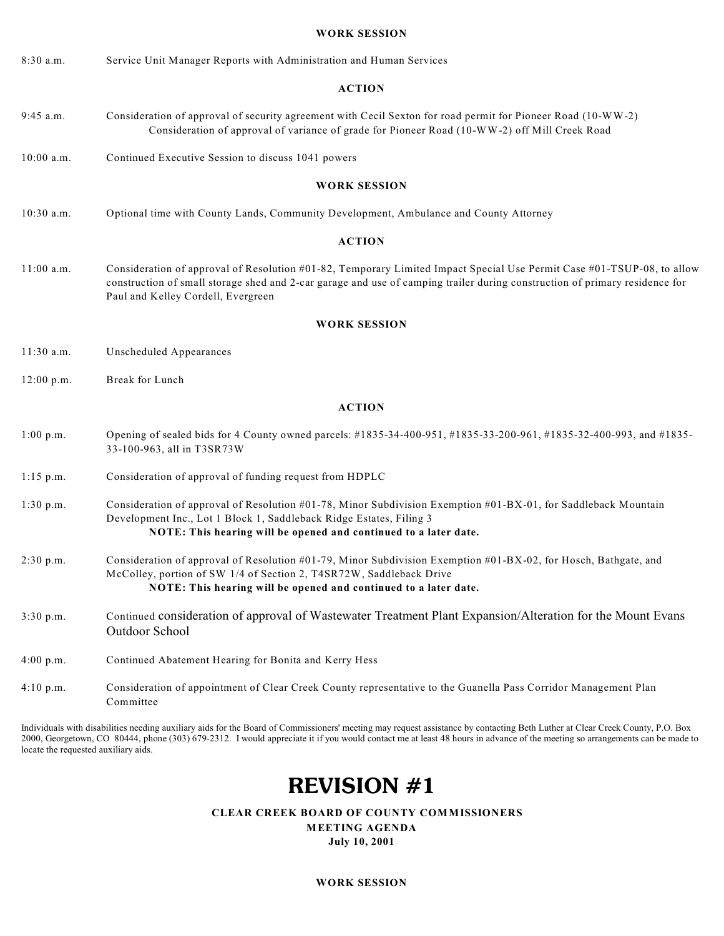#### **WORK SESSION**

8:30 a.m. Service Unit Manager Reports with Administration and Human Services

#### **ACTION**

- 9:45 a.m. Consideration of approval of security agreement with Cecil Sexton for road permit for Pioneer Road (10-WW-2) Consideration of approval of variance of grade for Pioneer Road (10-WW-2) off Mill Creek Road
- 10:00 a.m. Continued Executive Session to discuss 1041 powers

#### **WORK SESSION**

10:30 a.m. Optional time with County Lands, Community Development, Ambulance and County Attorney

#### **ACTION**

11:00 a.m. Consideration of approval of Resolution #01-82, Temporary Limited Impact Special Use Permit Case #01-TSUP-08, to allow construction of small storage shed and 2-car garage and use of camping trailer during construction of primary residence for Paul and Kelley Cordell, Evergreen

#### **WORK SESSION**

11:30 a.m. Unscheduled Appearances

12:00 p.m. Break for Lunch

#### **ACTION**

- 1:00 p.m. Opening of sealed bids for 4 County owned parcels: #1835-34-400-951, #1835-33-200-961, #1835-32-400-993, and #1835- 33-100-963, all in T3SR73W
- 1:15 p.m. Consideration of approval of funding request from HDPLC
- 1:30 p.m. Consideration of approval of Resolution #01-78, Minor Subdivision Exemption #01-BX-01, for Saddleback Mountain Development Inc., Lot 1 Block 1, Saddleback Ridge Estates, Filing 3 **NOTE: This hearing will be opened and continued to a later date.**
- 2:30 p.m. Consideration of approval of Resolution #01-79, Minor Subdivision Exemption #01-BX-02, for Hosch, Bathgate, and McColley, portion of SW 1/4 of Section 2, T4SR72W, Saddleback Drive **NOTE: This hearing will be opened and continued to a later date.**
- 3:30 p.m. Continued consideration of approval of Wastewater Treatment Plant Expansion/Alteration for the Mount Evans Outdoor School
- 4:00 p.m. Continued Abatement Hearing for Bonita and Kerry Hess
- 4:10 p.m. Consideration of appointment of Clear Creek County representative to the Guanella Pass Corridor Management Plan Committee

Individuals with disabilities needing auxiliary aids for the Board of Commissioners' meeting may request assistance by contacting Beth Luther at Clear Creek County, P.O. Box 2000, Georgetown, CO 80444, phone (303) 679-2312. I would appreciate it if you would contact me at least 48 hours in advance of the meeting so arrangements can be made to locate the requested auxiliary aids.

# **REVISION #1**

 **CLEAR CREEK BOARD OF COUNTY COMMISSIONERS** 

**MEETING AGENDA July 10, 2001**

**WORK SESSION**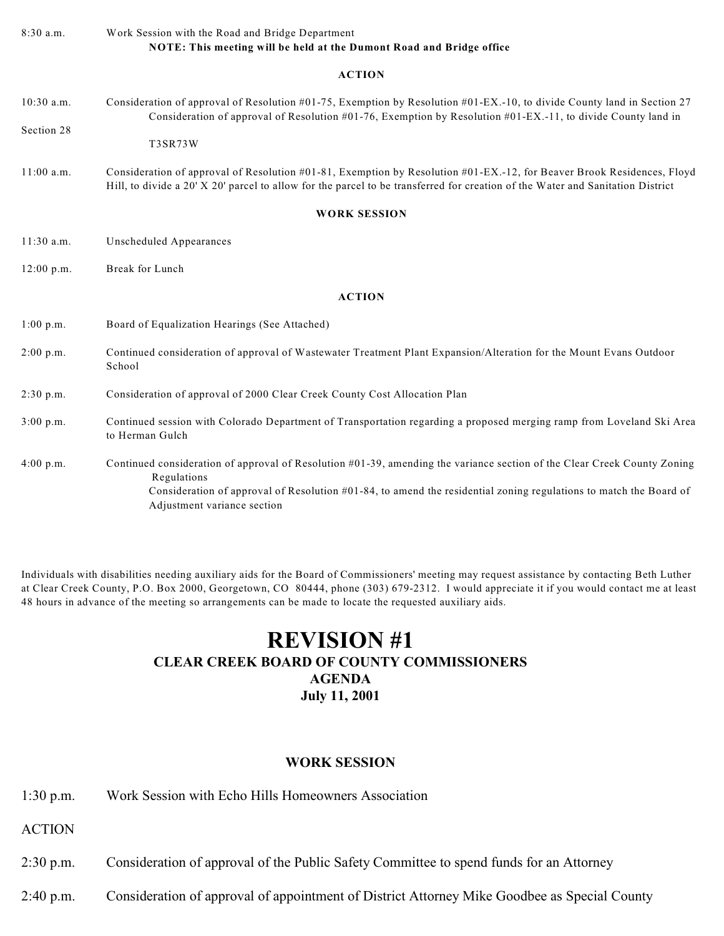| $8:30$ a.m.  | Work Session with the Road and Bridge Department<br>NOTE: This meeting will be held at the Dumont Road and Bridge office                                                                                                                                                                    |
|--------------|---------------------------------------------------------------------------------------------------------------------------------------------------------------------------------------------------------------------------------------------------------------------------------------------|
|              | <b>ACTION</b>                                                                                                                                                                                                                                                                               |
| $10:30$ a.m. | Consideration of approval of Resolution #01-75, Exemption by Resolution #01-EX.-10, to divide County land in Section 27<br>Consideration of approval of Resolution #01-76, Exemption by Resolution #01-EX.-11, to divide County land in                                                     |
| Section 28   | <b>T3SR73W</b>                                                                                                                                                                                                                                                                              |
| $11:00$ a.m. | Consideration of approval of Resolution #01-81, Exemption by Resolution #01-EX.-12, for Beaver Brook Residences, Floyd<br>Hill, to divide a 20' X 20' parcel to allow for the parcel to be transferred for creation of the Water and Sanitation District                                    |
|              | <b>WORK SESSION</b>                                                                                                                                                                                                                                                                         |
| $11:30$ a.m. | Unscheduled Appearances                                                                                                                                                                                                                                                                     |
| $12:00$ p.m. | Break for Lunch                                                                                                                                                                                                                                                                             |
|              | <b>ACTION</b>                                                                                                                                                                                                                                                                               |
| 1:00 p.m.    | Board of Equalization Hearings (See Attached)                                                                                                                                                                                                                                               |
| 2:00 p.m.    | Continued consideration of approval of Wastewater Treatment Plant Expansion/Alteration for the Mount Evans Outdoor<br>School                                                                                                                                                                |
| 2:30 p.m.    | Consideration of approval of 2000 Clear Creek County Cost Allocation Plan                                                                                                                                                                                                                   |
| 3:00 p.m.    | Continued session with Colorado Department of Transportation regarding a proposed merging ramp from Loveland Ski Area<br>to Herman Gulch                                                                                                                                                    |
| 4:00 p.m.    | Continued consideration of approval of Resolution #01-39, amending the variance section of the Clear Creek County Zoning<br>Regulations<br>Consideration of approval of Resolution #01-84, to amend the residential zoning regulations to match the Board of<br>Adjustment variance section |

Individuals with disabilities needing auxiliary aids for the Board of Commissioners' meeting may request assistance by contacting Beth Luther at Clear Creek County, P.O. Box 2000, Georgetown, CO 80444, phone (303) 679-2312. I would appreciate it if you would contact me at least 48 hours in advance of the meeting so arrangements can be made to locate the requested auxiliary aids.

# **REVISION #1 CLEAR CREEK BOARD OF COUNTY COMMISSIONERS AGENDA July 11, 2001**

### **WORK SESSION**

1:30 p.m. Work Session with Echo Hills Homeowners Association

- 2:30 p.m. Consideration of approval of the Public Safety Committee to spend funds for an Attorney
- 2:40 p.m. Consideration of approval of appointment of District Attorney Mike Goodbee as Special County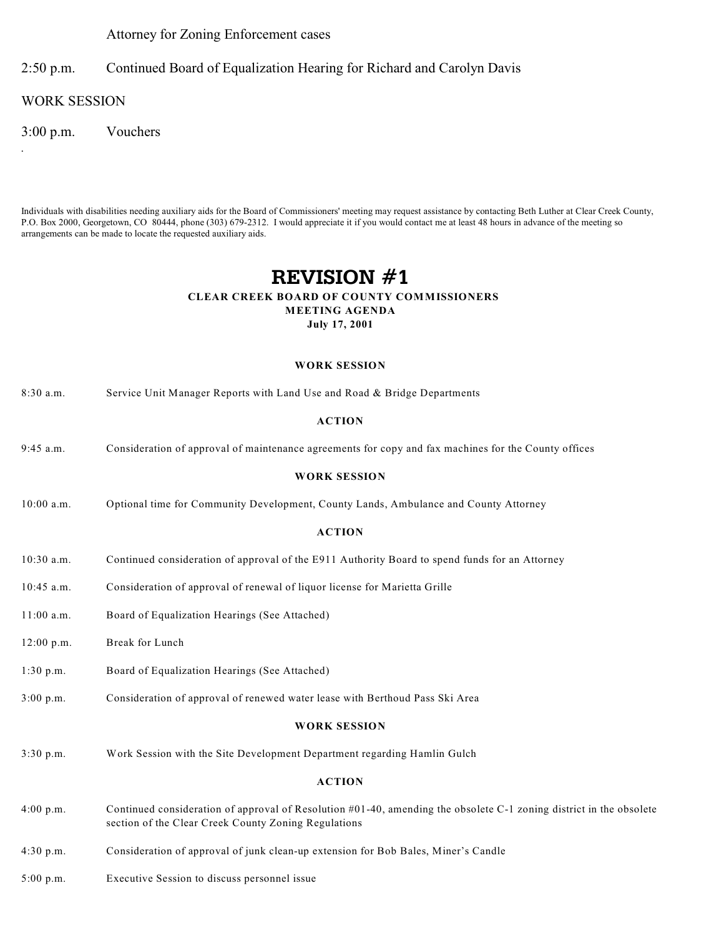Attorney for Zoning Enforcement cases

2:50 p.m. Continued Board of Equalization Hearing for Richard and Carolyn Davis

WORK SESSION

*.*

3:00 p.m. Vouchers

Individuals with disabilities needing auxiliary aids for the Board of Commissioners' meeting may request assistance by contacting Beth Luther at Clear Creek County, P.O. Box 2000, Georgetown, CO 80444, phone (303) 679-2312. I would appreciate it if you would contact me at least 48 hours in advance of the meeting so arrangements can be made to locate the requested auxiliary aids.

# **REVISION #1**

### **CLEAR CREEK BOARD OF COUNTY COMMISSIONERS MEETING AGENDA**

**July 17, 2001**

#### **WORK SESSION**

| $8:30$ a.m. | Service Unit Manager Reports with Land Use and Road & Bridge Departments |  |  |  |
|-------------|--------------------------------------------------------------------------|--|--|--|
|-------------|--------------------------------------------------------------------------|--|--|--|

#### **ACTION**

9:45 a.m. Consideration of approval of maintenance agreements for copy and fax machines for the County offices

#### **WORK SESSION**

10:00 a.m. Optional time for Community Development, County Lands, Ambulance and County Attorney

#### **ACTION**

- 10:30 a.m. Continued consideration of approval of the E911 Authority Board to spend funds for an Attorney
- 10:45 a.m. Consideration of approval of renewal of liquor license for Marietta Grille
- 11:00 a.m. Board of Equalization Hearings (See Attached)
- 12:00 p.m. Break for Lunch
- 1:30 p.m. Board of Equalization Hearings (See Attached)
- 3:00 p.m. Consideration of approval of renewed water lease with Berthoud Pass Ski Area

#### **WORK SESSION**

3:30 p.m. Work Session with the Site Development Department regarding Hamlin Gulch

- 4:00 p.m. Continued consideration of approval of Resolution #01-40, amending the obsolete C-1 zoning district in the obsolete section of the Clear Creek County Zoning Regulations
- 4:30 p.m. Consideration of approval of junk clean-up extension for Bob Bales, Miner's Candle
- 5:00 p.m. Executive Session to discuss personnel issue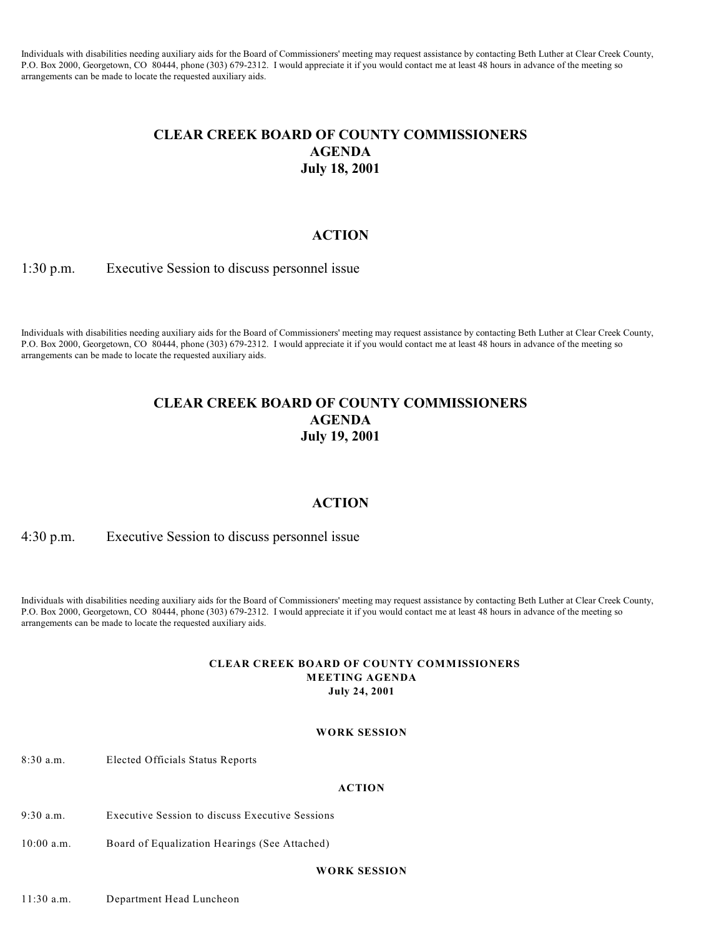Individuals with disabilities needing auxiliary aids for the Board of Commissioners' meeting may request assistance by contacting Beth Luther at Clear Creek County, P.O. Box 2000, Georgetown, CO 80444, phone (303) 679-2312. I would appreciate it if you would contact me at least 48 hours in advance of the meeting so arrangements can be made to locate the requested auxiliary aids.

## **CLEAR CREEK BOARD OF COUNTY COMMISSIONERS AGENDA July 18, 2001**

### **ACTION**

1:30 p.m. Executive Session to discuss personnel issue

Individuals with disabilities needing auxiliary aids for the Board of Commissioners' meeting may request assistance by contacting Beth Luther at Clear Creek County, P.O. Box 2000, Georgetown, CO 80444, phone (303) 679-2312. I would appreciate it if you would contact me at least 48 hours in advance of the meeting so arrangements can be made to locate the requested auxiliary aids.

## **CLEAR CREEK BOARD OF COUNTY COMMISSIONERS AGENDA July 19, 2001**

### **ACTION**

4:30 p.m. Executive Session to discuss personnel issue

Individuals with disabilities needing auxiliary aids for the Board of Commissioners' meeting may request assistance by contacting Beth Luther at Clear Creek County, P.O. Box 2000, Georgetown, CO 80444, phone (303) 679-2312. I would appreciate it if you would contact me at least 48 hours in advance of the meeting so arrangements can be made to locate the requested auxiliary aids.

#### **CLEAR CREEK BOARD OF COUNTY COMMISSIONERS MEETING AGENDA July 24, 2001**

#### **WORK SESSION**

8:30 a.m. Elected Officials Status Reports

#### **ACTION**

- 9:30 a.m. Executive Session to discuss Executive Sessions
- 10:00 a.m. Board of Equalization Hearings (See Attached)

#### **WORK SESSION**

11:30 a.m. Department Head Luncheon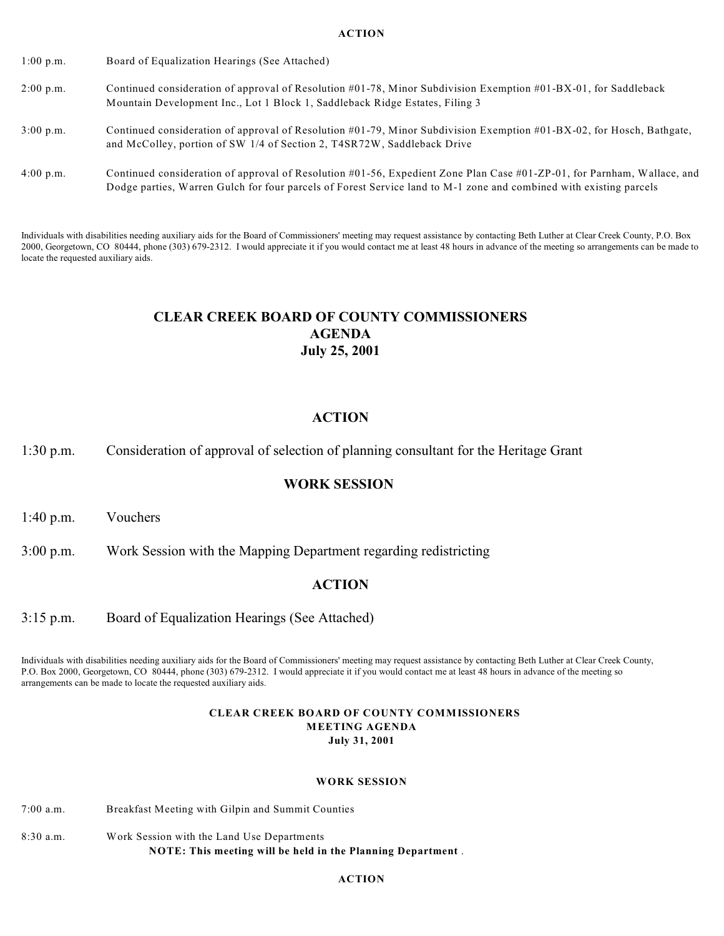- 1:00 p.m. Board of Equalization Hearings (See Attached)
- 2:00 p.m. Continued consideration of approval of Resolution #01-78, Minor Subdivision Exemption #01-BX-01, for Saddleback Mountain Development Inc., Lot 1 Block 1, Saddleback Ridge Estates, Filing 3
- 3:00 p.m. Continued consideration of approval of Resolution #01-79, Minor Subdivision Exemption #01-BX-02, for Hosch, Bathgate, and McColley, portion of SW 1/4 of Section 2, T4SR72W, Saddleback Drive
- 4:00 p.m. Continued consideration of approval of Resolution #01-56, Expedient Zone Plan Case #01-ZP-01, for Parnham, Wallace, and Dodge parties, Warren Gulch for four parcels of Forest Service land to M-1 zone and combined with existing parcels

Individuals with disabilities needing auxiliary aids for the Board of Commissioners' meeting may request assistance by contacting Beth Luther at Clear Creek County, P.O. Box 2000, Georgetown, CO 80444, phone (303) 679-2312. I would appreciate it if you would contact me at least 48 hours in advance of the meeting so arrangements can be made to locate the requested auxiliary aids.

# **CLEAR CREEK BOARD OF COUNTY COMMISSIONERS AGENDA July 25, 2001**

### **ACTION**

1:30 p.m. Consideration of approval of selection of planning consultant for the Heritage Grant

### **WORK SESSION**

1:40 p.m. Vouchers

3:00 p.m. Work Session with the Mapping Department regarding redistricting

### **ACTION**

3:15 p.m. Board of Equalization Hearings (See Attached)

Individuals with disabilities needing auxiliary aids for the Board of Commissioners' meeting may request assistance by contacting Beth Luther at Clear Creek County, P.O. Box 2000, Georgetown, CO 80444, phone (303) 679-2312. I would appreciate it if you would contact me at least 48 hours in advance of the meeting so arrangements can be made to locate the requested auxiliary aids.

#### **CLEAR CREEK BOARD OF COUNTY COMMISSIONERS MEETING AGENDA July 31, 2001**

#### **WORK SESSION**

- 7:00 a.m. Breakfast Meeting with Gilpin and Summit Counties
- 8:30 a.m. Work Session with the Land Use Departments **NOTE: This meeting will be held in the Planning Department** .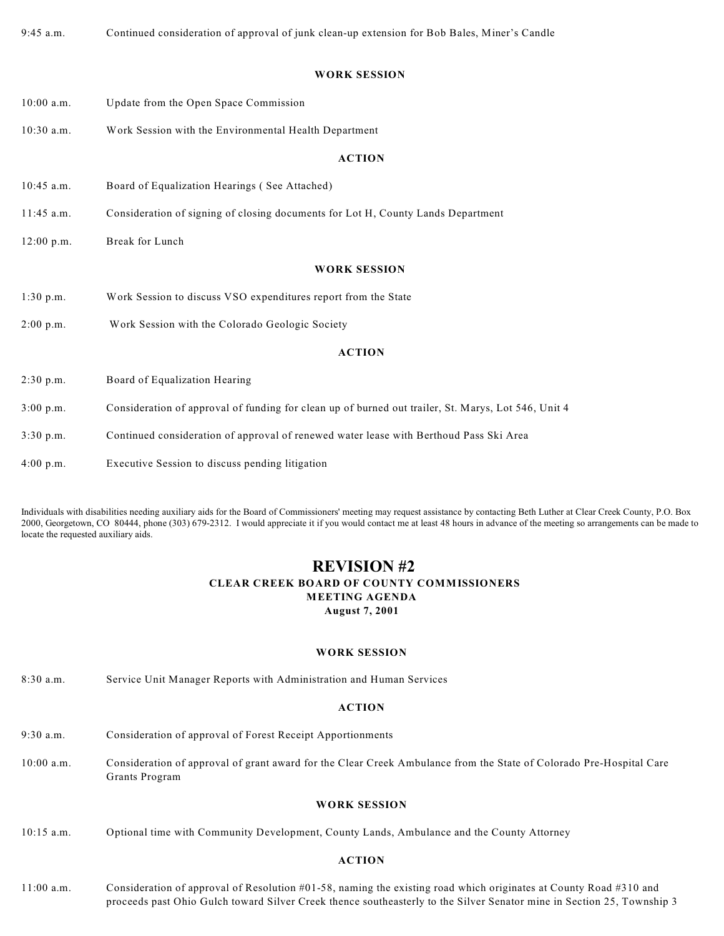9:45 a.m. Continued consideration of approval of junk clean-up extension for Bob Bales, Miner's Candle

#### **WORK SESSION**

- 10:00 a.m. Update from the Open Space Commission
- 10:30 a.m. Work Session with the Environmental Health Department

#### **ACTION**

- 10:45 a.m. Board of Equalization Hearings ( See Attached)
- 11:45 a.m. Consideration of signing of closing documents for Lot H, County Lands Department
- 12:00 p.m. Break for Lunch

#### **WORK SESSION**

- 1:30 p.m. Work Session to discuss VSO expenditures report from the State
- 2:00 p.m. Work Session with the Colorado Geologic Society

#### **ACTION**

- 2:30 p.m. Board of Equalization Hearing
- 3:00 p.m. Consideration of approval of funding for clean up of burned out trailer, St. Marys, Lot 546, Unit 4
- 3:30 p.m. Continued consideration of approval of renewed water lease with Berthoud Pass Ski Area
- 4:00 p.m. Executive Session to discuss pending litigation

Individuals with disabilities needing auxiliary aids for the Board of Commissioners' meeting may request assistance by contacting Beth Luther at Clear Creek County, P.O. Box 2000, Georgetown, CO 80444, phone (303) 679-2312. I would appreciate it if you would contact me at least 48 hours in advance of the meeting so arrangements can be made to locate the requested auxiliary aids.

### **REVISION #2 CLEAR CREEK BOARD OF COUNTY COMMISSIONERS MEETING AGENDA August 7, 2001**

#### **WORK SESSION**

8:30 a.m. Service Unit Manager Reports with Administration and Human Services

#### **ACTION**

- 9:30 a.m. Consideration of approval of Forest Receipt Apportionments
- 10:00 a.m. Consideration of approval of grant award for the Clear Creek Ambulance from the State of Colorado Pre-Hospital Care Grants Program

#### **WORK SESSION**

10:15 a.m. Optional time with Community Development, County Lands, Ambulance and the County Attorney

#### **ACTION**

11:00 a.m. Consideration of approval of Resolution #01-58, naming the existing road which originates at County Road #310 and proceeds past Ohio Gulch toward Silver Creek thence southeasterly to the Silver Senator mine in Section 25, Township 3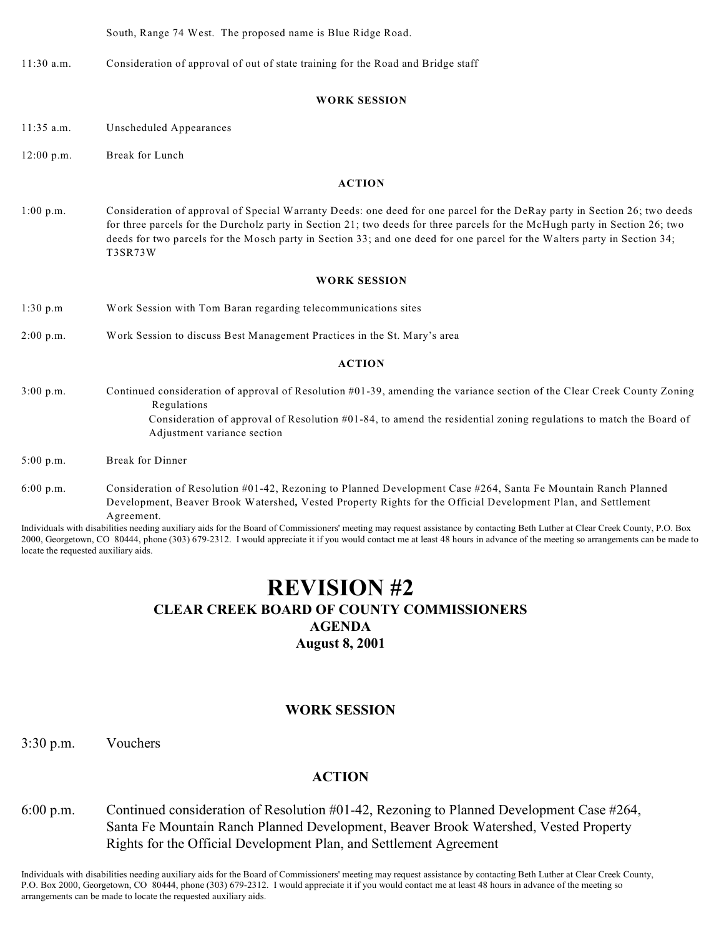South, Range 74 West. The proposed name is Blue Ridge Road.

11:30 a.m. Consideration of approval of out of state training for the Road and Bridge staff

#### **WORK SESSION**

- 11:35 a.m. Unscheduled Appearances
- 12:00 p.m. Break for Lunch

#### **ACTION**

1:00 p.m. Consideration of approval of Special Warranty Deeds: one deed for one parcel for the DeRay party in Section 26; two deeds for three parcels for the Durcholz party in Section 21; two deeds for three parcels for the McHugh party in Section 26; two deeds for two parcels for the Mosch party in Section 33; and one deed for one parcel for the Walters party in Section 34; T3SR73W

#### **WORK SESSION**

- 1:30 p.m Work Session with Tom Baran regarding telecommunications sites
- 2:00 p.m. Work Session to discuss Best Management Practices in the St. Mary's area

#### **ACTION**

- 3:00 p.m. Continued consideration of approval of Resolution #01-39, amending the variance section of the Clear Creek County Zoning Regulations
	- Consideration of approval of Resolution #01-84, to amend the residential zoning regulations to match the Board of Adjustment variance section
- 5:00 p.m. Break for Dinner
- 6:00 p.m. Consideration of Resolution #01-42, Rezoning to Planned Development Case #264, Santa Fe Mountain Ranch Planned Development, Beaver Brook Watershed*,* Vested Property Rights for the Official Development Plan, and Settlement Agreement.

Individuals with disabilities needing auxiliary aids for the Board of Commissioners' meeting may request assistance by contacting Beth Luther at Clear Creek County, P.O. Box 2000, Georgetown, CO 80444, phone (303) 679-2312. I would appreciate it if you would contact me at least 48 hours in advance of the meeting so arrangements can be made to locate the requested auxiliary aids.

# **REVISION #2**

### **CLEAR CREEK BOARD OF COUNTY COMMISSIONERS**

**AGENDA**

**August 8, 2001**

### **WORK SESSION**

3:30 p.m. Vouchers

### **ACTION**

6:00 p.m. Continued consideration of Resolution #01-42, Rezoning to Planned Development Case #264, Santa Fe Mountain Ranch Planned Development, Beaver Brook Watershed, Vested Property Rights for the Official Development Plan, and Settlement Agreement

Individuals with disabilities needing auxiliary aids for the Board of Commissioners' meeting may request assistance by contacting Beth Luther at Clear Creek County, P.O. Box 2000, Georgetown, CO 80444, phone (303) 679-2312. I would appreciate it if you would contact me at least 48 hours in advance of the meeting so arrangements can be made to locate the requested auxiliary aids.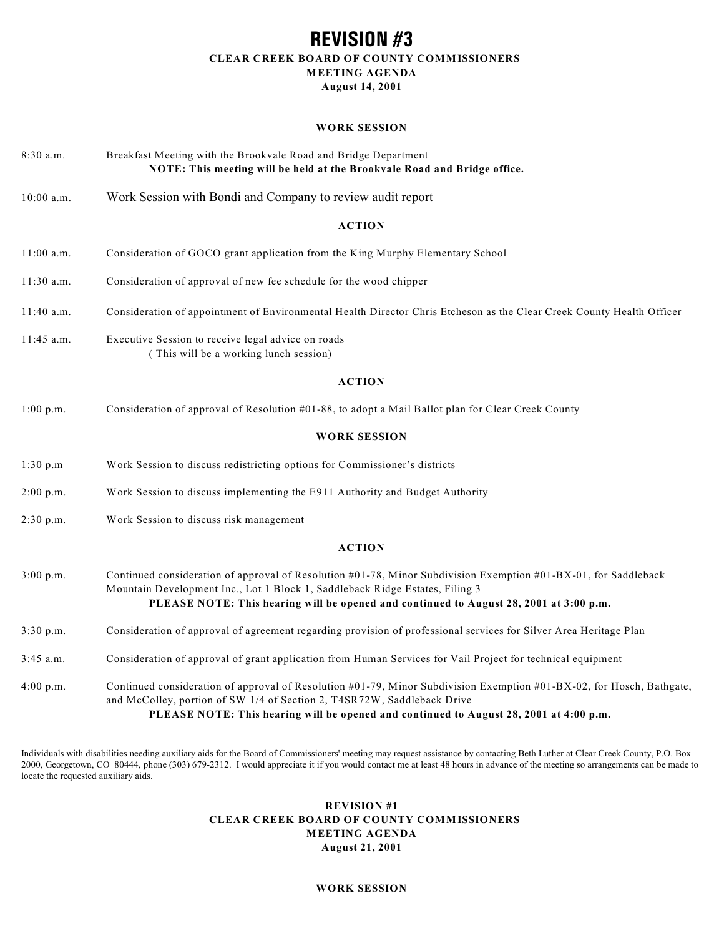## **REVISION #3 CLEAR CREEK BOARD OF COUNTY COMMISSIONERS MEETING AGENDA August 14, 2001**

#### **WORK SESSION**

| $8:30$ a.m.  | Breakfast Meeting with the Brookvale Road and Bridge Department<br>NOTE: This meeting will be held at the Brookvale Road and Bridge office.                                                                                                                                               |
|--------------|-------------------------------------------------------------------------------------------------------------------------------------------------------------------------------------------------------------------------------------------------------------------------------------------|
| 10:00 a.m.   | Work Session with Bondi and Company to review audit report                                                                                                                                                                                                                                |
|              | <b>ACTION</b>                                                                                                                                                                                                                                                                             |
| 11:00 a.m.   | Consideration of GOCO grant application from the King Murphy Elementary School                                                                                                                                                                                                            |
| 11:30 a.m.   | Consideration of approval of new fee schedule for the wood chipper                                                                                                                                                                                                                        |
| $11:40$ a.m. | Consideration of appointment of Environmental Health Director Chris Etcheson as the Clear Creek County Health Officer                                                                                                                                                                     |
| 11:45 a.m.   | Executive Session to receive legal advice on roads<br>(This will be a working lunch session)                                                                                                                                                                                              |
|              | <b>ACTION</b>                                                                                                                                                                                                                                                                             |
| 1:00 p.m.    | Consideration of approval of Resolution #01-88, to adopt a Mail Ballot plan for Clear Creek County                                                                                                                                                                                        |
|              | <b>WORK SESSION</b>                                                                                                                                                                                                                                                                       |
| 1:30 p.m     | Work Session to discuss redistricting options for Commissioner's districts                                                                                                                                                                                                                |
| 2:00 p.m.    | Work Session to discuss implementing the E911 Authority and Budget Authority                                                                                                                                                                                                              |
| 2:30 p.m.    | Work Session to discuss risk management                                                                                                                                                                                                                                                   |
|              | <b>ACTION</b>                                                                                                                                                                                                                                                                             |
| 3:00 p.m.    | Continued consideration of approval of Resolution #01-78, Minor Subdivision Exemption #01-BX-01, for Saddleback<br>Mountain Development Inc., Lot 1 Block 1, Saddleback Ridge Estates, Filing 3<br>PLEASE NOTE: This hearing will be opened and continued to August 28, 2001 at 3:00 p.m. |
| 3:30 p.m.    | Consideration of approval of agreement regarding provision of professional services for Silver Area Heritage Plan                                                                                                                                                                         |
| $3:45$ a.m.  | Consideration of approval of grant application from Human Services for Vail Project for technical equipment                                                                                                                                                                               |
| 4:00 p.m.    | Continued consideration of approval of Resolution #01-79, Minor Subdivision Exemption #01-BX-02, for Hosch, Bathgate,<br>and McColley, portion of SW 1/4 of Section 2, T4SR72W, Saddleback Drive                                                                                          |

**PLEASE NOTE: This hearing will be opened and continued to August 28, 2001 at 4:00 p.m.**

Individuals with disabilities needing auxiliary aids for the Board of Commissioners' meeting may request assistance by contacting Beth Luther at Clear Creek County, P.O. Box 2000, Georgetown, CO 80444, phone (303) 679-2312. I would appreciate it if you would contact me at least 48 hours in advance of the meeting so arrangements can be made to locate the requested auxiliary aids.

### **REVISION #1 CLEAR CREEK BOARD OF COUNTY COMMISSIONERS MEETING AGENDA August 21, 2001**

#### **WORK SESSION**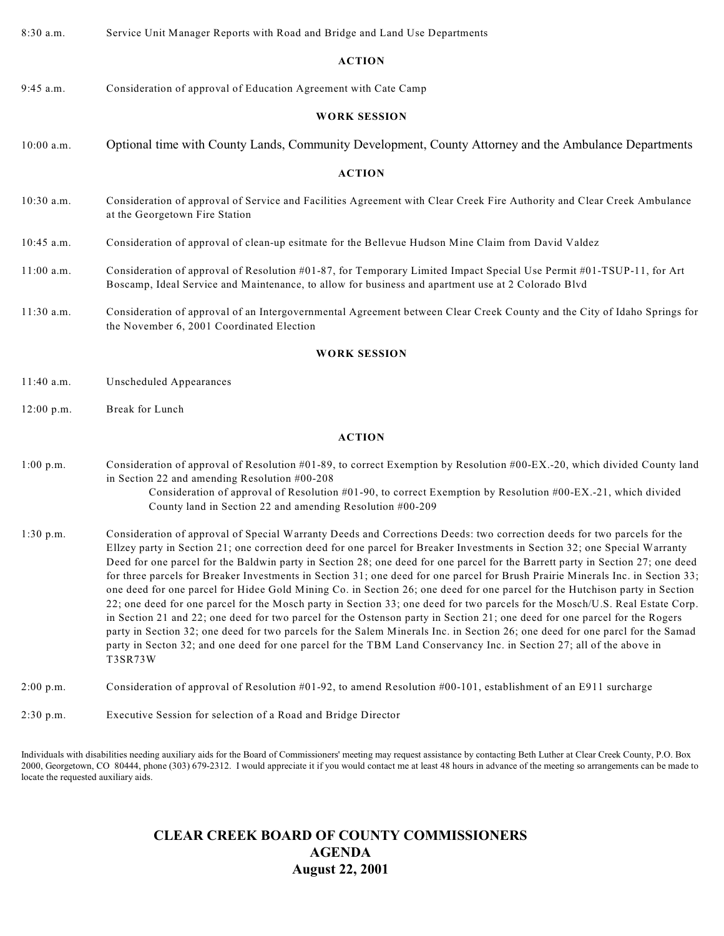| 8:30 a.m.    | Service Unit Manager Reports with Road and Bridge and Land Use Departments                                                                                                                                                                                                                                                                                                                                                                                                                                                                                                                                                                                                                                                                                                                                                                                                                                                                                                                                                                                                                                                                                                                  |
|--------------|---------------------------------------------------------------------------------------------------------------------------------------------------------------------------------------------------------------------------------------------------------------------------------------------------------------------------------------------------------------------------------------------------------------------------------------------------------------------------------------------------------------------------------------------------------------------------------------------------------------------------------------------------------------------------------------------------------------------------------------------------------------------------------------------------------------------------------------------------------------------------------------------------------------------------------------------------------------------------------------------------------------------------------------------------------------------------------------------------------------------------------------------------------------------------------------------|
|              | <b>ACTION</b>                                                                                                                                                                                                                                                                                                                                                                                                                                                                                                                                                                                                                                                                                                                                                                                                                                                                                                                                                                                                                                                                                                                                                                               |
| $9:45$ a.m.  | Consideration of approval of Education Agreement with Cate Camp                                                                                                                                                                                                                                                                                                                                                                                                                                                                                                                                                                                                                                                                                                                                                                                                                                                                                                                                                                                                                                                                                                                             |
|              | <b>WORK SESSION</b>                                                                                                                                                                                                                                                                                                                                                                                                                                                                                                                                                                                                                                                                                                                                                                                                                                                                                                                                                                                                                                                                                                                                                                         |
| $10:00$ a.m. | Optional time with County Lands, Community Development, County Attorney and the Ambulance Departments                                                                                                                                                                                                                                                                                                                                                                                                                                                                                                                                                                                                                                                                                                                                                                                                                                                                                                                                                                                                                                                                                       |
|              | <b>ACTION</b>                                                                                                                                                                                                                                                                                                                                                                                                                                                                                                                                                                                                                                                                                                                                                                                                                                                                                                                                                                                                                                                                                                                                                                               |
| 10:30 a.m.   | Consideration of approval of Service and Facilities Agreement with Clear Creek Fire Authority and Clear Creek Ambulance<br>at the Georgetown Fire Station                                                                                                                                                                                                                                                                                                                                                                                                                                                                                                                                                                                                                                                                                                                                                                                                                                                                                                                                                                                                                                   |
| $10:45$ a.m. | Consideration of approval of clean-up esitmate for the Bellevue Hudson Mine Claim from David Valdez                                                                                                                                                                                                                                                                                                                                                                                                                                                                                                                                                                                                                                                                                                                                                                                                                                                                                                                                                                                                                                                                                         |
| $11:00$ a.m. | Consideration of approval of Resolution #01-87, for Temporary Limited Impact Special Use Permit #01-TSUP-11, for Art<br>Boscamp, Ideal Service and Maintenance, to allow for business and apartment use at 2 Colorado Blvd                                                                                                                                                                                                                                                                                                                                                                                                                                                                                                                                                                                                                                                                                                                                                                                                                                                                                                                                                                  |
| $11:30$ a.m. | Consideration of approval of an Intergovernmental Agreement between Clear Creek County and the City of Idaho Springs for<br>the November 6, 2001 Coordinated Election                                                                                                                                                                                                                                                                                                                                                                                                                                                                                                                                                                                                                                                                                                                                                                                                                                                                                                                                                                                                                       |
|              | <b>WORK SESSION</b>                                                                                                                                                                                                                                                                                                                                                                                                                                                                                                                                                                                                                                                                                                                                                                                                                                                                                                                                                                                                                                                                                                                                                                         |
| $11:40$ a.m. | Unscheduled Appearances                                                                                                                                                                                                                                                                                                                                                                                                                                                                                                                                                                                                                                                                                                                                                                                                                                                                                                                                                                                                                                                                                                                                                                     |
| $12:00$ p.m. | Break for Lunch                                                                                                                                                                                                                                                                                                                                                                                                                                                                                                                                                                                                                                                                                                                                                                                                                                                                                                                                                                                                                                                                                                                                                                             |
|              | <b>ACTION</b>                                                                                                                                                                                                                                                                                                                                                                                                                                                                                                                                                                                                                                                                                                                                                                                                                                                                                                                                                                                                                                                                                                                                                                               |
| 1:00 p.m.    | Consideration of approval of Resolution #01-89, to correct Exemption by Resolution #00-EX.-20, which divided County land<br>in Section 22 and amending Resolution #00-208<br>Consideration of approval of Resolution #01-90, to correct Exemption by Resolution #00-EX.-21, which divided<br>County land in Section 22 and amending Resolution #00-209                                                                                                                                                                                                                                                                                                                                                                                                                                                                                                                                                                                                                                                                                                                                                                                                                                      |
| 1:30 p.m.    | Consideration of approval of Special Warranty Deeds and Corrections Deeds: two correction deeds for two parcels for the<br>Ellzey party in Section 21; one correction deed for one parcel for Breaker Investments in Section 32; one Special Warranty<br>Deed for one parcel for the Baldwin party in Section 28; one deed for one parcel for the Barrett party in Section 27; one deed<br>for three parcels for Breaker Investments in Section 31; one deed for one parcel for Brush Prairie Minerals Inc. in Section 33;<br>one deed for one parcel for Hidee Gold Mining Co. in Section 26; one deed for one parcel for the Hutchison party in Section<br>22; one deed for one parcel for the Mosch party in Section 33; one deed for two parcels for the Mosch/U.S. Real Estate Corp.<br>in Section 21 and 22; one deed for two parcel for the Ostenson party in Section 21; one deed for one parcel for the Rogers<br>party in Section 32; one deed for two parcels for the Salem Minerals Inc. in Section 26; one deed for one parcl for the Samad<br>party in Secton 32; and one deed for one parcel for the TBM Land Conservancy Inc. in Section 27; all of the above in<br>T3SR73W |
| $2:00$ p.m.  | Consideration of approval of Resolution #01-92, to amend Resolution #00-101, establishment of an E911 surcharge                                                                                                                                                                                                                                                                                                                                                                                                                                                                                                                                                                                                                                                                                                                                                                                                                                                                                                                                                                                                                                                                             |

2:30 p.m. Executive Session for selection of a Road and Bridge Director

Individuals with disabilities needing auxiliary aids for the Board of Commissioners' meeting may request assistance by contacting Beth Luther at Clear Creek County, P.O. Box 2000, Georgetown, CO 80444, phone (303) 679-2312. I would appreciate it if you would contact me at least 48 hours in advance of the meeting so arrangements can be made to locate the requested auxiliary aids.

# **CLEAR CREEK BOARD OF COUNTY COMMISSIONERS AGENDA August 22, 2001**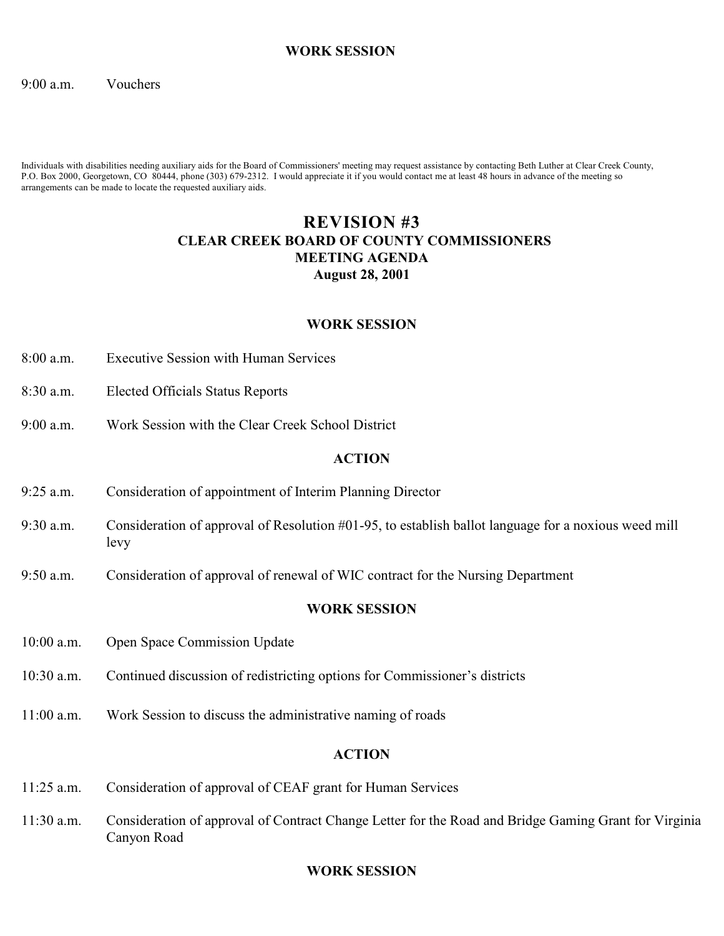### **WORK SESSION**

### 9:00 a.m. Vouchers

Individuals with disabilities needing auxiliary aids for the Board of Commissioners' meeting may request assistance by contacting Beth Luther at Clear Creek County, P.O. Box 2000, Georgetown, CO 80444, phone (303) 679-2312. I would appreciate it if you would contact me at least 48 hours in advance of the meeting so arrangements can be made to locate the requested auxiliary aids.

# **REVISION #3 CLEAR CREEK BOARD OF COUNTY COMMISSIONERS MEETING AGENDA August 28, 2001**

### **WORK SESSION**

- 8:00 a.m. Executive Session with Human Services
- 8:30 a.m. Elected Officials Status Reports
- 9:00 a.m. Work Session with the Clear Creek School District

### **ACTION**

- 9:25 a.m. Consideration of appointment of Interim Planning Director
- 9:30 a.m. Consideration of approval of Resolution #01-95, to establish ballot language for a noxious weed mill levy
- 9:50 a.m. Consideration of approval of renewal of WIC contract for the Nursing Department

### **WORK SESSION**

- 10:00 a.m. Open Space Commission Update
- 10:30 a.m. Continued discussion of redistricting options for Commissioner's districts
- 11:00 a.m. Work Session to discuss the administrative naming of roads

### **ACTION**

- 11:25 a.m. Consideration of approval of CEAF grant for Human Services
- 11:30 a.m. Consideration of approval of Contract Change Letter for the Road and Bridge Gaming Grant for Virginia Canyon Road

### **WORK SESSION**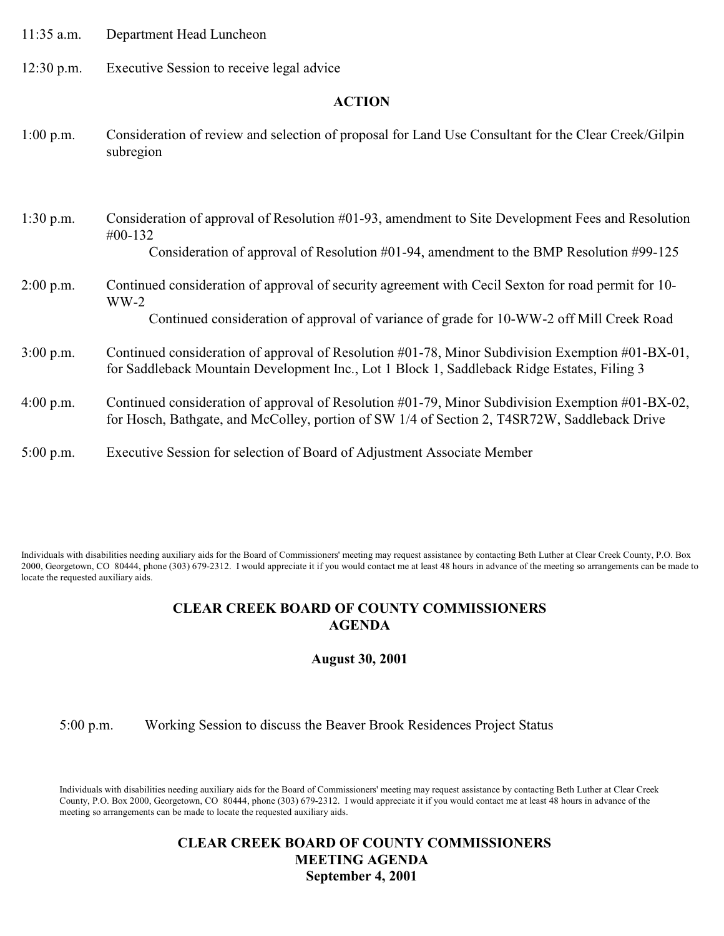| $11:35$ a.m. | Department Head Luncheon |
|--------------|--------------------------|
|--------------|--------------------------|

12:30 p.m. Executive Session to receive legal advice

### **ACTION**

- 1:00 p.m. Consideration of review and selection of proposal for Land Use Consultant for the Clear Creek/Gilpin subregion
- 1:30 p.m. Consideration of approval of Resolution #01-93, amendment to Site Development Fees and Resolution #00-132 Consideration of approval of Resolution #01-94, amendment to the BMP Resolution #99-125
- 2:00 p.m. Continued consideration of approval of security agreement with Cecil Sexton for road permit for 10- WW-2

Continued consideration of approval of variance of grade for 10-WW-2 off Mill Creek Road

- 3:00 p.m. Continued consideration of approval of Resolution #01-78, Minor Subdivision Exemption #01-BX-01, for Saddleback Mountain Development Inc., Lot 1 Block 1, Saddleback Ridge Estates, Filing 3
- 4:00 p.m. Continued consideration of approval of Resolution #01-79, Minor Subdivision Exemption #01-BX-02, for Hosch, Bathgate, and McColley, portion of SW 1/4 of Section 2, T4SR72W, Saddleback Drive
- 5:00 p.m. Executive Session for selection of Board of Adjustment Associate Member

Individuals with disabilities needing auxiliary aids for the Board of Commissioners' meeting may request assistance by contacting Beth Luther at Clear Creek County, P.O. Box 2000, Georgetown, CO 80444, phone (303) 679-2312. I would appreciate it if you would contact me at least 48 hours in advance of the meeting so arrangements can be made to locate the requested auxiliary aids.

### **CLEAR CREEK BOARD OF COUNTY COMMISSIONERS AGENDA**

**August 30, 2001**

5:00 p.m. Working Session to discuss the Beaver Brook Residences Project Status

Individuals with disabilities needing auxiliary aids for the Board of Commissioners' meeting may request assistance by contacting Beth Luther at Clear Creek County, P.O. Box 2000, Georgetown, CO 80444, phone (303) 679-2312. I would appreciate it if you would contact me at least 48 hours in advance of the meeting so arrangements can be made to locate the requested auxiliary aids.

## **CLEAR CREEK BOARD OF COUNTY COMMISSIONERS MEETING AGENDA September 4, 2001**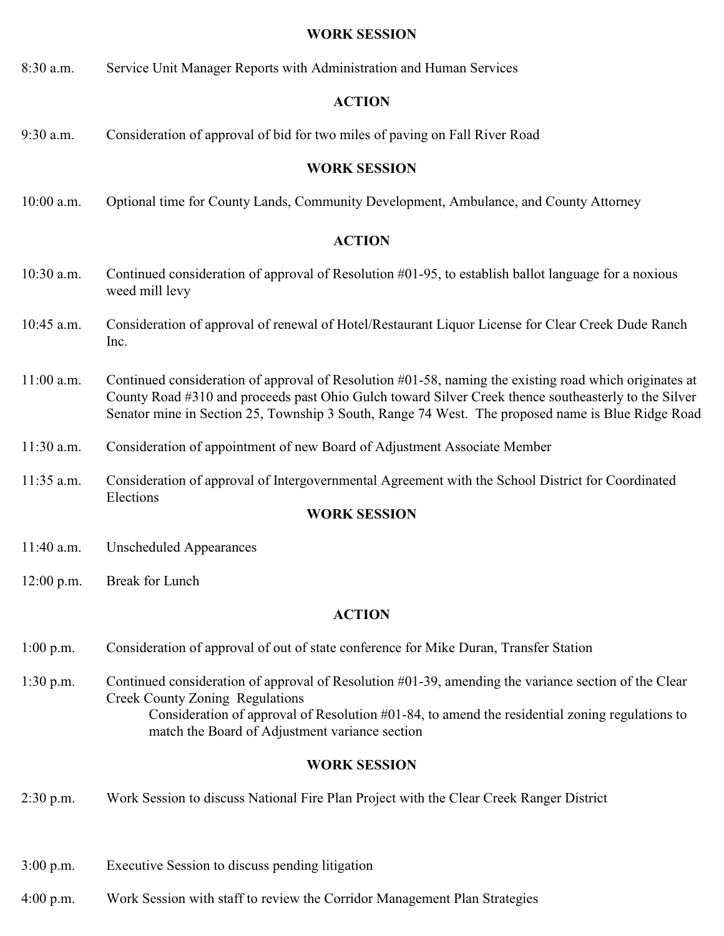### **WORK SESSION**

8:30 a.m. Service Unit Manager Reports with Administration and Human Services

### **ACTION**

9:30 a.m. Consideration of approval of bid for two miles of paving on Fall River Road

### **WORK SESSION**

10:00 a.m. Optional time for County Lands, Community Development, Ambulance, and County Attorney

### **ACTION**

- 10:30 a.m. Continued consideration of approval of Resolution #01-95, to establish ballot language for a noxious weed mill levy
- 10:45 a.m. Consideration of approval of renewal of Hotel/Restaurant Liquor License for Clear Creek Dude Ranch Inc.
- 11:00 a.m. Continued consideration of approval of Resolution #01-58, naming the existing road which originates at County Road #310 and proceeds past Ohio Gulch toward Silver Creek thence southeasterly to the Silver Senator mine in Section 25, Township 3 South, Range 74 West. The proposed name is Blue Ridge Road
- 11:30 a.m. Consideration of appointment of new Board of Adjustment Associate Member
- 11:35 a.m. Consideration of approval of Intergovernmental Agreement with the School District for Coordinated Elections

### **WORK SESSION**

- 11:40 a.m. Unscheduled Appearances
- 12:00 p.m. Break for Lunch

### **ACTION**

- 1:00 p.m. Consideration of approval of out of state conference for Mike Duran, Transfer Station
- 1:30 p.m. Continued consideration of approval of Resolution #01-39, amending the variance section of the Clear Creek County Zoning Regulations Consideration of approval of Resolution #01-84, to amend the residential zoning regulations to match the Board of Adjustment variance section

### **WORK SESSION**

- 2:30 p.m. Work Session to discuss National Fire Plan Project with the Clear Creek Ranger District
- 3:00 p.m. Executive Session to discuss pending litigation
- 4:00 p.m. Work Session with staff to review the Corridor Management Plan Strategies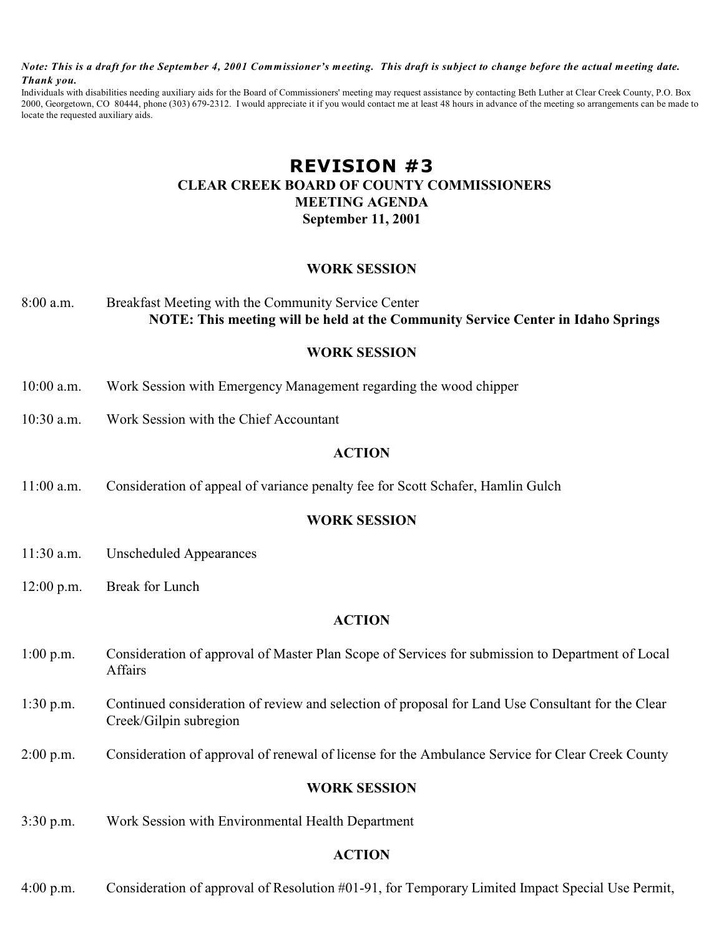*Note: This is a draft for the September 4, 2001 Commissioner's meeting. This draft is subject to change before the actual meeting date. Thank you.*

Individuals with disabilities needing auxiliary aids for the Board of Commissioners' meeting may request assistance by contacting Beth Luther at Clear Creek County, P.O. Box 2000, Georgetown, CO 80444, phone (303) 679-2312. I would appreciate it if you would contact me at least 48 hours in advance of the meeting so arrangements can be made to locate the requested auxiliary aids.

# **REVISION #3 CLEAR CREEK BOARD OF COUNTY COMMISSIONERS MEETING AGENDA September 11, 2001**

### **WORK SESSION**

## 8:00 a.m. Breakfast Meeting with the Community Service Center **NOTE: This meeting will be held at the Community Service Center in Idaho Springs**

### **WORK SESSION**

- 10:00 a.m. Work Session with Emergency Management regarding the wood chipper
- 10:30 a.m. Work Session with the Chief Accountant

### **ACTION**

11:00 a.m. Consideration of appeal of variance penalty fee for Scott Schafer, Hamlin Gulch

### **WORK SESSION**

- 11:30 a.m. Unscheduled Appearances
- 12:00 p.m. Break for Lunch

### **ACTION**

- 1:00 p.m. Consideration of approval of Master Plan Scope of Services for submission to Department of Local Affairs
- 1:30 p.m. Continued consideration of review and selection of proposal for Land Use Consultant for the Clear Creek/Gilpin subregion
- 2:00 p.m. Consideration of approval of renewal of license for the Ambulance Service for Clear Creek County

### **WORK SESSION**

3:30 p.m. Work Session with Environmental Health Department

### **ACTION**

4:00 p.m. Consideration of approval of Resolution #01-91, for Temporary Limited Impact Special Use Permit,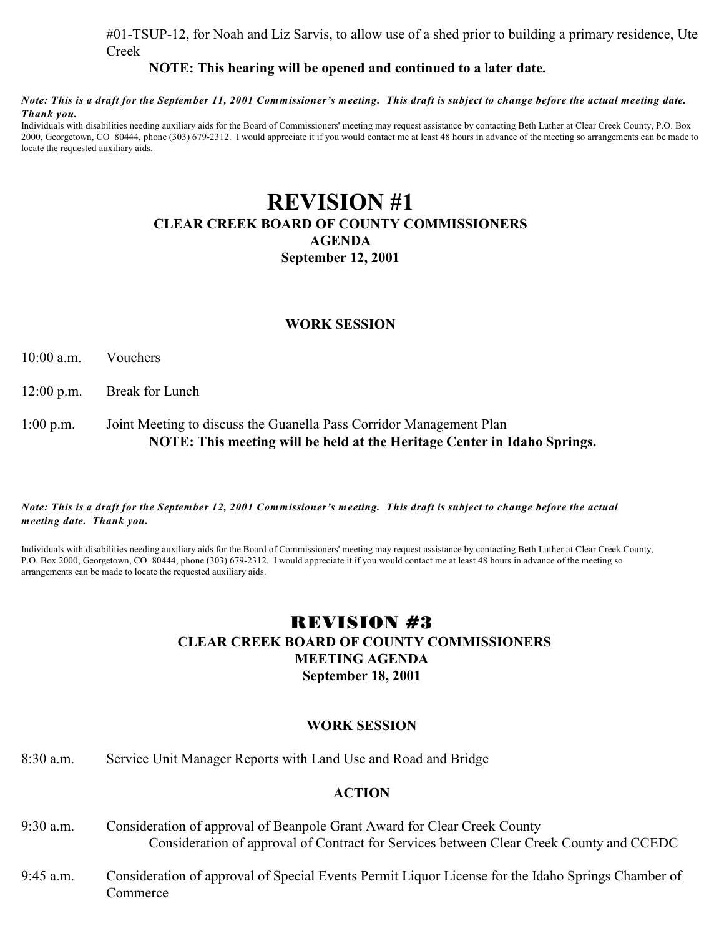#01-TSUP-12, for Noah and Liz Sarvis, to allow use of a shed prior to building a primary residence, Ute Creek

### **NOTE: This hearing will be opened and continued to a later date.**

#### *Note: This is a draft for the September 11, 2001 Commissioner's meeting. This draft is subject to change before the actual meeting date. Thank you.*

Individuals with disabilities needing auxiliary aids for the Board of Commissioners' meeting may request assistance by contacting Beth Luther at Clear Creek County, P.O. Box 2000, Georgetown, CO 80444, phone (303) 679-2312. I would appreciate it if you would contact me at least 48 hours in advance of the meeting so arrangements can be made to locate the requested auxiliary aids.

# **REVISION #1 CLEAR CREEK BOARD OF COUNTY COMMISSIONERS AGENDA September 12, 2001**

### **WORK SESSION**

10:00 a.m. Vouchers

12:00 p.m. Break for Lunch

### 1:00 p.m. Joint Meeting to discuss the Guanella Pass Corridor Management Plan **NOTE: This meeting will be held at the Heritage Center in Idaho Springs.**

#### *Note: This is a draft for the September 12, 2001 Commissioner's meeting. This draft is subject to change before the actual meeting date. Thank you.*

Individuals with disabilities needing auxiliary aids for the Board of Commissioners' meeting may request assistance by contacting Beth Luther at Clear Creek County, P.O. Box 2000, Georgetown, CO 80444, phone (303) 679-2312. I would appreciate it if you would contact me at least 48 hours in advance of the meeting so arrangements can be made to locate the requested auxiliary aids.

# REVISION #3  **CLEAR CREEK BOARD OF COUNTY COMMISSIONERS MEETING AGENDA September 18, 2001**

### **WORK SESSION**

### 8:30 a.m. Service Unit Manager Reports with Land Use and Road and Bridge

- 9:30 a.m. Consideration of approval of Beanpole Grant Award for Clear Creek County Consideration of approval of Contract for Services between Clear Creek County and CCEDC
- 9:45 a.m. Consideration of approval of Special Events Permit Liquor License for the Idaho Springs Chamber of Commerce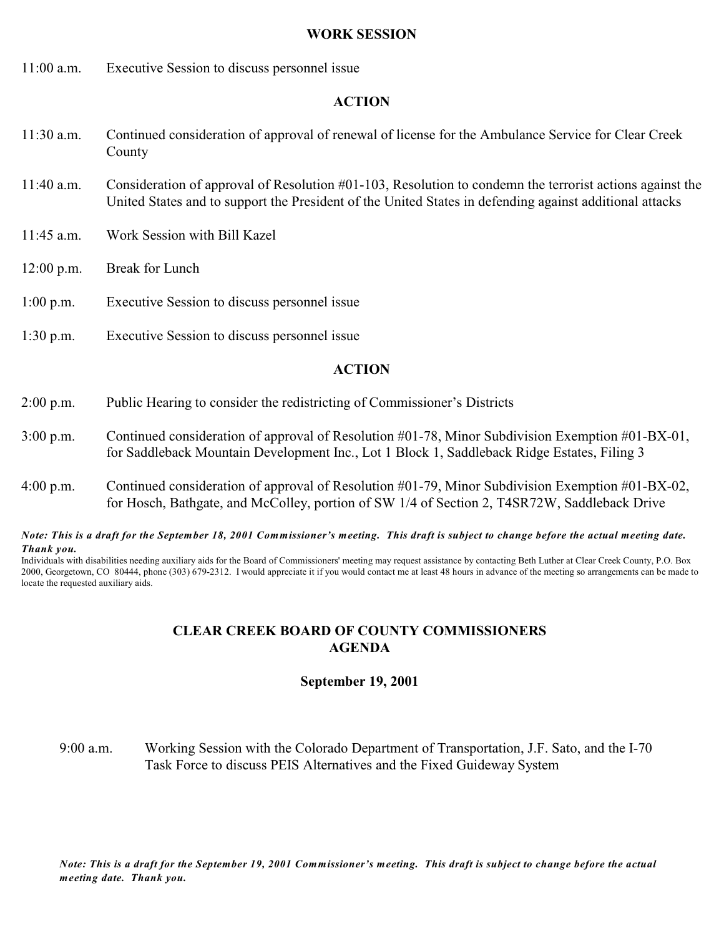### **WORK SESSION**

11:00 a.m. Executive Session to discuss personnel issue

### **ACTION**

- 11:30 a.m. Continued consideration of approval of renewal of license for the Ambulance Service for Clear Creek County
- 11:40 a.m. Consideration of approval of Resolution #01-103, Resolution to condemn the terrorist actions against the United States and to support the President of the United States in defending against additional attacks
- 11:45 a.m. Work Session with Bill Kazel
- 12:00 p.m. Break for Lunch
- 1:00 p.m. Executive Session to discuss personnel issue
- 1:30 p.m. Executive Session to discuss personnel issue

### **ACTION**

- 2:00 p.m. Public Hearing to consider the redistricting of Commissioner's Districts
- 3:00 p.m. Continued consideration of approval of Resolution #01-78, Minor Subdivision Exemption #01-BX-01, for Saddleback Mountain Development Inc., Lot 1 Block 1, Saddleback Ridge Estates, Filing 3
- 4:00 p.m. Continued consideration of approval of Resolution #01-79, Minor Subdivision Exemption #01-BX-02, for Hosch, Bathgate, and McColley, portion of SW 1/4 of Section 2, T4SR72W, Saddleback Drive

*Note: This is a draft for the September 18, 2001 Commissioner's meeting. This draft is subject to change before the actual meeting date. Thank you.*

Individuals with disabilities needing auxiliary aids for the Board of Commissioners' meeting may request assistance by contacting Beth Luther at Clear Creek County, P.O. Box 2000, Georgetown, CO 80444, phone (303) 679-2312. I would appreciate it if you would contact me at least 48 hours in advance of the meeting so arrangements can be made to locate the requested auxiliary aids.

### **CLEAR CREEK BOARD OF COUNTY COMMISSIONERS AGENDA**

### **September 19, 2001**

9:00 a.m. Working Session with the Colorado Department of Transportation, J.F. Sato, and the I-70 Task Force to discuss PEIS Alternatives and the Fixed Guideway System

*Note: This is a draft for the September 19, 2001 Commissioner's meeting. This draft is subject to change before the actual meeting date. Thank you.*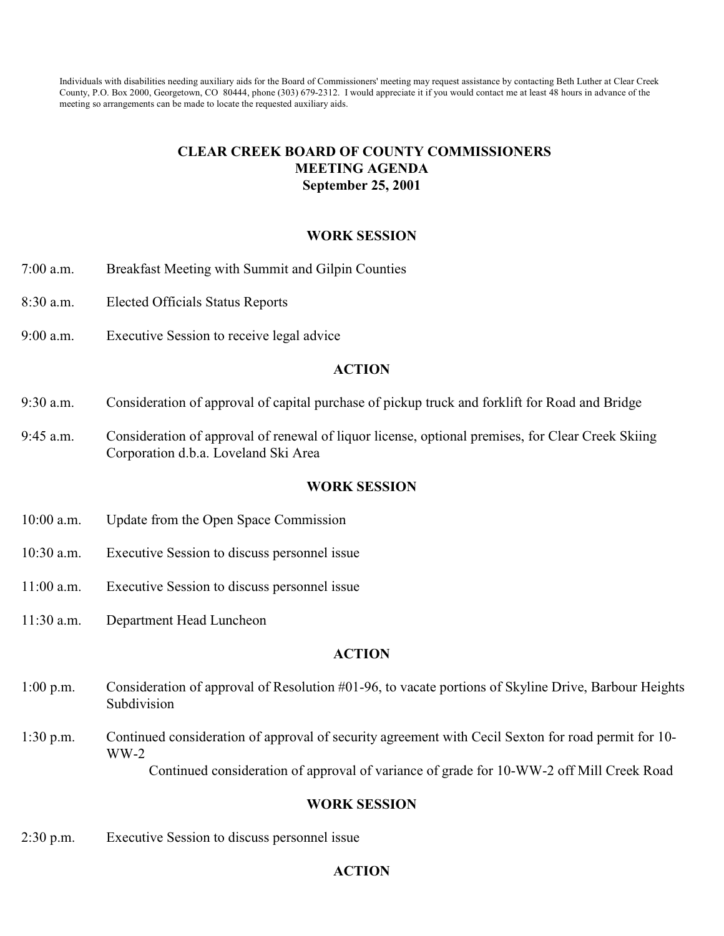Individuals with disabilities needing auxiliary aids for the Board of Commissioners' meeting may request assistance by contacting Beth Luther at Clear Creek County, P.O. Box 2000, Georgetown, CO 80444, phone (303) 679-2312. I would appreciate it if you would contact me at least 48 hours in advance of the meeting so arrangements can be made to locate the requested auxiliary aids.

## **CLEAR CREEK BOARD OF COUNTY COMMISSIONERS MEETING AGENDA September 25, 2001**

### **WORK SESSION**

- 7:00 a.m. Breakfast Meeting with Summit and Gilpin Counties
- 8:30 a.m. Elected Officials Status Reports
- 9:00 a.m. Executive Session to receive legal advice

### **ACTION**

- 9:30 a.m. Consideration of approval of capital purchase of pickup truck and forklift for Road and Bridge
- 9:45 a.m. Consideration of approval of renewal of liquor license, optional premises, for Clear Creek Skiing Corporation d.b.a. Loveland Ski Area

### **WORK SESSION**

- 10:00 a.m. Update from the Open Space Commission
- 10:30 a.m. Executive Session to discuss personnel issue
- 11:00 a.m. Executive Session to discuss personnel issue
- 11:30 a.m. Department Head Luncheon

### **ACTION**

- 1:00 p.m. Consideration of approval of Resolution #01-96, to vacate portions of Skyline Drive, Barbour Heights Subdivision
- 1:30 p.m. Continued consideration of approval of security agreement with Cecil Sexton for road permit for 10- WW-2

Continued consideration of approval of variance of grade for 10-WW-2 off Mill Creek Road

### **WORK SESSION**

2:30 p.m. Executive Session to discuss personnel issue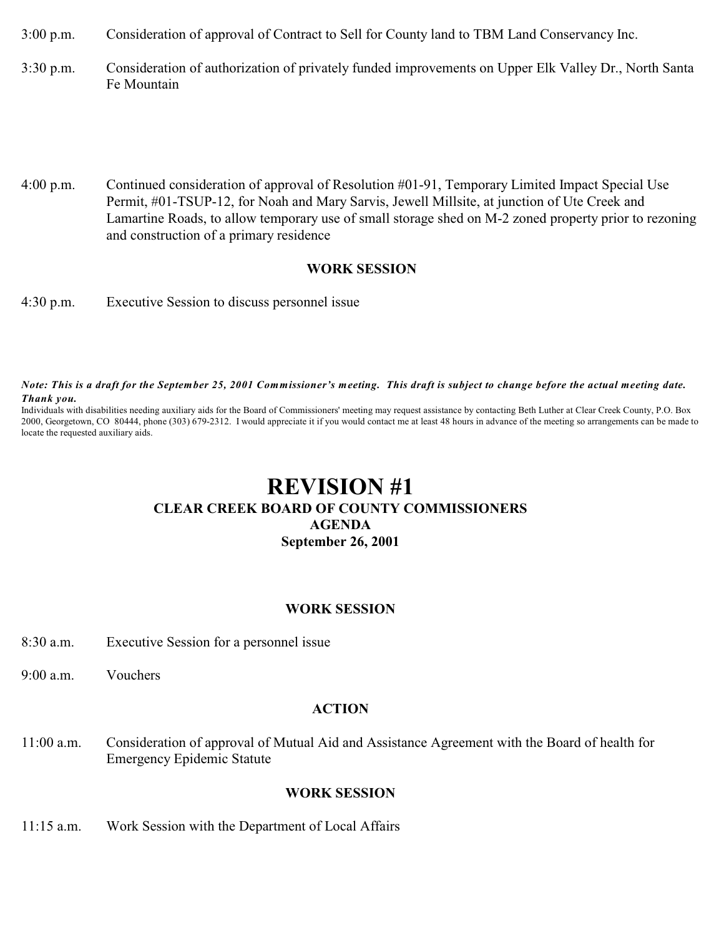3:00 p.m. Consideration of approval of Contract to Sell for County land to TBM Land Conservancy Inc.

- 3:30 p.m. Consideration of authorization of privately funded improvements on Upper Elk Valley Dr., North Santa Fe Mountain
- 4:00 p.m. Continued consideration of approval of Resolution #01-91, Temporary Limited Impact Special Use Permit, #01-TSUP-12, for Noah and Mary Sarvis, Jewell Millsite, at junction of Ute Creek and Lamartine Roads, to allow temporary use of small storage shed on M-2 zoned property prior to rezoning and construction of a primary residence

### **WORK SESSION**

4:30 p.m. Executive Session to discuss personnel issue

*Note: This is a draft for the September 25, 2001 Commissioner's meeting. This draft is subject to change before the actual meeting date. Thank you.*

Individuals with disabilities needing auxiliary aids for the Board of Commissioners' meeting may request assistance by contacting Beth Luther at Clear Creek County, P.O. Box 2000, Georgetown, CO 80444, phone (303) 679-2312. I would appreciate it if you would contact me at least 48 hours in advance of the meeting so arrangements can be made to locate the requested auxiliary aids.

# **REVISION #1 CLEAR CREEK BOARD OF COUNTY COMMISSIONERS AGENDA September 26, 2001**

### **WORK SESSION**

- 8:30 a.m. Executive Session for a personnel issue
- 9:00 a.m. Vouchers

### **ACTION**

11:00 a.m. Consideration of approval of Mutual Aid and Assistance Agreement with the Board of health for Emergency Epidemic Statute

### **WORK SESSION**

11:15 a.m. Work Session with the Department of Local Affairs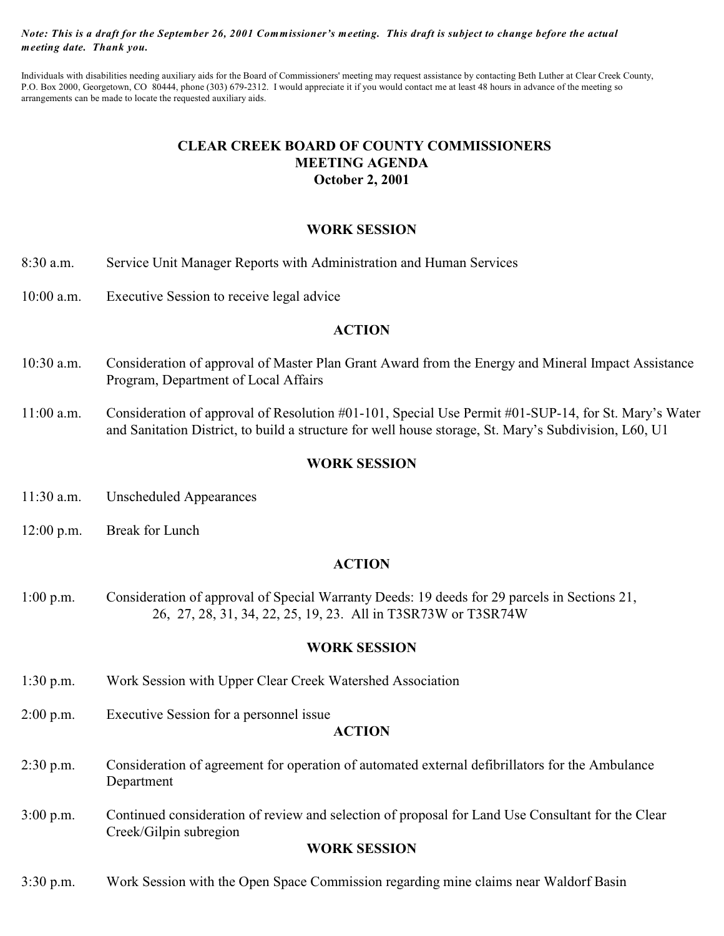*Note: This is a draft for the September 26, 2001 Commissioner's meeting. This draft is subject to change before the actual meeting date. Thank you.*

Individuals with disabilities needing auxiliary aids for the Board of Commissioners' meeting may request assistance by contacting Beth Luther at Clear Creek County, P.O. Box 2000, Georgetown, CO 80444, phone (303) 679-2312. I would appreciate it if you would contact me at least 48 hours in advance of the meeting so arrangements can be made to locate the requested auxiliary aids.

# **CLEAR CREEK BOARD OF COUNTY COMMISSIONERS MEETING AGENDA October 2, 2001**

### **WORK SESSION**

- 8:30 a.m. Service Unit Manager Reports with Administration and Human Services
- 10:00 a.m. Executive Session to receive legal advice

### **ACTION**

- 10:30 a.m. Consideration of approval of Master Plan Grant Award from the Energy and Mineral Impact Assistance Program, Department of Local Affairs
- 11:00 a.m. Consideration of approval of Resolution #01-101, Special Use Permit #01-SUP-14, for St. Mary's Water and Sanitation District, to build a structure for well house storage, St. Mary's Subdivision, L60, U1

### **WORK SESSION**

- 11:30 a.m. Unscheduled Appearances
- 12:00 p.m. Break for Lunch

### **ACTION**

1:00 p.m. Consideration of approval of Special Warranty Deeds: 19 deeds for 29 parcels in Sections 21, 26, 27, 28, 31, 34, 22, 25, 19, 23. All in T3SR73W or T3SR74W

### **WORK SESSION**

- 1:30 p.m. Work Session with Upper Clear Creek Watershed Association
- 2:00 p.m. Executive Session for a personnel issue

#### **ACTION**

- 2:30 p.m. Consideration of agreement for operation of automated external defibrillators for the Ambulance Department
- 3:00 p.m. Continued consideration of review and selection of proposal for Land Use Consultant for the Clear Creek/Gilpin subregion

### **WORK SESSION**

3:30 p.m. Work Session with the Open Space Commission regarding mine claims near Waldorf Basin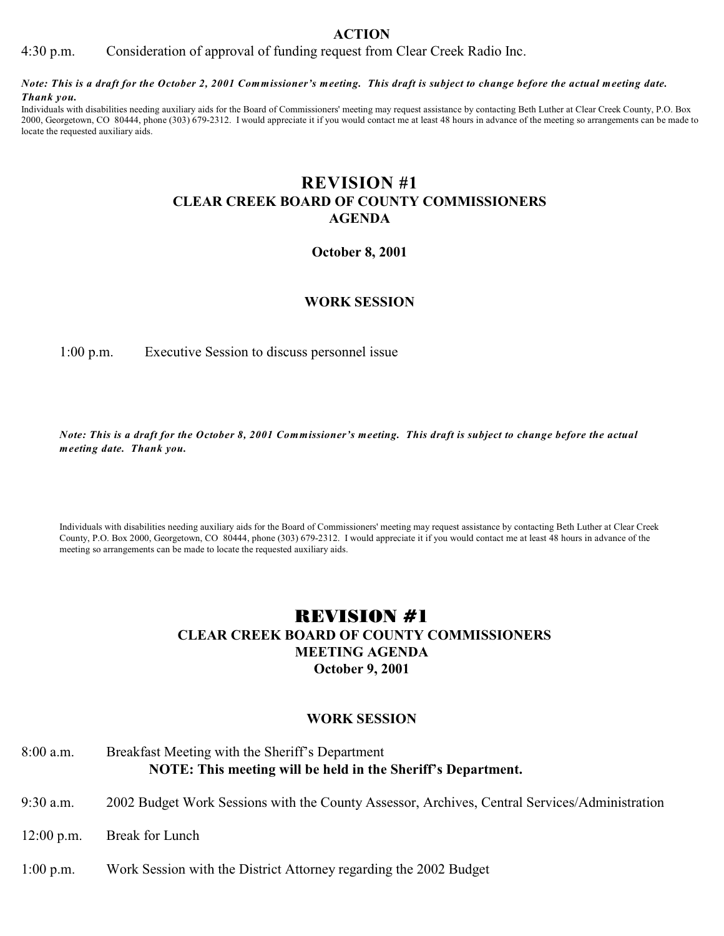4:30 p.m. Consideration of approval of funding request from Clear Creek Radio Inc.

*Note: This is a draft for the October 2, 2001 Commissioner's meeting. This draft is subject to change before the actual meeting date. Thank you.*

Individuals with disabilities needing auxiliary aids for the Board of Commissioners' meeting may request assistance by contacting Beth Luther at Clear Creek County, P.O. Box 2000, Georgetown, CO 80444, phone (303) 679-2312. I would appreciate it if you would contact me at least 48 hours in advance of the meeting so arrangements can be made to locate the requested auxiliary aids.

# **REVISION #1 CLEAR CREEK BOARD OF COUNTY COMMISSIONERS AGENDA**

### **October 8, 2001**

### **WORK SESSION**

1:00 p.m. Executive Session to discuss personnel issue

*Note: This is a draft for the October 8, 2001 Commissioner's meeting. This draft is subject to change before the actual meeting date. Thank you.*

Individuals with disabilities needing auxiliary aids for the Board of Commissioners' meeting may request assistance by contacting Beth Luther at Clear Creek County, P.O. Box 2000, Georgetown, CO 80444, phone (303) 679-2312. I would appreciate it if you would contact me at least 48 hours in advance of the meeting so arrangements can be made to locate the requested auxiliary aids.

# REVISION #1  **CLEAR CREEK BOARD OF COUNTY COMMISSIONERS MEETING AGENDA October 9, 2001**

### **WORK SESSION**

### 8:00 a.m. Breakfast Meeting with the Sheriff's Department **NOTE: This meeting will be held in the Sheriff's Department.**

- 9:30 a.m. 2002 Budget Work Sessions with the County Assessor, Archives, Central Services/Administration
- 12:00 p.m. Break for Lunch
- 1:00 p.m. Work Session with the District Attorney regarding the 2002 Budget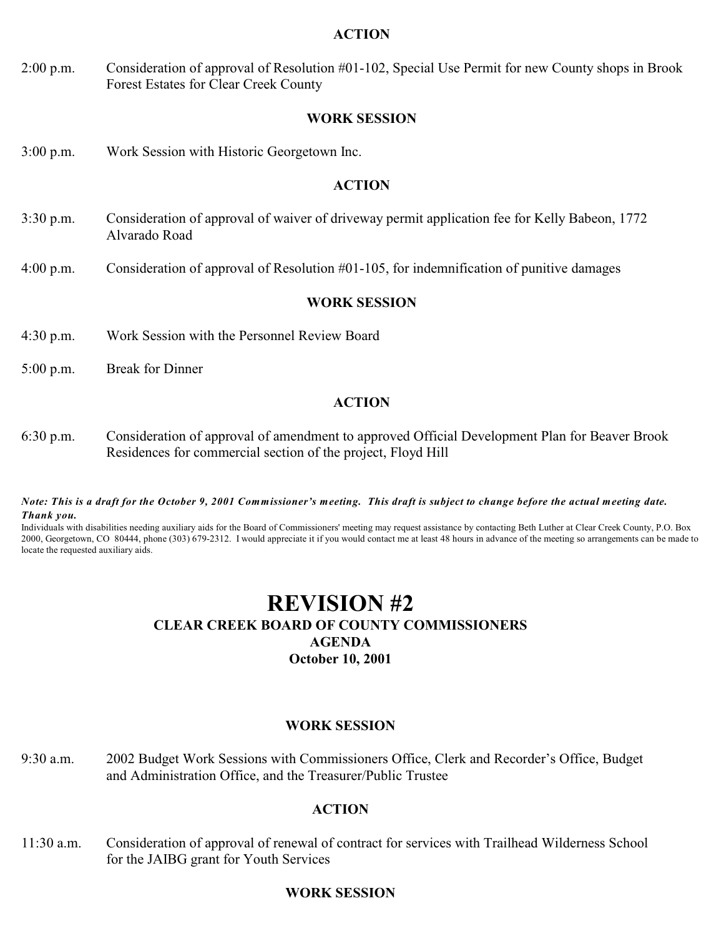2:00 p.m. Consideration of approval of Resolution #01-102, Special Use Permit for new County shops in Brook Forest Estates for Clear Creek County

### **WORK SESSION**

3:00 p.m. Work Session with Historic Georgetown Inc.

### **ACTION**

- 3:30 p.m. Consideration of approval of waiver of driveway permit application fee for Kelly Babeon, 1772 Alvarado Road
- 4:00 p.m. Consideration of approval of Resolution #01-105, for indemnification of punitive damages

### **WORK SESSION**

- 4:30 p.m. Work Session with the Personnel Review Board
- 5:00 p.m. Break for Dinner

### **ACTION**

6:30 p.m. Consideration of approval of amendment to approved Official Development Plan for Beaver Brook Residences for commercial section of the project, Floyd Hill

*Note: This is a draft for the October 9, 2001 Commissioner's meeting. This draft is subject to change before the actual meeting date. Thank you.*

Individuals with disabilities needing auxiliary aids for the Board of Commissioners' meeting may request assistance by contacting Beth Luther at Clear Creek County, P.O. Box 2000, Georgetown, CO 80444, phone (303) 679-2312. I would appreciate it if you would contact me at least 48 hours in advance of the meeting so arrangements can be made to locate the requested auxiliary aids.

# **REVISION #2 CLEAR CREEK BOARD OF COUNTY COMMISSIONERS AGENDA October 10, 2001**

### **WORK SESSION**

9:30 a.m. 2002 Budget Work Sessions with Commissioners Office, Clerk and Recorder's Office, Budget and Administration Office, and the Treasurer/Public Trustee

### **ACTION**

11:30 a.m. Consideration of approval of renewal of contract for services with Trailhead Wilderness School for the JAIBG grant for Youth Services

### **WORK SESSION**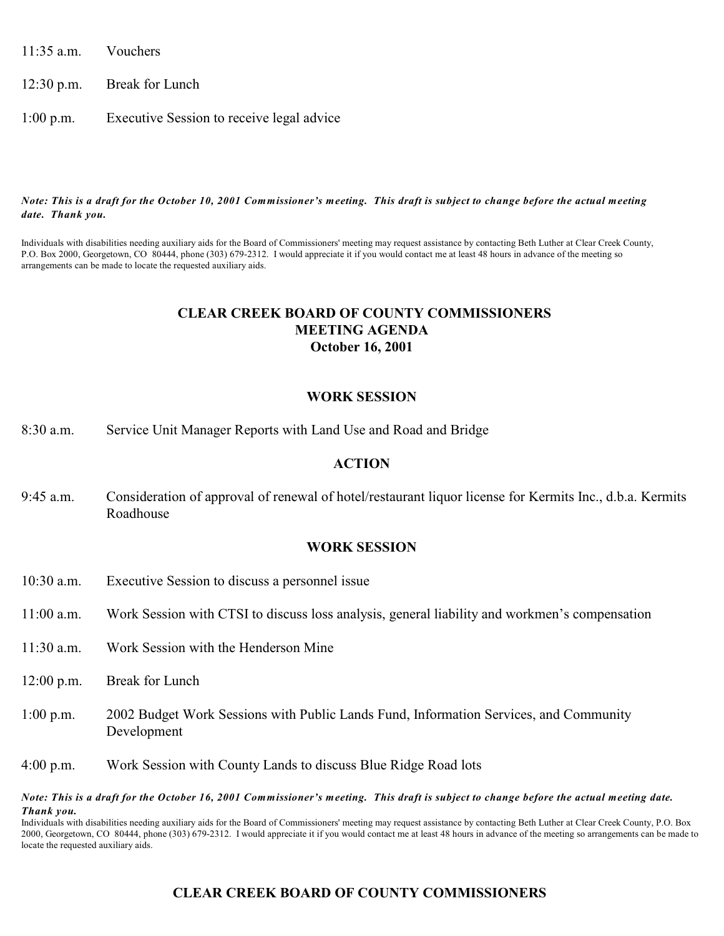11:35 a.m. Vouchers

12:30 p.m. Break for Lunch

1:00 p.m. Executive Session to receive legal advice

#### *Note: This is a draft for the October 10, 2001 Commissioner's meeting. This draft is subject to change before the actual meeting date. Thank you.*

Individuals with disabilities needing auxiliary aids for the Board of Commissioners' meeting may request assistance by contacting Beth Luther at Clear Creek County, P.O. Box 2000, Georgetown, CO 80444, phone (303) 679-2312. I would appreciate it if you would contact me at least 48 hours in advance of the meeting so arrangements can be made to locate the requested auxiliary aids.

### **CLEAR CREEK BOARD OF COUNTY COMMISSIONERS MEETING AGENDA October 16, 2001**

### **WORK SESSION**

8:30 a.m. Service Unit Manager Reports with Land Use and Road and Bridge

### **ACTION**

9:45 a.m. Consideration of approval of renewal of hotel/restaurant liquor license for Kermits Inc., d.b.a. Kermits Roadhouse

### **WORK SESSION**

- 10:30 a.m. Executive Session to discuss a personnel issue
- 11:00 a.m. Work Session with CTSI to discuss loss analysis, general liability and workmen's compensation
- 11:30 a.m. Work Session with the Henderson Mine
- 12:00 p.m. Break for Lunch
- 1:00 p.m. 2002 Budget Work Sessions with Public Lands Fund, Information Services, and Community Development
- 4:00 p.m. Work Session with County Lands to discuss Blue Ridge Road lots

#### *Note: This is a draft for the October 16, 2001 Commissioner's meeting. This draft is subject to change before the actual meeting date. Thank you.*

Individuals with disabilities needing auxiliary aids for the Board of Commissioners' meeting may request assistance by contacting Beth Luther at Clear Creek County, P.O. Box 2000, Georgetown, CO 80444, phone (303) 679-2312. I would appreciate it if you would contact me at least 48 hours in advance of the meeting so arrangements can be made to locate the requested auxiliary aids.

# **CLEAR CREEK BOARD OF COUNTY COMMISSIONERS**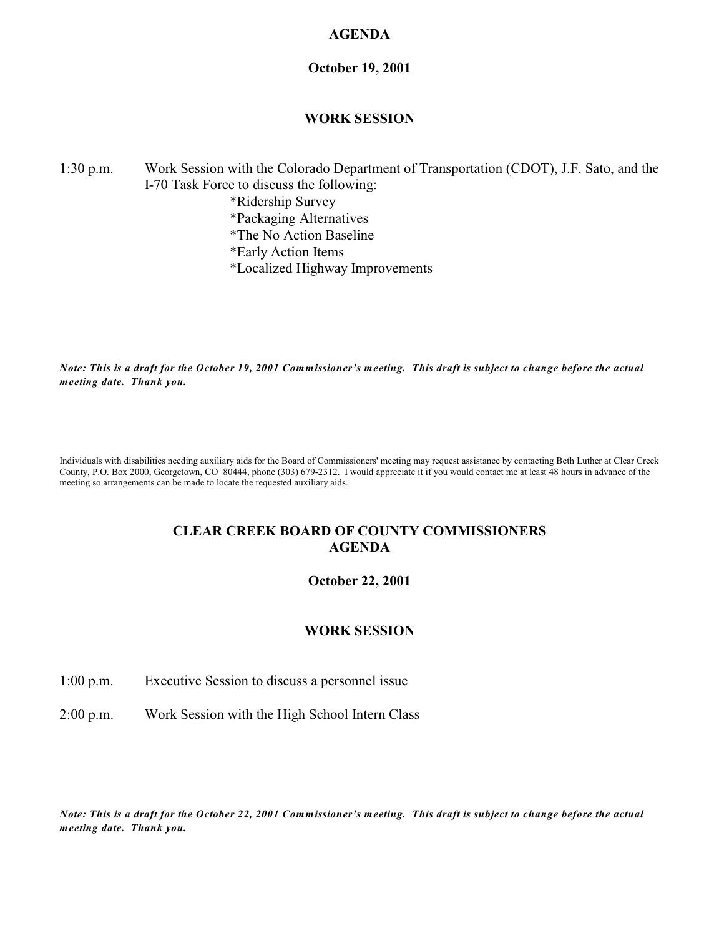### **AGENDA**

### **October 19, 2001**

### **WORK SESSION**

### 1:30 p.m. Work Session with the Colorado Department of Transportation (CDOT), J.F. Sato, and the I-70 Task Force to discuss the following: \*Ridership Survey \*Packaging Alternatives \*The No Action Baseline

- \*Early Action Items
- \*Localized Highway Improvements

*Note: This is a draft for the October 19, 2001 Commissioner's meeting. This draft is subject to change before the actual meeting date. Thank you.*

Individuals with disabilities needing auxiliary aids for the Board of Commissioners' meeting may request assistance by contacting Beth Luther at Clear Creek County, P.O. Box 2000, Georgetown, CO 80444, phone (303) 679-2312. I would appreciate it if you would contact me at least 48 hours in advance of the meeting so arrangements can be made to locate the requested auxiliary aids.

### **CLEAR CREEK BOARD OF COUNTY COMMISSIONERS AGENDA**

### **October 22, 2001**

### **WORK SESSION**

1:00 p.m. Executive Session to discuss a personnel issue

2:00 p.m. Work Session with the High School Intern Class

*Note: This is a draft for the October 22, 2001 Commissioner's meeting. This draft is subject to change before the actual meeting date. Thank you.*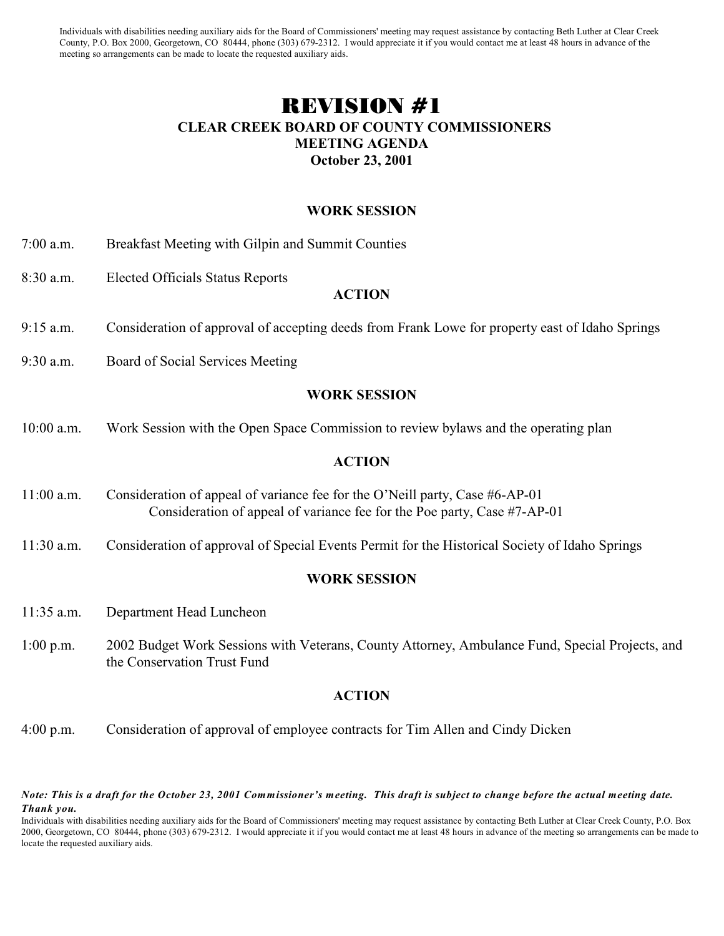Individuals with disabilities needing auxiliary aids for the Board of Commissioners' meeting may request assistance by contacting Beth Luther at Clear Creek County, P.O. Box 2000, Georgetown, CO 80444, phone (303) 679-2312. I would appreciate it if you would contact me at least 48 hours in advance of the meeting so arrangements can be made to locate the requested auxiliary aids.

# REVISION #1  **CLEAR CREEK BOARD OF COUNTY COMMISSIONERS MEETING AGENDA October 23, 2001**

### **WORK SESSION**

- 7:00 a.m. Breakfast Meeting with Gilpin and Summit Counties
- 8:30 a.m. Elected Officials Status Reports

### **ACTION**

- 9:15 a.m. Consideration of approval of accepting deeds from Frank Lowe for property east of Idaho Springs
- 9:30 a.m. Board of Social Services Meeting

### **WORK SESSION**

10:00 a.m. Work Session with the Open Space Commission to review bylaws and the operating plan

### **ACTION**

- 11:00 a.m. Consideration of appeal of variance fee for the O'Neill party, Case #6-AP-01 Consideration of appeal of variance fee for the Poe party, Case #7-AP-01
- 11:30 a.m. Consideration of approval of Special Events Permit for the Historical Society of Idaho Springs

### **WORK SESSION**

- 11:35 a.m. Department Head Luncheon
- 1:00 p.m. 2002 Budget Work Sessions with Veterans, County Attorney, Ambulance Fund, Special Projects, and the Conservation Trust Fund

### **ACTION**

4:00 p.m. Consideration of approval of employee contracts for Tim Allen and Cindy Dicken

*Note: This is a draft for the October 23, 2001 Commissioner's meeting. This draft is subject to change before the actual meeting date. Thank you.*

Individuals with disabilities needing auxiliary aids for the Board of Commissioners' meeting may request assistance by contacting Beth Luther at Clear Creek County, P.O. Box 2000, Georgetown, CO 80444, phone (303) 679-2312. I would appreciate it if you would contact me at least 48 hours in advance of the meeting so arrangements can be made to locate the requested auxiliary aids.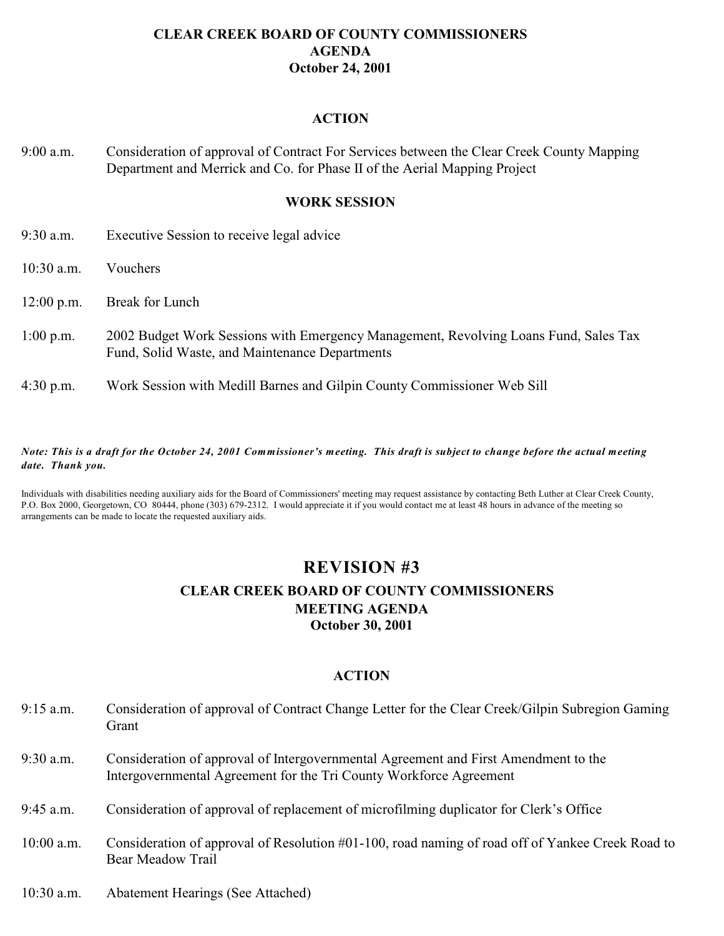### **CLEAR CREEK BOARD OF COUNTY COMMISSIONERS AGENDA October 24, 2001**

### **ACTION**

9:00 a.m. Consideration of approval of Contract For Services between the Clear Creek County Mapping Department and Merrick and Co. for Phase II of the Aerial Mapping Project

### **WORK SESSION**

- 9:30 a.m. Executive Session to receive legal advice
- 10:30 a.m. Vouchers
- 12:00 p.m. Break for Lunch
- 1:00 p.m. 2002 Budget Work Sessions with Emergency Management, Revolving Loans Fund, Sales Tax Fund, Solid Waste, and Maintenance Departments
- 4:30 p.m. Work Session with Medill Barnes and Gilpin County Commissioner Web Sill

#### *Note: This is a draft for the October 24, 2001 Commissioner's meeting. This draft is subject to change before the actual meeting date. Thank you.*

Individuals with disabilities needing auxiliary aids for the Board of Commissioners' meeting may request assistance by contacting Beth Luther at Clear Creek County, P.O. Box 2000, Georgetown, CO 80444, phone (303) 679-2312. I would appreciate it if you would contact me at least 48 hours in advance of the meeting so arrangements can be made to locate the requested auxiliary aids.

# **REVISION #3**

# **CLEAR CREEK BOARD OF COUNTY COMMISSIONERS MEETING AGENDA October 30, 2001**

- 9:15 a.m. Consideration of approval of Contract Change Letter for the Clear Creek/Gilpin Subregion Gaming Grant
- 9:30 a.m. Consideration of approval of Intergovernmental Agreement and First Amendment to the Intergovernmental Agreement for the Tri County Workforce Agreement
- 9:45 a.m. Consideration of approval of replacement of microfilming duplicator for Clerk's Office
- 10:00 a.m. Consideration of approval of Resolution #01-100, road naming of road off of Yankee Creek Road to Bear Meadow Trail
- 10:30 a.m. Abatement Hearings (See Attached)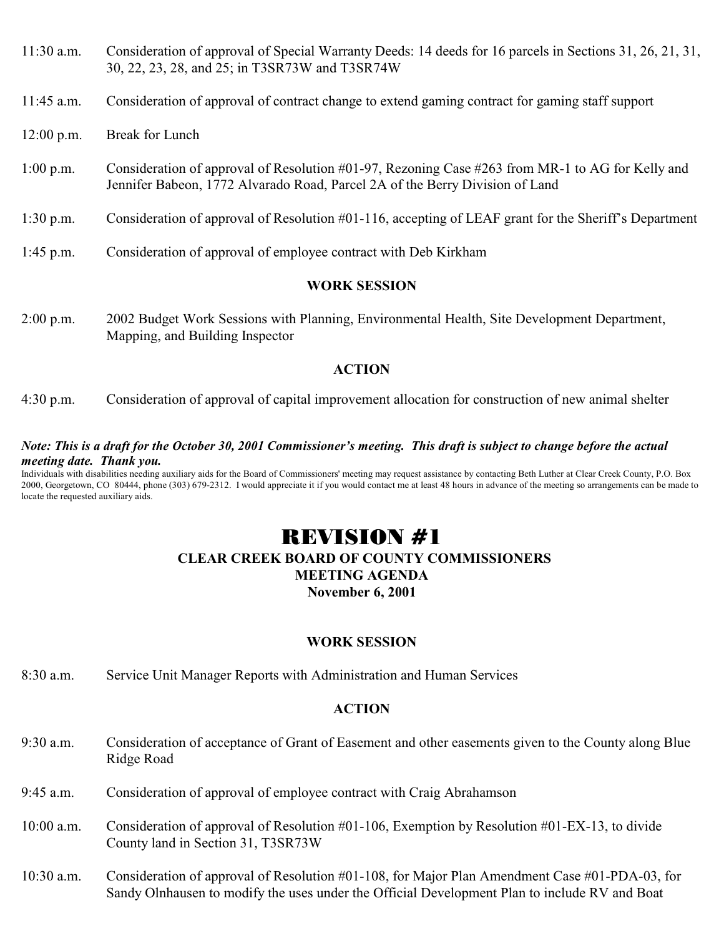- 11:30 a.m. Consideration of approval of Special Warranty Deeds: 14 deeds for 16 parcels in Sections 31, 26, 21, 31, 30, 22, 23, 28, and 25; in T3SR73W and T3SR74W
- 11:45 a.m. Consideration of approval of contract change to extend gaming contract for gaming staff support
- 12:00 p.m. Break for Lunch
- 1:00 p.m. Consideration of approval of Resolution #01-97, Rezoning Case #263 from MR-1 to AG for Kelly and Jennifer Babeon, 1772 Alvarado Road, Parcel 2A of the Berry Division of Land
- 1:30 p.m. Consideration of approval of Resolution #01-116, accepting of LEAF grant for the Sheriff's Department
- 1:45 p.m. Consideration of approval of employee contract with Deb Kirkham

## **WORK SESSION**

2:00 p.m. 2002 Budget Work Sessions with Planning, Environmental Health, Site Development Department, Mapping, and Building Inspector

## **ACTION**

4:30 p.m. Consideration of approval of capital improvement allocation for construction of new animal shelter

### *Note: This is a draft for the October 30, 2001 Commissioner's meeting. This draft is subject to change before the actual meeting date. Thank you.*

Individuals with disabilities needing auxiliary aids for the Board of Commissioners' meeting may request assistance by contacting Beth Luther at Clear Creek County, P.O. Box 2000, Georgetown, CO 80444, phone (303) 679-2312. I would appreciate it if you would contact me at least 48 hours in advance of the meeting so arrangements can be made to locate the requested auxiliary aids.

# REVISION #1

# **CLEAR CREEK BOARD OF COUNTY COMMISSIONERS MEETING AGENDA**

**November 6, 2001**

# **WORK SESSION**

8:30 a.m. Service Unit Manager Reports with Administration and Human Services

- 9:30 a.m. Consideration of acceptance of Grant of Easement and other easements given to the County along Blue Ridge Road
- 9:45 a.m. Consideration of approval of employee contract with Craig Abrahamson
- 10:00 a.m. Consideration of approval of Resolution #01-106, Exemption by Resolution #01-EX-13, to divide County land in Section 31, T3SR73W
- 10:30 a.m. Consideration of approval of Resolution #01-108, for Major Plan Amendment Case #01-PDA-03, for Sandy Olnhausen to modify the uses under the Official Development Plan to include RV and Boat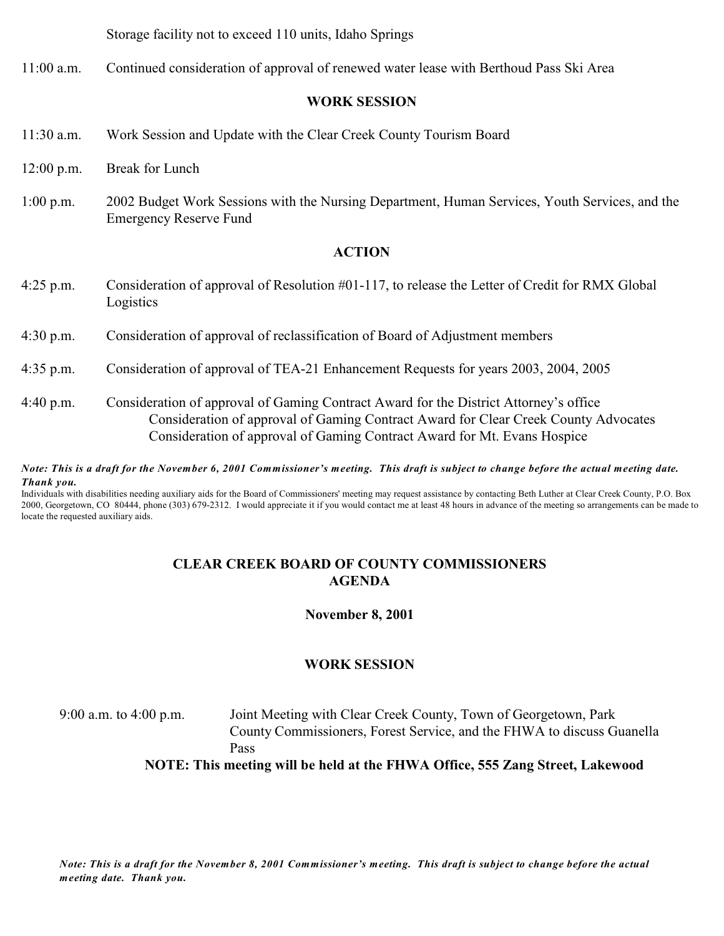Storage facility not to exceed 110 units, Idaho Springs

11:00 a.m. Continued consideration of approval of renewed water lease with Berthoud Pass Ski Area

### **WORK SESSION**

- 11:30 a.m. Work Session and Update with the Clear Creek County Tourism Board
- 12:00 p.m. Break for Lunch
- 1:00 p.m. 2002 Budget Work Sessions with the Nursing Department, Human Services, Youth Services, and the Emergency Reserve Fund

### **ACTION**

- 4:25 p.m. Consideration of approval of Resolution #01-117, to release the Letter of Credit for RMX Global Logistics
- 4:30 p.m. Consideration of approval of reclassification of Board of Adjustment members
- 4:35 p.m. Consideration of approval of TEA-21 Enhancement Requests for years 2003, 2004, 2005
- 4:40 p.m. Consideration of approval of Gaming Contract Award for the District Attorney's office Consideration of approval of Gaming Contract Award for Clear Creek County Advocates Consideration of approval of Gaming Contract Award for Mt. Evans Hospice

*Note: This is a draft for the November 6, 2001 Commissioner's meeting. This draft is subject to change before the actual meeting date. Thank you.*

Individuals with disabilities needing auxiliary aids for the Board of Commissioners' meeting may request assistance by contacting Beth Luther at Clear Creek County, P.O. Box 2000, Georgetown, CO 80444, phone (303) 679-2312. I would appreciate it if you would contact me at least 48 hours in advance of the meeting so arrangements can be made to locate the requested auxiliary aids.

## **CLEAR CREEK BOARD OF COUNTY COMMISSIONERS AGENDA**

**November 8, 2001**

# **WORK SESSION**

9:00 a.m. to 4:00 p.m. Joint Meeting with Clear Creek County, Town of Georgetown, Park County Commissioners, Forest Service, and the FHWA to discuss Guanella Pass

**NOTE: This meeting will be held at the FHWA Office, 555 Zang Street, Lakewood**

*Note: This is a draft for the November 8, 2001 Commissioner's meeting. This draft is subject to change before the actual meeting date. Thank you.*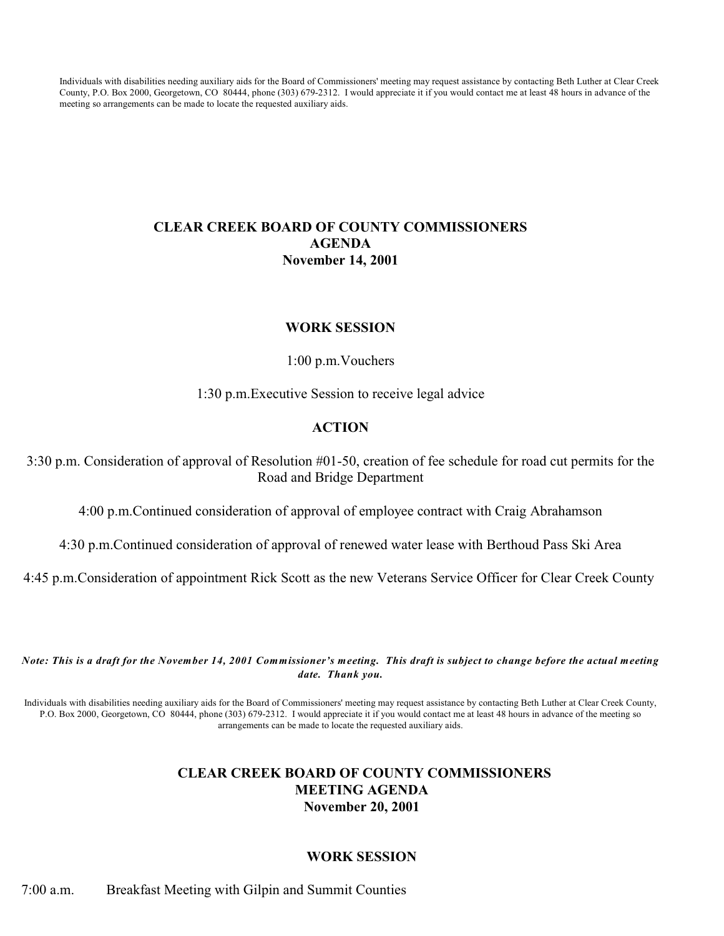Individuals with disabilities needing auxiliary aids for the Board of Commissioners' meeting may request assistance by contacting Beth Luther at Clear Creek County, P.O. Box 2000, Georgetown, CO 80444, phone (303) 679-2312. I would appreciate it if you would contact me at least 48 hours in advance of the meeting so arrangements can be made to locate the requested auxiliary aids.

# **CLEAR CREEK BOARD OF COUNTY COMMISSIONERS AGENDA November 14, 2001**

### **WORK SESSION**

1:00 p.m.Vouchers

1:30 p.m.Executive Session to receive legal advice

### **ACTION**

3:30 p.m. Consideration of approval of Resolution #01-50, creation of fee schedule for road cut permits for the Road and Bridge Department

4:00 p.m.Continued consideration of approval of employee contract with Craig Abrahamson

4:30 p.m.Continued consideration of approval of renewed water lease with Berthoud Pass Ski Area

4:45 p.m.Consideration of appointment Rick Scott as the new Veterans Service Officer for Clear Creek County

*Note: This is a draft for the November 14, 2001 Commissioner's meeting. This draft is subject to change before the actual meeting date. Thank you.*

Individuals with disabilities needing auxiliary aids for the Board of Commissioners' meeting may request assistance by contacting Beth Luther at Clear Creek County, P.O. Box 2000, Georgetown, CO 80444, phone (303) 679-2312. I would appreciate it if you would contact me at least 48 hours in advance of the meeting so arrangements can be made to locate the requested auxiliary aids.

## **CLEAR CREEK BOARD OF COUNTY COMMISSIONERS MEETING AGENDA November 20, 2001**

### **WORK SESSION**

7:00 a.m. Breakfast Meeting with Gilpin and Summit Counties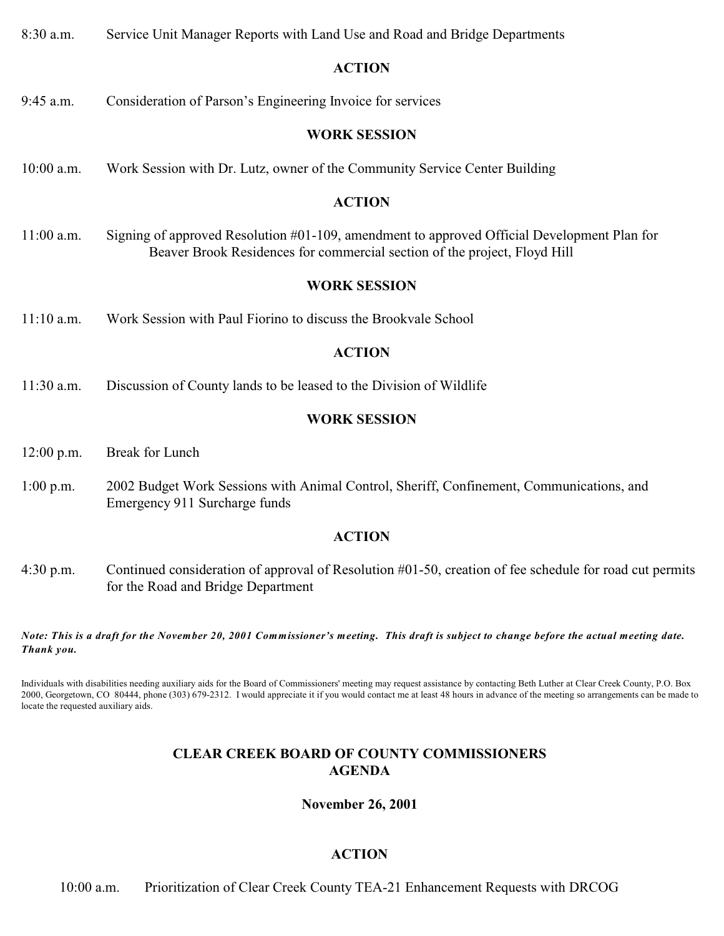8:30 a.m. Service Unit Manager Reports with Land Use and Road and Bridge Departments **ACTION** 9:45 a.m. Consideration of Parson's Engineering Invoice for services **WORK SESSION** 10:00 a.m. Work Session with Dr. Lutz, owner of the Community Service Center Building **ACTION** 11:00 a.m. Signing of approved Resolution #01-109, amendment to approved Official Development Plan for Beaver Brook Residences for commercial section of the project, Floyd Hill **WORK SESSION** 11:10 a.m. Work Session with Paul Fiorino to discuss the Brookvale School **ACTION**

11:30 a.m. Discussion of County lands to be leased to the Division of Wildlife

### **WORK SESSION**

- 12:00 p.m. Break for Lunch
- 1:00 p.m. 2002 Budget Work Sessions with Animal Control, Sheriff, Confinement, Communications, and Emergency 911 Surcharge funds

### **ACTION**

4:30 p.m. Continued consideration of approval of Resolution #01-50, creation of fee schedule for road cut permits for the Road and Bridge Department

*Note: This is a draft for the November 20, 2001 Commissioner's meeting. This draft is subject to change before the actual meeting date. Thank you.*

Individuals with disabilities needing auxiliary aids for the Board of Commissioners' meeting may request assistance by contacting Beth Luther at Clear Creek County, P.O. Box 2000, Georgetown, CO 80444, phone (303) 679-2312. I would appreciate it if you would contact me at least 48 hours in advance of the meeting so arrangements can be made to locate the requested auxiliary aids.

# **CLEAR CREEK BOARD OF COUNTY COMMISSIONERS AGENDA**

### **November 26, 2001**

# **ACTION**

10:00 a.m. Prioritization of Clear Creek County TEA-21 Enhancement Requests with DRCOG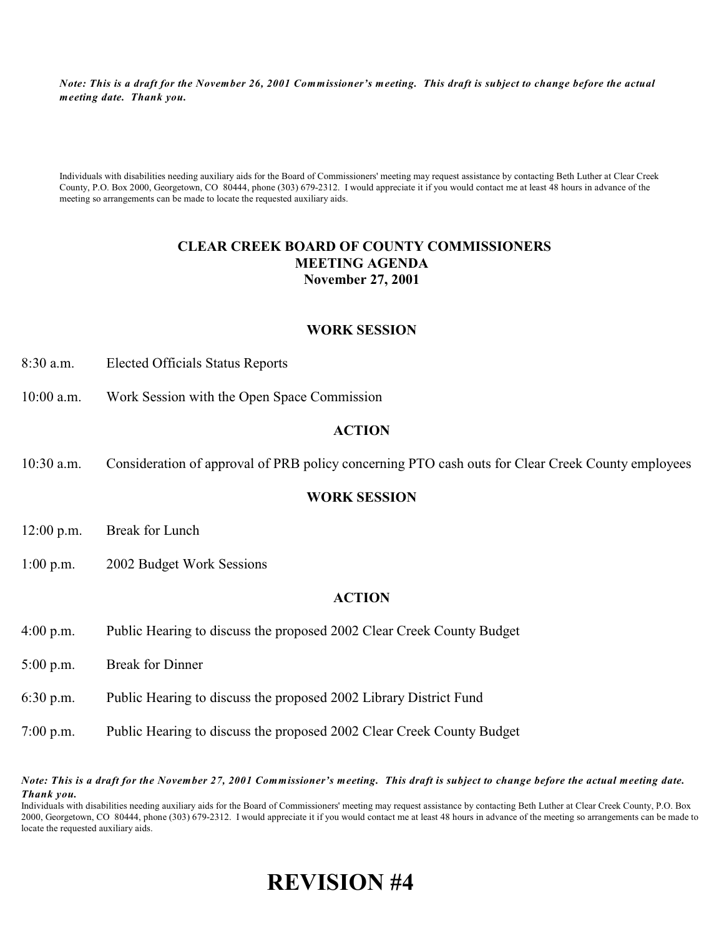*Note: This is a draft for the November 26, 2001 Commissioner's meeting. This draft is subject to change before the actual meeting date. Thank you.*

Individuals with disabilities needing auxiliary aids for the Board of Commissioners' meeting may request assistance by contacting Beth Luther at Clear Creek County, P.O. Box 2000, Georgetown, CO 80444, phone (303) 679-2312. I would appreciate it if you would contact me at least 48 hours in advance of the meeting so arrangements can be made to locate the requested auxiliary aids.

### **CLEAR CREEK BOARD OF COUNTY COMMISSIONERS MEETING AGENDA November 27, 2001**

### **WORK SESSION**

- 8:30 a.m. Elected Officials Status Reports
- 10:00 a.m. Work Session with the Open Space Commission

### **ACTION**

10:30 a.m. Consideration of approval of PRB policy concerning PTO cash outs for Clear Creek County employees

### **WORK SESSION**

- 12:00 p.m. Break for Lunch
- 1:00 p.m. 2002 Budget Work Sessions

### **ACTION**

- 4:00 p.m. Public Hearing to discuss the proposed 2002 Clear Creek County Budget
- 5:00 p.m. Break for Dinner
- 6:30 p.m. Public Hearing to discuss the proposed 2002 Library District Fund
- 7:00 p.m. Public Hearing to discuss the proposed 2002 Clear Creek County Budget

*Note: This is a draft for the November 27, 2001 Commissioner's meeting. This draft is subject to change before the actual meeting date. Thank you.*

Individuals with disabilities needing auxiliary aids for the Board of Commissioners' meeting may request assistance by contacting Beth Luther at Clear Creek County, P.O. Box 2000, Georgetown, CO 80444, phone (303) 679-2312. I would appreciate it if you would contact me at least 48 hours in advance of the meeting so arrangements can be made to locate the requested auxiliary aids.

# **REVISION #4**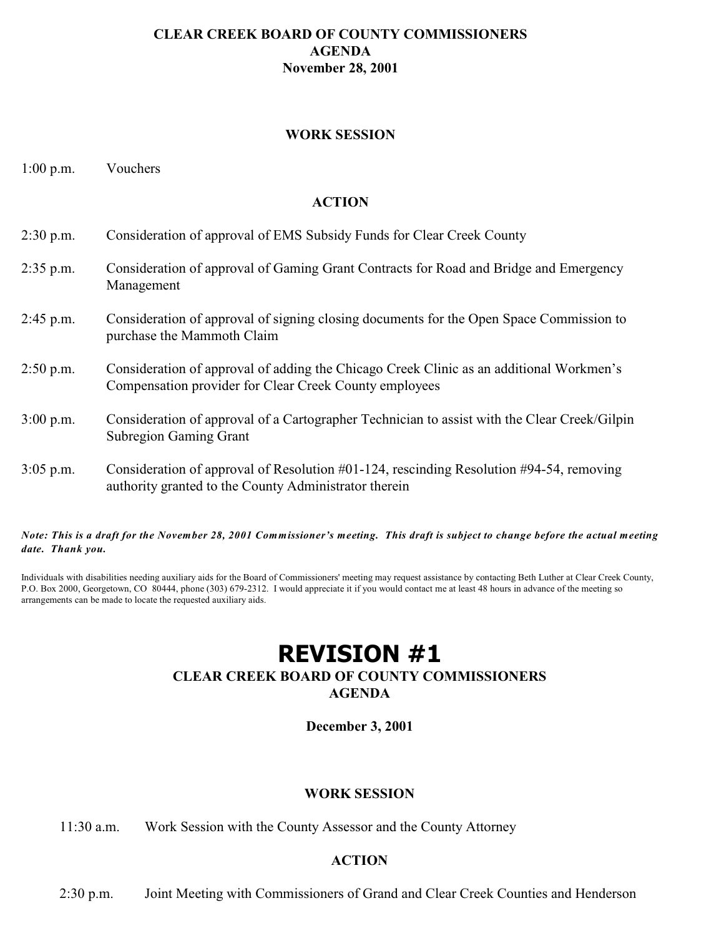### **CLEAR CREEK BOARD OF COUNTY COMMISSIONERS AGENDA November 28, 2001**

### **WORK SESSION**

1:00 p.m. Vouchers

### **ACTION**

| $2:30$ p.m. | Consideration of approval of EMS Subsidy Funds for Clear Creek County                                                                                    |
|-------------|----------------------------------------------------------------------------------------------------------------------------------------------------------|
| $2:35$ p.m. | Consideration of approval of Gaming Grant Contracts for Road and Bridge and Emergency<br>Management                                                      |
| $2:45$ p.m. | Consideration of approval of signing closing documents for the Open Space Commission to<br>purchase the Mammoth Claim                                    |
| $2:50$ p.m. | Consideration of approval of adding the Chicago Creek Clinic as an additional Workmen's<br>Compensation provider for Clear Creek County employees        |
| $3:00$ p.m. | Consideration of approval of a Cartographer Technician to assist with the Clear Creek/Gilpin<br><b>Subregion Gaming Grant</b>                            |
| $3:05$ p.m. | Consideration of approval of Resolution $\#01-124$ , rescinding Resolution $\#94-54$ , removing<br>authority granted to the County Administrator therein |

*Note: This is a draft for the November 28, 2001 Commissioner's meeting. This draft is subject to change before the actual meeting date. Thank you.*

Individuals with disabilities needing auxiliary aids for the Board of Commissioners' meeting may request assistance by contacting Beth Luther at Clear Creek County, P.O. Box 2000, Georgetown, CO 80444, phone (303) 679-2312. I would appreciate it if you would contact me at least 48 hours in advance of the meeting so arrangements can be made to locate the requested auxiliary aids.

# **REVISION #1**

# **CLEAR CREEK BOARD OF COUNTY COMMISSIONERS**

**AGENDA**

**December 3, 2001**

### **WORK SESSION**

11:30 a.m. Work Session with the County Assessor and the County Attorney

### **ACTION**

2:30 p.m. Joint Meeting with Commissioners of Grand and Clear Creek Counties and Henderson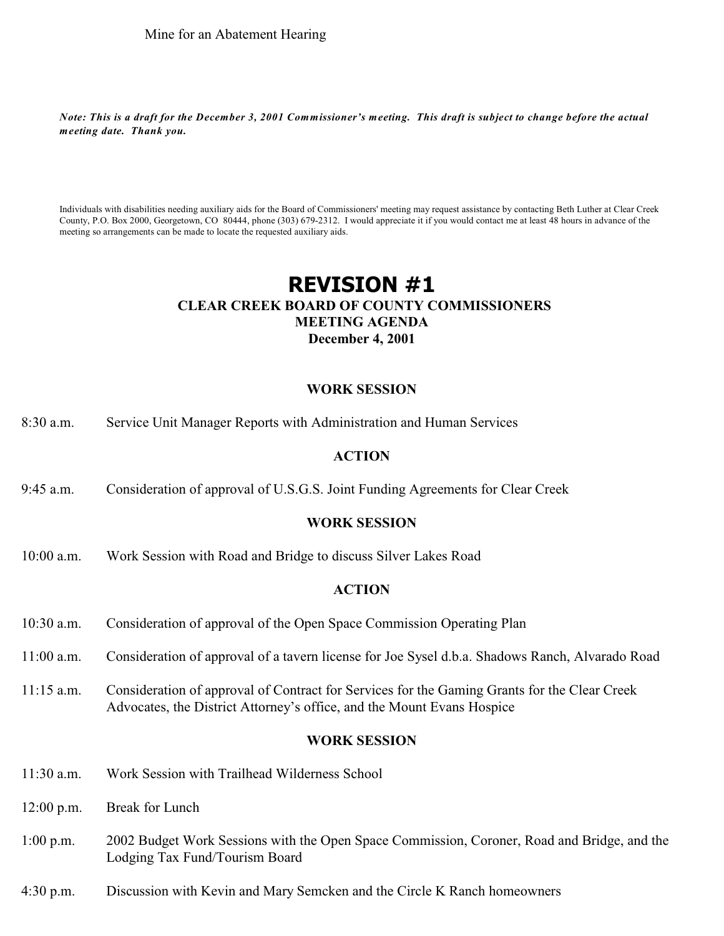*Note: This is a draft for the December 3, 2001 Commissioner's meeting. This draft is subject to change before the actual meeting date. Thank you.*

Individuals with disabilities needing auxiliary aids for the Board of Commissioners' meeting may request assistance by contacting Beth Luther at Clear Creek County, P.O. Box 2000, Georgetown, CO 80444, phone (303) 679-2312. I would appreciate it if you would contact me at least 48 hours in advance of the meeting so arrangements can be made to locate the requested auxiliary aids.

# **REVISION #1 CLEAR CREEK BOARD OF COUNTY COMMISSIONERS MEETING AGENDA December 4, 2001**

### **WORK SESSION**

8:30 a.m. Service Unit Manager Reports with Administration and Human Services

### **ACTION**

9:45 a.m. Consideration of approval of U.S.G.S. Joint Funding Agreements for Clear Creek

### **WORK SESSION**

10:00 a.m. Work Session with Road and Bridge to discuss Silver Lakes Road

### **ACTION**

- 10:30 a.m. Consideration of approval of the Open Space Commission Operating Plan
- 11:00 a.m. Consideration of approval of a tavern license for Joe Sysel d.b.a. Shadows Ranch, Alvarado Road
- 11:15 a.m. Consideration of approval of Contract for Services for the Gaming Grants for the Clear Creek Advocates, the District Attorney's office, and the Mount Evans Hospice

### **WORK SESSION**

- 11:30 a.m. Work Session with Trailhead Wilderness School
- 12:00 p.m. Break for Lunch
- 1:00 p.m. 2002 Budget Work Sessions with the Open Space Commission, Coroner, Road and Bridge, and the Lodging Tax Fund/Tourism Board
- 4:30 p.m. Discussion with Kevin and Mary Semcken and the Circle K Ranch homeowners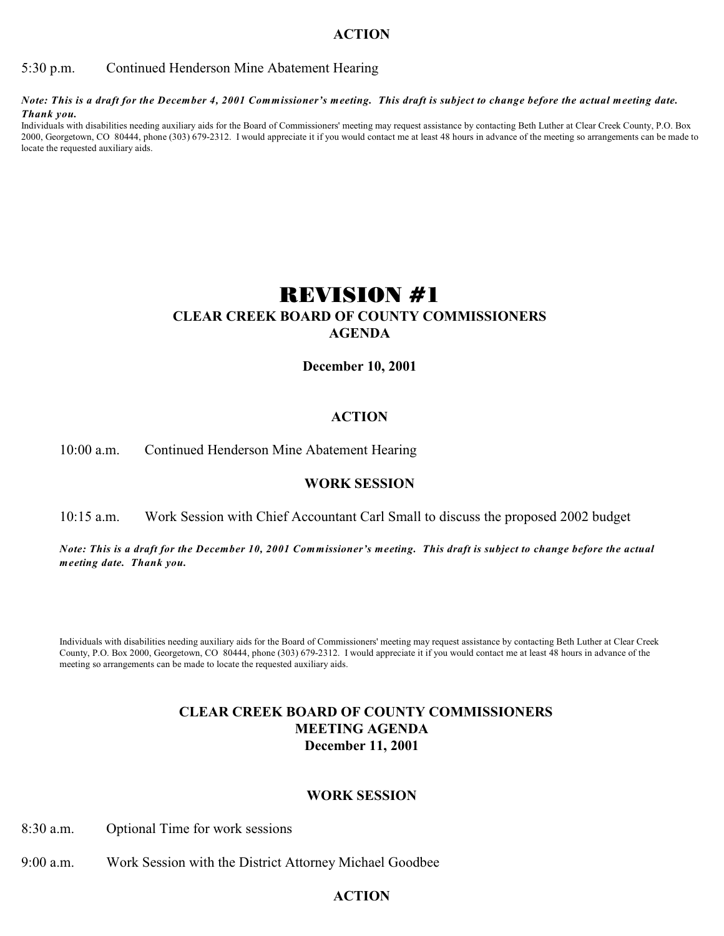5:30 p.m. Continued Henderson Mine Abatement Hearing

*Note: This is a draft for the December 4, 2001 Commissioner's meeting. This draft is subject to change before the actual meeting date. Thank you.*

Individuals with disabilities needing auxiliary aids for the Board of Commissioners' meeting may request assistance by contacting Beth Luther at Clear Creek County, P.O. Box 2000, Georgetown, CO 80444, phone (303) 679-2312. I would appreciate it if you would contact me at least 48 hours in advance of the meeting so arrangements can be made to locate the requested auxiliary aids.

# REVISION #1 **CLEAR CREEK BOARD OF COUNTY COMMISSIONERS AGENDA**

**December 10, 2001**

### **ACTION**

### 10:00 a.m. Continued Henderson Mine Abatement Hearing

### **WORK SESSION**

### 10:15 a.m. Work Session with Chief Accountant Carl Small to discuss the proposed 2002 budget

*Note: This is a draft for the December 10, 2001 Commissioner's meeting. This draft is subject to change before the actual meeting date. Thank you.*

Individuals with disabilities needing auxiliary aids for the Board of Commissioners' meeting may request assistance by contacting Beth Luther at Clear Creek County, P.O. Box 2000, Georgetown, CO 80444, phone (303) 679-2312. I would appreciate it if you would contact me at least 48 hours in advance of the meeting so arrangements can be made to locate the requested auxiliary aids.

### **CLEAR CREEK BOARD OF COUNTY COMMISSIONERS MEETING AGENDA December 11, 2001**

### **WORK SESSION**

8:30 a.m. Optional Time for work sessions

9:00 a.m. Work Session with the District Attorney Michael Goodbee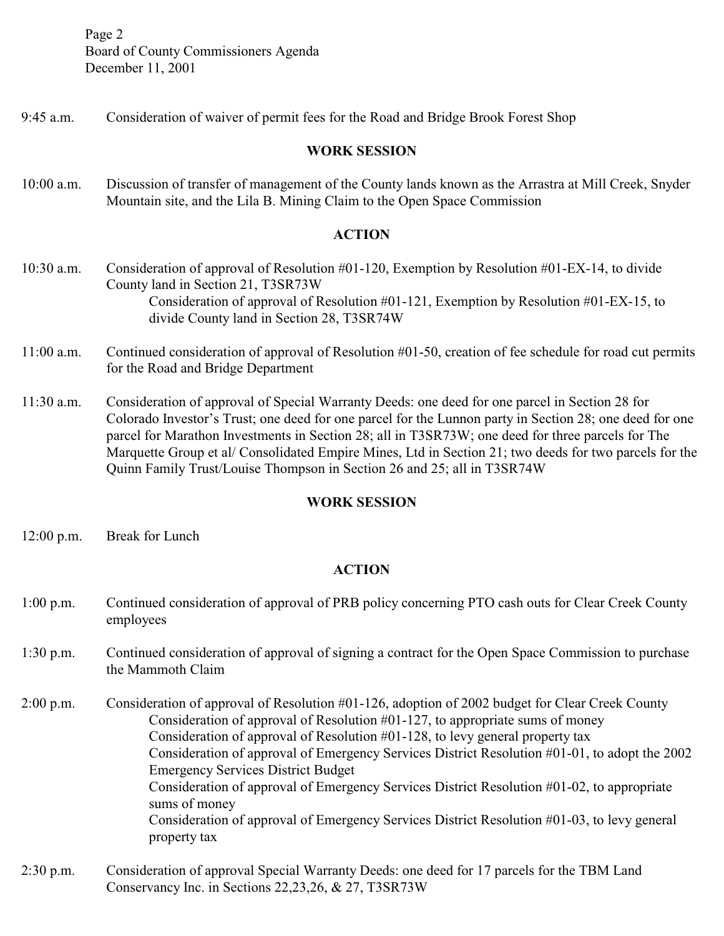Page 2 Board of County Commissioners Agenda December 11, 2001

9:45 a.m. Consideration of waiver of permit fees for the Road and Bridge Brook Forest Shop

### **WORK SESSION**

10:00 a.m. Discussion of transfer of management of the County lands known as the Arrastra at Mill Creek, Snyder Mountain site, and the Lila B. Mining Claim to the Open Space Commission

### **ACTION**

- 10:30 a.m. Consideration of approval of Resolution #01-120, Exemption by Resolution #01-EX-14, to divide County land in Section 21, T3SR73W Consideration of approval of Resolution #01-121, Exemption by Resolution #01-EX-15, to divide County land in Section 28, T3SR74W
- 11:00 a.m. Continued consideration of approval of Resolution #01-50, creation of fee schedule for road cut permits for the Road and Bridge Department
- 11:30 a.m. Consideration of approval of Special Warranty Deeds: one deed for one parcel in Section 28 for Colorado Investor's Trust; one deed for one parcel for the Lunnon party in Section 28; one deed for one parcel for Marathon Investments in Section 28; all in T3SR73W; one deed for three parcels for The Marquette Group et al/ Consolidated Empire Mines, Ltd in Section 21; two deeds for two parcels for the Quinn Family Trust/Louise Thompson in Section 26 and 25; all in T3SR74W

### **WORK SESSION**

12:00 p.m. Break for Lunch

- 1:00 p.m. Continued consideration of approval of PRB policy concerning PTO cash outs for Clear Creek County employees
- 1:30 p.m. Continued consideration of approval of signing a contract for the Open Space Commission to purchase the Mammoth Claim
- 2:00 p.m. Consideration of approval of Resolution #01-126, adoption of 2002 budget for Clear Creek County Consideration of approval of Resolution  $\#01-127$ , to appropriate sums of money Consideration of approval of Resolution #01-128, to levy general property tax Consideration of approval of Emergency Services District Resolution #01-01, to adopt the 2002 Emergency Services District Budget Consideration of approval of Emergency Services District Resolution #01-02, to appropriate sums of money Consideration of approval of Emergency Services District Resolution #01-03, to levy general property tax
- 2:30 p.m. Consideration of approval Special Warranty Deeds: one deed for 17 parcels for the TBM Land Conservancy Inc. in Sections 22,23,26, & 27, T3SR73W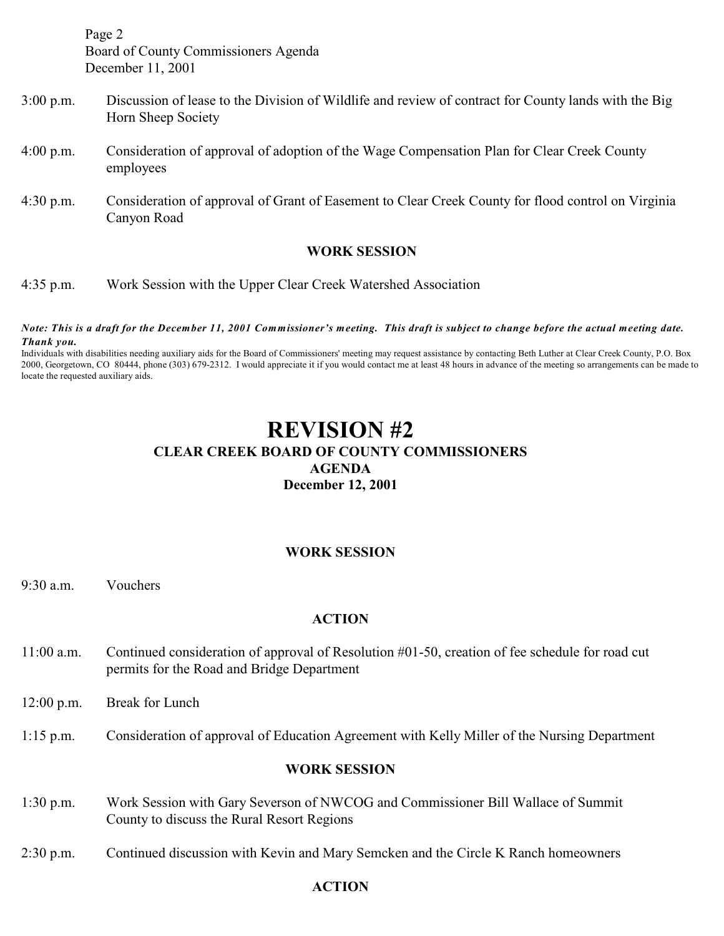Page 2 Board of County Commissioners Agenda December 11, 2001

- 3:00 p.m. Discussion of lease to the Division of Wildlife and review of contract for County lands with the Big Horn Sheep Society
- 4:00 p.m. Consideration of approval of adoption of the Wage Compensation Plan for Clear Creek County employees
- 4:30 p.m. Consideration of approval of Grant of Easement to Clear Creek County for flood control on Virginia Canyon Road

### **WORK SESSION**

4:35 p.m. Work Session with the Upper Clear Creek Watershed Association

#### *Note: This is a draft for the December 11, 2001 Commissioner's meeting. This draft is subject to change before the actual meeting date. Thank you.*

Individuals with disabilities needing auxiliary aids for the Board of Commissioners' meeting may request assistance by contacting Beth Luther at Clear Creek County, P.O. Box 2000, Georgetown, CO 80444, phone (303) 679-2312. I would appreciate it if you would contact me at least 48 hours in advance of the meeting so arrangements can be made to locate the requested auxiliary aids.

# **REVISION #2 CLEAR CREEK BOARD OF COUNTY COMMISSIONERS AGENDA December 12, 2001**

### **WORK SESSION**

9:30 a.m. Vouchers

### **ACTION**

- 11:00 a.m. Continued consideration of approval of Resolution #01-50, creation of fee schedule for road cut permits for the Road and Bridge Department
- 12:00 p.m. Break for Lunch
- 1:15 p.m. Consideration of approval of Education Agreement with Kelly Miller of the Nursing Department

### **WORK SESSION**

- 1:30 p.m. Work Session with Gary Severson of NWCOG and Commissioner Bill Wallace of Summit County to discuss the Rural Resort Regions
- 2:30 p.m. Continued discussion with Kevin and Mary Semcken and the Circle K Ranch homeowners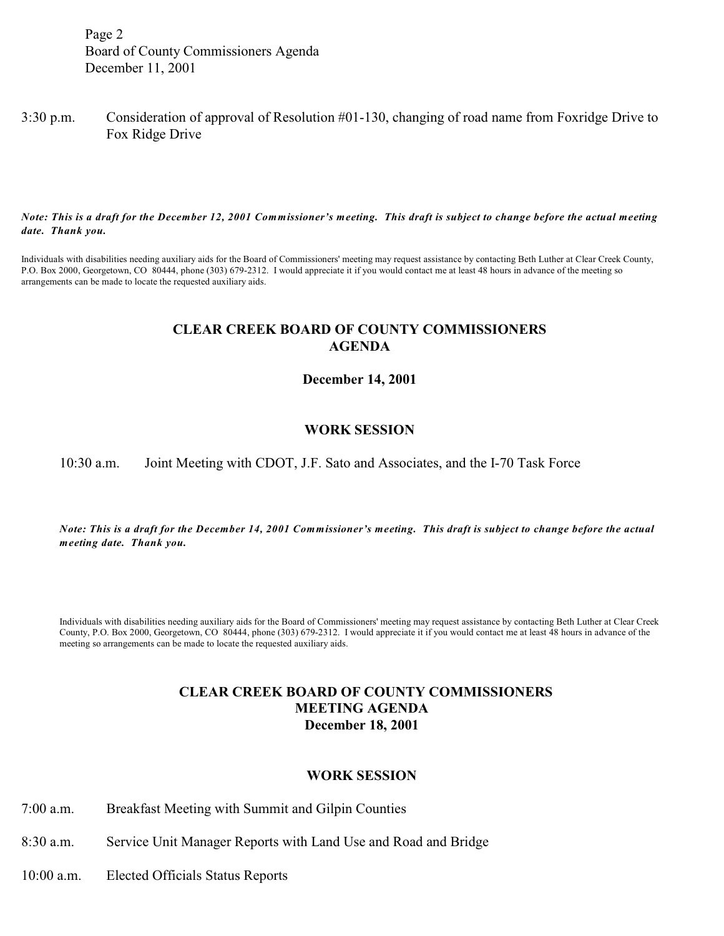Page 2 Board of County Commissioners Agenda December 11, 2001

### 3:30 p.m. Consideration of approval of Resolution #01-130, changing of road name from Foxridge Drive to Fox Ridge Drive

*Note: This is a draft for the December 12, 2001 Commissioner's meeting. This draft is subject to change before the actual meeting date. Thank you.*

Individuals with disabilities needing auxiliary aids for the Board of Commissioners' meeting may request assistance by contacting Beth Luther at Clear Creek County, P.O. Box 2000, Georgetown, CO 80444, phone (303) 679-2312. I would appreciate it if you would contact me at least 48 hours in advance of the meeting so arrangements can be made to locate the requested auxiliary aids.

### **CLEAR CREEK BOARD OF COUNTY COMMISSIONERS AGENDA**

**December 14, 2001**

### **WORK SESSION**

10:30 a.m. Joint Meeting with CDOT, J.F. Sato and Associates, and the I-70 Task Force

*Note: This is a draft for the December 14, 2001 Commissioner's meeting. This draft is subject to change before the actual meeting date. Thank you.*

Individuals with disabilities needing auxiliary aids for the Board of Commissioners' meeting may request assistance by contacting Beth Luther at Clear Creek County, P.O. Box 2000, Georgetown, CO 80444, phone (303) 679-2312. I would appreciate it if you would contact me at least 48 hours in advance of the meeting so arrangements can be made to locate the requested auxiliary aids.

### **CLEAR CREEK BOARD OF COUNTY COMMISSIONERS MEETING AGENDA December 18, 2001**

### **WORK SESSION**

- 7:00 a.m. Breakfast Meeting with Summit and Gilpin Counties
- 8:30 a.m. Service Unit Manager Reports with Land Use and Road and Bridge
- 10:00 a.m. Elected Officials Status Reports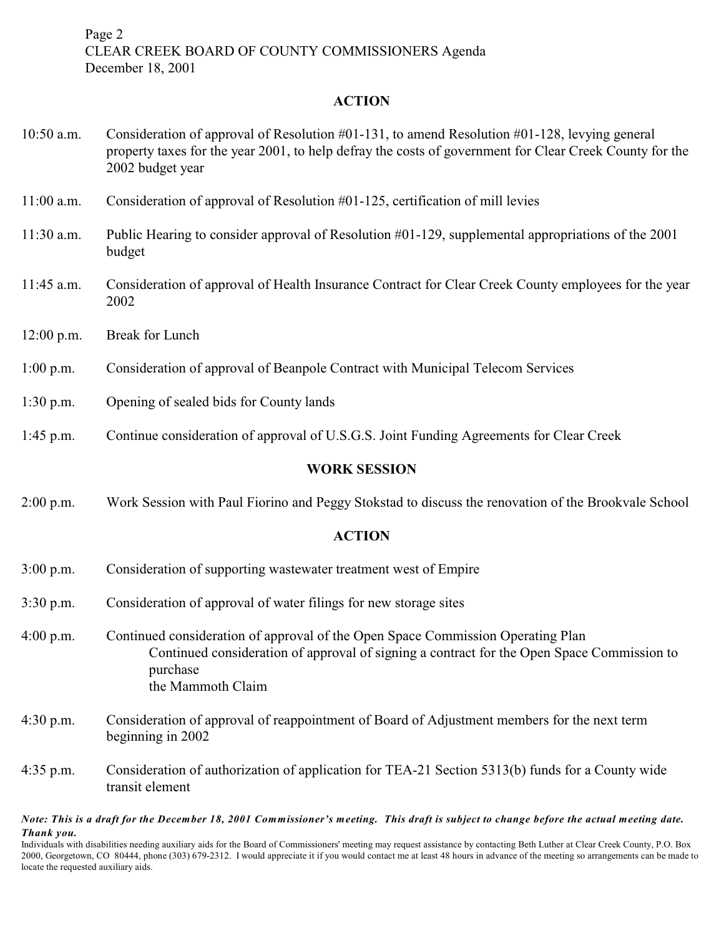Page 2 CLEAR CREEK BOARD OF COUNTY COMMISSIONERS Agenda December 18, 2001

### **ACTION**

| $10:50$ a.m. | Consideration of approval of Resolution $\#01-131$ , to amend Resolution $\#01-128$ , levying general<br>property taxes for the year 2001, to help defray the costs of government for Clear Creek County for the<br>2002 budget year |
|--------------|--------------------------------------------------------------------------------------------------------------------------------------------------------------------------------------------------------------------------------------|
| $11:00$ a.m. | Consideration of approval of Resolution #01-125, certification of mill levies                                                                                                                                                        |
| $11:30$ a.m. | Public Hearing to consider approval of Resolution #01-129, supplemental appropriations of the 2001<br>budget                                                                                                                         |
| 11:45 a.m.   | Consideration of approval of Health Insurance Contract for Clear Creek County employees for the year<br>2002                                                                                                                         |
| $12:00$ p.m. | Break for Lunch                                                                                                                                                                                                                      |
| $1:00$ p.m.  | Consideration of approval of Beanpole Contract with Municipal Telecom Services                                                                                                                                                       |
| $1:30$ p.m.  | Opening of sealed bids for County lands                                                                                                                                                                                              |
| $1:45$ p.m.  | Continue consideration of approval of U.S.G.S. Joint Funding Agreements for Clear Creek                                                                                                                                              |
|              | <b>WORK SESSION</b>                                                                                                                                                                                                                  |
| $2:00$ p.m.  | Work Session with Paul Fiorino and Peggy Stokstad to discuss the renovation of the Brookvale School                                                                                                                                  |
|              | <b>ACTION</b>                                                                                                                                                                                                                        |
| $3:00$ p.m.  | Consideration of supporting wastewater treatment west of Empire                                                                                                                                                                      |
| $3:30$ p.m.  | Consideration of approval of water filings for new storage sites                                                                                                                                                                     |
| $4:00$ p.m.  | Continued consideration of approval of the Open Space Commission Operating Plan<br>Continued consideration of approval of signing a contract for the Open Space Commission to<br>purchase<br>the Mammoth Claim                       |
| $4:30$ p.m.  | Consideration of approval of reappointment of Board of Adjustment members for the next term<br>beginning in 2002                                                                                                                     |
| $4:35$ p.m.  | Consideration of authorization of application for TEA-21 Section 5313(b) funds for a County wide                                                                                                                                     |

*Note: This is a draft for the December 18, 2001 Commissioner's meeting. This draft is subject to change before the actual meeting date. Thank you.*

transit element

Individuals with disabilities needing auxiliary aids for the Board of Commissioners' meeting may request assistance by contacting Beth Luther at Clear Creek County, P.O. Box 2000, Georgetown, CO 80444, phone (303) 679-2312. I would appreciate it if you would contact me at least 48 hours in advance of the meeting so arrangements can be made to locate the requested auxiliary aids.